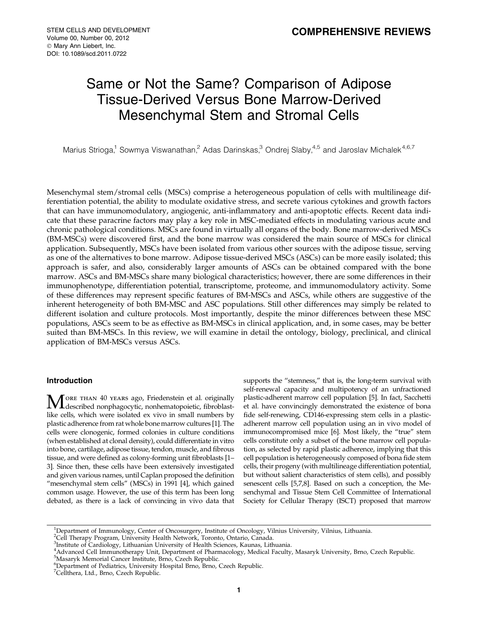# Same or Not the Same? Comparison of Adipose Tissue-Derived Versus Bone Marrow-Derived Mesenchymal Stem and Stromal Cells

Marius Strioga,<sup>1</sup> Sowmya Viswanathan,<sup>2</sup> Adas Darinskas,<sup>3</sup> Ondrej Slaby,<sup>4,5</sup> and Jaroslav Michalek<sup>4,6,7</sup>

Mesenchymal stem/stromal cells (MSCs) comprise a heterogeneous population of cells with multilineage differentiation potential, the ability to modulate oxidative stress, and secrete various cytokines and growth factors that can have immunomodulatory, angiogenic, anti-inflammatory and anti-apoptotic effects. Recent data indicate that these paracrine factors may play a key role in MSC-mediated effects in modulating various acute and chronic pathological conditions. MSCs are found in virtually all organs of the body. Bone marrow-derived MSCs (BM-MSCs) were discovered first, and the bone marrow was considered the main source of MSCs for clinical application. Subsequently, MSCs have been isolated from various other sources with the adipose tissue, serving as one of the alternatives to bone marrow. Adipose tissue-derived MSCs (ASCs) can be more easily isolated; this approach is safer, and also, considerably larger amounts of ASCs can be obtained compared with the bone marrow. ASCs and BM-MSCs share many biological characteristics; however, there are some differences in their immunophenotype, differentiation potential, transcriptome, proteome, and immunomodulatory activity. Some of these differences may represent specific features of BM-MSCs and ASCs, while others are suggestive of the inherent heterogeneity of both BM-MSC and ASC populations. Still other differences may simply be related to different isolation and culture protocols. Most importantly, despite the minor differences between these MSC populations, ASCs seem to be as effective as BM-MSCs in clinical application, and, in some cases, may be better suited than BM-MSCs. In this review, we will examine in detail the ontology, biology, preclinical, and clinical application of BM-MSCs versus ASCs.

## Introduction

MORE THAN 40 YEARS ago, Friedenstein et al. originally<br>described nonphagocytic, nonhematopoietic, fibroblastlike cells, which were isolated ex vivo in small numbers by plastic adherence from rat whole bone marrow cultures [1]. The cells were clonogenic, formed colonies in culture conditions (when established at clonal density), could differentiate in vitro into bone, cartilage, adipose tissue, tendon, muscle, and fibrous tissue, and were defined as colony-forming unit fibroblasts [1– 3]. Since then, these cells have been extensively investigated and given various names, until Caplan proposed the definition ''mesenchymal stem cells'' (MSCs) in 1991 [4], which gained common usage. However, the use of this term has been long debated, as there is a lack of convincing in vivo data that supports the "stemness," that is, the long-term survival with self-renewal capacity and multipotency of an unfractioned plastic-adherent marrow cell population [5]. In fact, Sacchetti et al. have convincingly demonstrated the existence of bona fide self-renewing, CD146-expressing stem cells in a plasticadherent marrow cell population using an in vivo model of immunocompromised mice [6]. Most likely, the ''true'' stem cells constitute only a subset of the bone marrow cell population, as selected by rapid plastic adherence, implying that this cell population is heterogeneously composed of bona fide stem cells, their progeny (with multilineage differentiation potential, but without salient characteristics of stem cells), and possibly senescent cells [5,7,8]. Based on such a conception, the Mesenchymal and Tissue Stem Cell Committee of International Society for Cellular Therapy (ISCT) proposed that marrow

<sup>1</sup> Department of Immunology, Center of Oncosurgery, Institute of Oncology, Vilnius University, Vilnius, Lithuania.

<sup>&</sup>lt;sup>2</sup>Cell Therapy Program, University Health Network, Toronto, Ontario, Canada.

<sup>&</sup>lt;sup>3</sup>Institute of Cardiology, Lithuanian University of Health Sciences, Kaunas, Lithuania.

<sup>4</sup> Advanced Cell Immunotherapy Unit, Department of Pharmacology, Medical Faculty, Masaryk University, Brno, Czech Republic.

<sup>5</sup> Masaryk Memorial Cancer Institute, Brno, Czech Republic.

<sup>&</sup>lt;sup>6</sup>Department of Pediatrics, University Hospital Brno, Brno, Czech Republic.

<sup>&</sup>lt;sup>7</sup>Cellthera, Ltd., Brno, Czech Republic.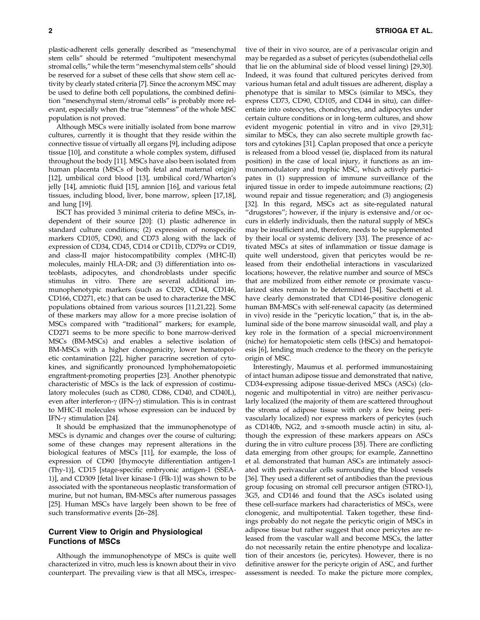plastic-adherent cells generally described as ''mesenchymal stem cells'' should be retermed ''multipotent mesenchymal stromal cells,'' while the term ''mesenchymal stem cells'' should be reserved for a subset of these cells that show stem cell activity by clearly stated criteria [7]. Since the acronym MSC may be used to define both cell populations, the combined definition ''mesenchymal stem/stromal cells'' is probably more relevant, especially when the true ''stemness'' of the whole MSC population is not proved.

Although MSCs were initially isolated from bone marrow cultures, currently it is thought that they reside within the connective tissue of virtually all organs [9], including adipose tissue [10], and constitute a whole complex system, diffused throughout the body [11]. MSCs have also been isolated from human placenta (MSCs of both fetal and maternal origin) [12], umbilical cord blood [13], umbilical cord/Wharton's jelly [14], amniotic fluid [15], amnion [16], and various fetal tissues, including blood, liver, bone marrow, spleen [17,18], and lung [19].

ISCT has provided 3 minimal criteria to define MSCs, independent of their source [20]: (1) plastic adherence in standard culture conditions; (2) expression of nonspecific markers CD105, CD90, and CD73 along with the lack of expression of CD34, CD45, CD14 or CD11b, CD79a or CD19, and class-II major histocompatibility complex (MHC-II) molecules, mainly HLA-DR; and (3) differentiation into osteoblasts, adipocytes, and chondroblasts under specific stimulus in vitro. There are several additional immunophenotypic markers (such as CD29, CD44, CD146, CD166, CD271, etc.) that can be used to characterize the MSC populations obtained from various sources [11,21,22]. Some of these markers may allow for a more precise isolation of MSCs compared with ''traditional'' markers; for example, CD271 seems to be more specific to bone marrow-derived MSCs (BM-MSCs) and enables a selective isolation of BM-MSCs with a higher clonogenicity, lower hematopoietic contamination [22], higher paracrine secretion of cytokines, and significantly pronounced lymphohematopoietic engraftment-promoting properties [23]. Another phenotypic characteristic of MSCs is the lack of expression of costimulatory molecules (such as CD80, CD86, CD40, and CD40L), even after interferon- $\gamma$  (IFN- $\gamma$ ) stimulation. This is in contrast to MHC-II molecules whose expression can be induced by IFN- $\gamma$  stimulation [24].

It should be emphasized that the immunophenotype of MSCs is dynamic and changes over the course of culturing; some of these changes may represent alterations in the biological features of MSCs [11], for example, the loss of expression of CD90 [thymocyte differentiation antigen-1 (Thy-1)], CD15 [stage-specific embryonic antigen-1 (SSEA-1)], and CD309 [fetal liver kinase-1 (Flk-1)] was shown to be associated with the spontaneous neoplastic transformation of murine, but not human, BM-MSCs after numerous passages [25]. Human MSCs have largely been shown to be free of such transformative events [26–28].

## Current View to Origin and Physiological Functions of MSCs

Although the immunophenotype of MSCs is quite well characterized in vitro, much less is known about their in vivo counterpart. The prevailing view is that all MSCs, irrespective of their in vivo source, are of a perivascular origin and may be regarded as a subset of pericytes (subendothelial cells that lie on the abluminal side of blood vessel lining) [29,30]. Indeed, it was found that cultured pericytes derived from various human fetal and adult tissues are adherent, display a phenotype that is similar to MSCs (similar to MSCs, they express CD73, CD90, CD105, and CD44 in situ), can differentiate into osteocytes, chondrocytes, and adipocytes under certain culture conditions or in long-term cultures, and show evident myogenic potential in vitro and in vivo [29,31]; similar to MSCs, they can also secrete multiple growth factors and cytokines [31]. Caplan proposed that once a pericyte is released from a blood vessel (ie, displaced from its natural position) in the case of local injury, it functions as an immunomodulatory and trophic MSC, which actively participates in (1) suppression of immune surveillance of the injured tissue in order to impede autoimmune reactions; (2) wound repair and tissue regeneration; and (3) angiogenesis [32]. In this regard, MSCs act as site-regulated natural ''drugstores''; however, if the injury is extensive and/or occurs in elderly individuals, then the natural supply of MSCs may be insufficient and, therefore, needs to be supplemented by their local or systemic delivery [33]. The presence of activated MSCs at sites of inflammation or tissue damage is quite well understood, given that pericytes would be released from their endothelial interactions in vascularized locations; however, the relative number and source of MSCs that are mobilized from either remote or proximate vascularized sites remain to be determined [34]. Sacchetti et al. have clearly demonstrated that CD146-positive clonogenic human BM-MSCs with self-renewal capacity (as determined in vivo) reside in the ''pericytic location,'' that is, in the abluminal side of the bone marrow sinusoidal wall, and play a key role in the formation of a special microenvironment (niche) for hematopoietic stem cells (HSCs) and hematopoiesis [6], lending much credence to the theory on the pericyte origin of MSC.

Interestingly, Maumus et al. performed immunostaining of intact human adipose tissue and demonstrated that native, CD34-expressing adipose tissue-derived MSCs (ASCs) (clonogenic and multipotential in vitro) are neither perivascularly localized (the majority of them are scattered throughout the stroma of adipose tissue with only a few being perivascularly localized) nor express markers of pericytes (such as CD140b, NG2, and  $\alpha$ -smooth muscle actin) in situ, although the expression of these markers appears on ASCs during the in vitro culture process [35]. There are conflicting data emerging from other groups; for example, Zannettino et al. demonstrated that human ASCs are intimately associated with perivascular cells surrounding the blood vessels [36]. They used a different set of antibodies than the previous group focusing on stromal cell precursor antigen (STRO-1), 3G5, and CD146 and found that the ASCs isolated using these cell-surface markers had characteristics of MSCs, were clonogenic, and multipotential. Taken together, these findings probably do not negate the pericytic origin of MSCs in adipose tissue but rather suggest that once pericytes are released from the vascular wall and become MSCs, the latter do not necessarily retain the entire phenotype and localization of their ancestors (ie, pericytes). However, there is no definitive answer for the pericyte origin of ASC, and further assessment is needed. To make the picture more complex,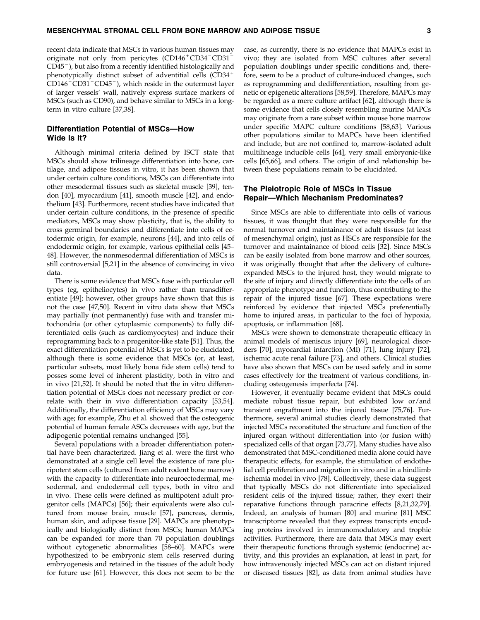recent data indicate that MSCs in various human tissues may originate not only from pericytes  $(CD146<sup>+</sup>CD34<sup>-</sup>CD31<sup>-</sup>$ CD45<sup>-</sup>), but also from a recently identified histologically and phenotypically distinct subset of adventitial cells (CD34<sup>+</sup> CD146<sup>-</sup>CD31<sup>-</sup>CD45<sup>-</sup>), which reside in the outermost layer of larger vessels' wall, natively express surface markers of MSCs (such as CD90), and behave similar to MSCs in a longterm in vitro culture [37,38].

# Differentiation Potential of MSCs—How Wide Is It?

Although minimal criteria defined by ISCT state that MSCs should show trilineage differentiation into bone, cartilage, and adipose tissues in vitro, it has been shown that under certain culture conditions, MSCs can differentiate into other mesodermal tissues such as skeletal muscle [39], tendon [40], myocardium [41], smooth muscle [42], and endothelium [43]. Furthermore, recent studies have indicated that under certain culture conditions, in the presence of specific mediators, MSCs may show plasticity, that is, the ability to cross germinal boundaries and differentiate into cells of ectodermic origin, for example, neurons [44], and into cells of endodermic origin, for example, various epithelial cells [45– 48]. However, the nonmesodermal differentiation of MSCs is still controversial [5,21] in the absence of convincing in vivo data.

There is some evidence that MSCs fuse with particular cell types (eg, epitheliocytes) in vivo rather than transdifferentiate [49]; however, other groups have shown that this is not the case [47,50]. Recent in vitro data show that MSCs may partially (not permanently) fuse with and transfer mitochondria (or other cytoplasmic components) to fully differentiated cells (such as cardiomyocytes) and induce their reprogramming back to a progenitor-like state [51]. Thus, the exact differentiation potential of MSCs is yet to be elucidated, although there is some evidence that MSCs (or, at least, particular subsets, most likely bona fide stem cells) tend to posses some level of inherent plasticity, both in vitro and in vivo [21,52]. It should be noted that the in vitro differentiation potential of MSCs does not necessary predict or correlate with their in vivo differentiation capacity [53,54]. Additionally, the differentiation efficiency of MSCs may vary with age; for example, Zhu et al. showed that the osteogenic potential of human female ASCs decreases with age, but the adipogenic potential remains unchanged [55].

Several populations with a broader differentiation potential have been characterized. Jiang et al. were the first who demonstrated at a single cell level the existence of rare pluripotent stem cells (cultured from adult rodent bone marrow) with the capacity to differentiate into neuroectodermal, mesodermal, and endodermal cell types, both in vitro and in vivo. These cells were defined as multipotent adult progenitor cells (MAPCs) [56]; their equivalents were also cultured from mouse brain, muscle [57], pancreas, dermis, human skin, and adipose tissue [29]. MAPCs are phenotypically and biologically distinct from MSCs; human MAPCs can be expanded for more than 70 population doublings without cytogenetic abnormalities [58–60]. MAPCs were hypothesized to be embryonic stem cells reserved during embryogenesis and retained in the tissues of the adult body for future use [61]. However, this does not seem to be the case, as currently, there is no evidence that MAPCs exist in vivo; they are isolated from MSC cultures after several population doublings under specific conditions and, therefore, seem to be a product of culture-induced changes, such as reprogramming and dedifferentiation, resulting from genetic or epigenetic alterations [58,59]. Therefore, MAPCs may be regarded as a mere culture artifact [62], although there is some evidence that cells closely resembling murine MAPCs may originate from a rare subset within mouse bone marrow under specific MAPC culture conditions [58,63]. Various other populations similar to MAPCs have been identified and include, but are not confined to, marrow-isolated adult multilineage inducible cells [64], very small embryonic-like cells [65,66], and others. The origin of and relationship between these populations remain to be elucidated.

# The Pleiotropic Role of MSCs in Tissue Repair—Which Mechanism Predominates?

Since MSCs are able to differentiate into cells of various tissues, it was thought that they were responsible for the normal turnover and maintainance of adult tissues (at least of mesenchymal origin), just as HSCs are responsible for the turnover and maintainance of blood cells [32]. Since MSCs can be easily isolated from bone marrow and other sources, it was originally thought that after the delivery of cultureexpanded MSCs to the injured host, they would migrate to the site of injury and directly differentiate into the cells of an appropriate phenotype and function, thus contributing to the repair of the injured tissue [67]. These expectations were reinforced by evidence that injected MSCs preferentially home to injured areas, in particular to the foci of hypoxia, apoptosis, or inflammation [68].

MSCs were shown to demonstrate therapeutic efficacy in animal models of meniscus injury [69], neurological disorders [70], myocardial infarction (MI) [71], lung injury [72], ischemic acute renal failure [73], and others. Clinical studies have also shown that MSCs can be used safely and in some cases effectively for the treatment of various conditions, including osteogenesis imperfecta [74].

However, it eventually became evident that MSCs could mediate robust tissue repair, but exhibited low or/and transient engraftment into the injured tissue [75,76]. Furthermore, several animal studies clearly demonstrated that injected MSCs reconstituted the structure and function of the injured organ without differentiation into (or fusion with) specialized cells of that organ [73,77]. Many studies have also demonstrated that MSC-conditioned media alone could have therapeutic effects, for example, the stimulation of endothelial cell proliferation and migration in vitro and in a hindlimb ischemia model in vivo [78]. Collectively, these data suggest that typically MSCs do not differentiate into specialized resident cells of the injured tissue; rather, they exert their reparative functions through paracrine effects [8,21,32,79]. Indeed, an analysis of human [80] and murine [81] MSC transcriptome revealed that they express transcripts encoding proteins involved in immunomodulatory and trophic activities. Furthermore, there are data that MSCs may exert their therapeutic functions through systemic (endocrine) activity, and this provides an explanation, at least in part, for how intravenously injected MSCs can act on distant injured or diseased tissues [82], as data from animal studies have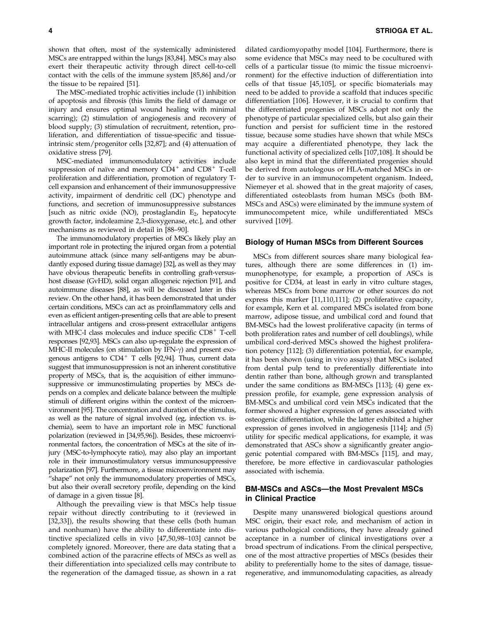shown that often, most of the systemically administered MSCs are entrapped within the lungs [83,84]. MSCs may also exert their therapeutic activity through direct cell-to-cell contact with the cells of the immune system [85,86] and/or the tissue to be repaired [51].

The MSC-mediated trophic activities include (1) inhibition of apoptosis and fibrosis (this limits the field of damage or injury and ensures optimal wound healing with minimal scarring); (2) stimulation of angiogenesis and recovery of blood supply; (3) stimulation of recruitment, retention, proliferation, and differentiation of tissue-specific and tissueintrinsic stem/progenitor cells [32,87]; and (4) attenuation of oxidative stress [79].

MSC-mediated immunomodulatory activities include suppression of naïve and memory  $CD4^+$  and  $CD8^+$  T-cell proliferation and differentiation, promotion of regulatory Tcell expansion and enhancement of their immunosuppressive activity, impairment of dendritic cell (DC) phenotype and functions, and secretion of immunosuppressive substances [such as nitric oxide (NO), prostaglandin  $E_2$ , hepatocyte growth factor, indoleamine 2,3-dioxygenase, etc.], and other mechanisms as reviewed in detail in [88–90].

The immunomodulatory properties of MSCs likely play an important role in protecting the injured organ from a potential autoimmune attack (since many self-antigens may be abundantly exposed during tissue damage) [32], as well as they may have obvious therapeutic benefits in controlling graft-versushost disease (GvHD), solid organ allogeneic rejection [91], and autoimmune diseases [88], as will be discussed later in this review. On the other hand, it has been demonstrated that under certain conditions, MSCs can act as proinflammatory cells and even as efficient antigen-presenting cells that are able to present intracellular antigens and cross-present extracellular antigens with MHC-I class molecules and induce specific CD8<sup>+</sup> T-cell responses [92,93]. MSCs can also up-regulate the expression of MHC-II molecules (on stimulation by IFN- $\gamma$ ) and present exogenous antigens to  $CD4^+$  T cells [92,94]. Thus, current data suggest that immunosuppression is not an inherent constitutive property of MSCs, that is, the acquisition of either immunosuppressive or immunostimulating properties by MSCs depends on a complex and delicate balance between the multiple stimuli of different origins within the context of the microenvironment [95]. The concentration and duration of the stimulus, as well as the nature of signal involved (eg, infection vs. ischemia), seem to have an important role in MSC functional polarization (reviewed in [34,95,96]). Besides, these microenvironmental factors, the concentration of MSCs at the site of injury (MSC-to-lymphocyte ratio), may also play an important role in their immunostimulatory versus immunosuppressive polarization [97]. Furthermore, a tissue microenvironment may ''shape'' not only the immunomodulatory properties of MSCs, but also their overall secretory profile, depending on the kind of damage in a given tissue [8].

Although the prevailing view is that MSCs help tissue repair without directly contributing to it (reviewed in [32,33]), the results showing that these cells (both human and nonhuman) have the ability to differentiate into distinctive specialized cells in vivo [47,50,98–103] cannot be completely ignored. Moreover, there are data stating that a combined action of the paracrine effects of MSCs as well as their differentiation into specialized cells may contribute to the regeneration of the damaged tissue, as shown in a rat dilated cardiomyopathy model [104]. Furthermore, there is some evidence that MSCs may need to be cocultured with cells of a particular tissue (to mimic the tissue microenvironment) for the effective induction of differentiation into cells of that tissue [45,105], or specific biomaterials may need to be added to provide a scaffold that induces specific differentiation [106]. However, it is crucial to confirm that the differentiated progenies of MSCs adopt not only the phenotype of particular specialized cells, but also gain their function and persist for sufficient time in the restored tissue, because some studies have shown that while MSCs may acquire a differentiated phenotype, they lack the functional activity of specialized cells [107,108]. It should be also kept in mind that the differentiated progenies should be derived from autologous or HLA-matched MSCs in order to survive in an immunocompetent organism. Indeed, Niemeyer et al. showed that in the great majority of cases, differentiated osteoblasts from human MSCs (both BM-MSCs and ASCs) were eliminated by the immune system of immunocompetent mice, while undifferentiated MSCs survived [109].

#### Biology of Human MSCs from Different Sources

MSCs from different sources share many biological features, although there are some differences in (1) immunophenotype, for example, a proportion of ASCs is positive for CD34, at least in early in vitro culture stages, whereas MSCs from bone marrow or other sources do not express this marker [11,110,111]; (2) proliferative capacity, for example, Kern et al. compared MSCs isolated from bone marrow, adipose tissue, and umbilical cord and found that BM-MSCs had the lowest proliferative capacity (in terms of both proliferation rates and number of cell doublings), while umbilical cord-derived MSCs showed the highest proliferation potency [112]; (3) differentiation potential, for example, it has been shown (using in vivo assays) that MSCs isolated from dental pulp tend to preferentially differentiate into dentin rather than bone, although grown and transplanted under the same conditions as BM-MSCs [113]; (4) gene expression profile, for example, gene expression analysis of BM-MSCs and umbilical cord vein MSCs indicated that the former showed a higher expression of genes associated with osteogenic differentiation, while the latter exhibited a higher expression of genes involved in angiogenesis [114]; and (5) utility for specific medical applications, for example, it was demonstrated that ASCs show a significantly greater angiogenic potential compared with BM-MSCs [115], and may, therefore, be more effective in cardiovascular pathologies associated with ischemia.

## BM-MSCs and ASCs—the Most Prevalent MSCs in Clinical Practice

Despite many unanswered biological questions around MSC origin, their exact role, and mechanism of action in various pathological conditions, they have already gained acceptance in a number of clinical investigations over a broad spectrum of indications. From the clinical perspective, one of the most attractive properties of MSCs (besides their ability to preferentially home to the sites of damage, tissueregenerative, and immunomodulating capacities, as already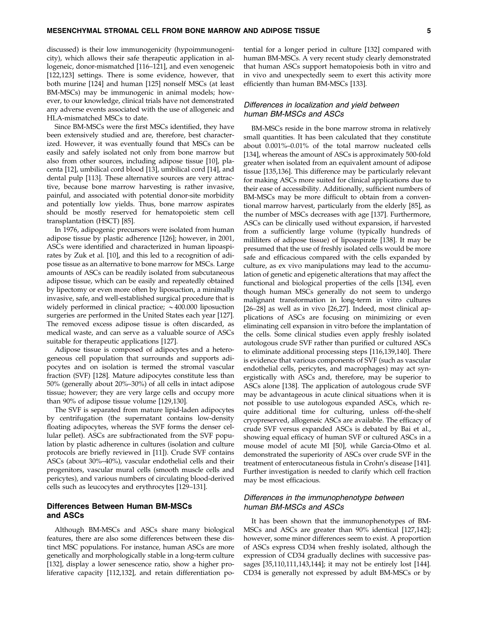discussed) is their low immunogenicity (hypoimmunogenicity), which allows their safe therapeutic application in allogeneic, donor-mismatched [116–121], and even xenogeneic [122,123] settings. There is some evidence, however, that both murine [124] and human [125] nonself MSCs (at least BM-MSCs) may be immunogenic in animal models; however, to our knowledge, clinical trials have not demonstrated any adverse events associated with the use of allogeneic and HLA-mismatched MSCs to date.

Since BM-MSCs were the first MSCs identified, they have been extensively studied and are, therefore, best characterized. However, it was eventually found that MSCs can be easily and safely isolated not only from bone marrow but also from other sources, including adipose tissue [10], placenta [12], umbilical cord blood [13], umbilical cord [14], and dental pulp [113]. These alternative sources are very attractive, because bone marrow harvesting is rather invasive, painful, and associated with potential donor-site morbidity and potentially low yields. Thus, bone marrow aspirates should be mostly reserved for hematopoietic stem cell transplantation (HSCT) [85].

In 1976, adipogenic precursors were isolated from human adipose tissue by plastic adherence [126]; however, in 2001, ASCs were identified and characterized in human lipoaspirates by Zuk et al. [10], and this led to a recognition of adipose tissue as an alternative to bone marrow for MSCs. Large amounts of ASCs can be readily isolated from subcutaneous adipose tissue, which can be easily and repeatedly obtained by lipectomy or even more often by liposuction, a minimally invasive, safe, and well-established surgical procedure that is widely performed in clinical practice;  $\sim$  400.000 liposuction surgeries are performed in the United States each year [127]. The removed excess adipose tissue is often discarded, as medical waste, and can serve as a valuable source of ASCs suitable for therapeutic applications [127].

Adipose tissue is composed of adipocytes and a heterogeneous cell population that surrounds and supports adipocytes and on isolation is termed the stromal vascular fraction (SVF) [128]. Mature adipocytes constitute less than 50% (generally about 20%–30%) of all cells in intact adipose tissue; however; they are very large cells and occupy more than 90% of adipose tissue volume [129,130].

The SVF is separated from mature lipid-laden adipocytes by centrifugation (the supernatant contains low-density floating adipocytes, whereas the SVF forms the denser cellular pellet). ASCs are subfractionated from the SVF population by plastic adherence in cultures (isolation and culture protocols are briefly reviewed in [11]). Crude SVF contains ASCs (about 30%–40%), vascular endothelial cells and their progenitors, vascular mural cells (smooth muscle cells and pericytes), and various numbers of circulating blood-derived cells such as leucocytes and erythrocytes [129–131].

## Differences Between Human BM-MSCs and ASCs

Although BM-MSCs and ASCs share many biological features, there are also some differences between these distinct MSC populations. For instance, human ASCs are more genetically and morphologically stable in a long-term culture [132], display a lower senescence ratio, show a higher proliferative capacity [112,132], and retain differentiation po-

tential for a longer period in culture [132] compared with human BM-MSCs. A very recent study clearly demonstrated that human ASCs support hematopoiesis both in vitro and in vivo and unexpectedly seem to exert this activity more efficiently than human BM-MSCs [133].

# Differences in localization and yield between human BM-MSCs and ASCs

BM-MSCs reside in the bone marrow stroma in relatively small quantities. It has been calculated that they constitute about 0.001%–0.01% of the total marrow nucleated cells [134], whereas the amount of ASCs is approximately 500-fold greater when isolated from an equivalent amount of adipose tissue [135,136]. This difference may be particularly relevant for making ASCs more suited for clinical applications due to their ease of accessibility. Additionally, sufficient numbers of BM-MSCs may be more difficult to obtain from a conventional marrow harvest, particularly from the elderly [85], as the number of MSCs decreases with age [137]. Furthermore, ASCs can be clinically used without expansion, if harvested from a sufficiently large volume (typically hundreds of mililiters of adipose tissue) of lipoaspirate [138]. It may be presumed that the use of freshly isolated cells would be more safe and efficacious compared with the cells expanded by culture, as ex vivo manipulations may lead to the accumulation of genetic and epigenetic alterations that may affect the functional and biological properties of the cells [134], even though human MSCs generally do not seem to undergo malignant transformation in long-term in vitro cultures [26–28] as well as in vivo [26,27]. Indeed, most clinical applications of ASCs are focusing on minimizing or even eliminating cell expansion in vitro before the implantation of the cells. Some clinical studies even apply freshly isolated autologous crude SVF rather than purified or cultured ASCs to eliminate additional processing steps [116,139,140]. There is evidence that various components of SVF (such as vascular endothelial cells, pericytes, and macrophages) may act synergistically with ASCs and, therefore, may be superior to ASCs alone [138]. The application of autologous crude SVF may be advantageous in acute clinical situations when it is not possible to use autologous expanded ASCs, which require additional time for culturing, unless off-the-shelf cryopreserved, allogeneic ASCs are available. The efficacy of crude SVF versus expanded ASCs is debated by Bai et al., showing equal efficacy of human SVF or cultured ASCs in a mouse model of acute MI [50], while Garcia-Olmo et al. demonstrated the superiority of ASCs over crude SVF in the treatment of enterocutaneous fistula in Crohn's disease [141]. Further investigation is needed to clarify which cell fraction may be most efficacious.

## Differences in the immunophenotype between human BM-MSCs and ASCs

It has been shown that the immunophenotypes of BM-MSCs and ASCs are greater than 90% identical [127,142]; however, some minor differences seem to exist. A proportion of ASCs express CD34 when freshly isolated, although the expression of CD34 gradually declines with successive passages [35,110,111,143,144]; it may not be entirely lost [144]. CD34 is generally not expressed by adult BM-MSCs or by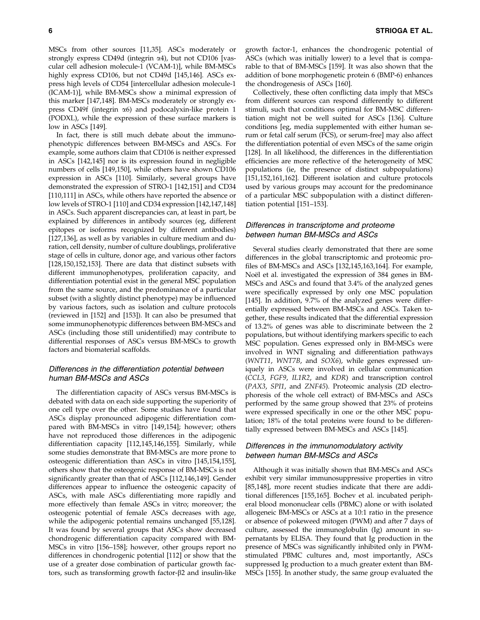MSCs from other sources [11,35]. ASCs moderately or strongly express CD49d (integrin  $\alpha$ 4), but not CD106 [vascular cell adhesion molecule-1 (VCAM-1)], while BM-MSCs highly express CD106, but not CD49d [145,146]. ASCs express high levels of CD54 [intercellular adhesion molecule-1 (ICAM-1)], while BM-MSCs show a minimal expression of this marker [147,148]. BM-MSCs moderately or strongly express CD49f (integrin  $\alpha$ 6) and podocalyxin-like protein 1 (PODXL), while the expression of these surface markers is low in ASCs [149].

In fact, there is still much debate about the immunophenotypic differences between BM-MSCs and ASCs. For example, some authors claim that CD106 is neither expressed in ASCs [142,145] nor is its expression found in negligible numbers of cells [149,150], while others have shown CD106 expression in ASCs [110]. Similarly, several groups have demonstrated the expression of STRO-1 [142,151] and CD34 [110,111] in ASCs, while others have reported the absence or low levels of STRO-1 [110] and CD34 expression [142,147,148] in ASCs. Such apparent discrepancies can, at least in part, be explained by differences in antibody sources (eg, different epitopes or isoforms recognized by different antibodies) [127,136], as well as by variables in culture medium and duration, cell density, number of culture doublings, proliferative stage of cells in culture, donor age, and various other factors [128,150,152,153]. There are data that distinct subsets with different immunophenotypes, proliferation capacity, and differentiation potential exist in the general MSC population from the same source, and the predominance of a particular subset (with a slightly distinct phenotype) may be influenced by various factors, such as isolation and culture protocols (reviewed in [152] and [153]). It can also be presumed that some immunophenotypic differences between BM-MSCs and ASCs (including those still unidentified) may contribute to differential responses of ASCs versus BM-MSCs to growth factors and biomaterial scaffolds.

# Differences in the differentiation potential between human BM-MSCs and ASCs

The differentiation capacity of ASCs versus BM-MSCs is debated with data on each side supporting the superiority of one cell type over the other. Some studies have found that ASCs display pronounced adipogenic differentiation compared with BM-MSCs in vitro [149,154]; however; others have not reproduced those differences in the adipogenic differentiation capacity [112,145,146,155]. Similarly, while some studies demonstrate that BM-MSCs are more prone to osteogenic differentiation than ASCs in vitro [145,154,155], others show that the osteogenic response of BM-MSCs is not significantly greater than that of ASCs [112,146,149]. Gender differences appear to influence the osteogenic capacity of ASCs, with male ASCs differentiating more rapidly and more effectively than female ASCs in vitro; moreover; the osteogenic potential of female ASCs decreases with age, while the adipogenic potential remains unchanged [55,128]. It was found by several groups that ASCs show decreased chondrogenic differentiation capacity compared with BM-MSCs in vitro [156–158]; however, other groups report no differences in chondrogenic potential [112] or show that the use of a greater dose combination of particular growth factors, such as transforming growth factor- $\beta$ 2 and insulin-like growth factor-1, enhances the chondrogenic potential of ASCs (which was initially lower) to a level that is comparable to that of BM-MSCs [159]. It was also shown that the addition of bone morphogenetic protein 6 (BMP-6) enhances the chondrogenesis of ASCs [160].

Collectively, these often conflicting data imply that MSCs from different sources can respond differently to different stimuli, such that conditions optimal for BM-MSC differentiation might not be well suited for ASCs [136]. Culture conditions [eg, media supplemented with either human serum or fetal calf serum (FCS), or serum-free] may also affect the differentiation potential of even MSCs of the same origin [128]. In all likelihood, the differences in the differentiation efficiencies are more reflective of the heterogeneity of MSC populations (ie, the presence of distinct subpopulations) [151,152,161,162]. Different isolation and culture protocols used by various groups may account for the predominance of a particular MSC subpopulation with a distinct differentiation potential [151–153].

## Differences in transcriptome and proteome between human BM-MSCs and ASCs

Several studies clearly demonstrated that there are some differences in the global transcriptomic and proteomic profiles of BM-MSCs and ASCs [132,145,163,164]. For example, Noël et al. investigated the expression of 384 genes in BM-MSCs and ASCs and found that 3.4% of the analyzed genes were specifically expressed by only one MSC population [145]. In addition, 9.7% of the analyzed genes were differentially expressed between BM-MSCs and ASCs. Taken together, these results indicated that the differential expression of 13.2% of genes was able to discriminate between the 2 populations, but without identifying markers specific to each MSC population. Genes expressed only in BM-MSCs were involved in WNT signaling and differentiation pathways (WNT11, WNT7B, and SOX6), while genes expressed uniquely in ASCs were involved in cellular communication (CCL3, FGF9, IL1R2, and KDR) and transcription control (PAX3, SPI1, and ZNF45). Proteomic analysis (2D electrophoresis of the whole cell extract) of BM-MSCs and ASCs performed by the same group showed that 23% of proteins were expressed specifically in one or the other MSC population; 18% of the total proteins were found to be differentially expressed between BM-MSCs and ASCs [145].

## Differences in the immunomodulatory activity between human BM-MSCs and ASCs

Although it was initially shown that BM-MSCs and ASCs exhibit very similar immunosuppressive properties in vitro [85,148], more recent studies indicate that there are additional differences [155,165]. Bochev et al. incubated peripheral blood mononuclear cells (PBMC) alone or with isolated allogeneic BM-MSCs or ASCs at a 10:1 ratio in the presence or absence of pokeweed mitogen (PWM) and after 7 days of culture, assessed the immunoglobulin (Ig) amount in supernatants by ELISA. They found that Ig production in the presence of MSCs was significantly inhibited only in PWMstimulated PBMC cultures and, most importantly, ASCs suppressed Ig production to a much greater extent than BM-MSCs [155]. In another study, the same group evaluated the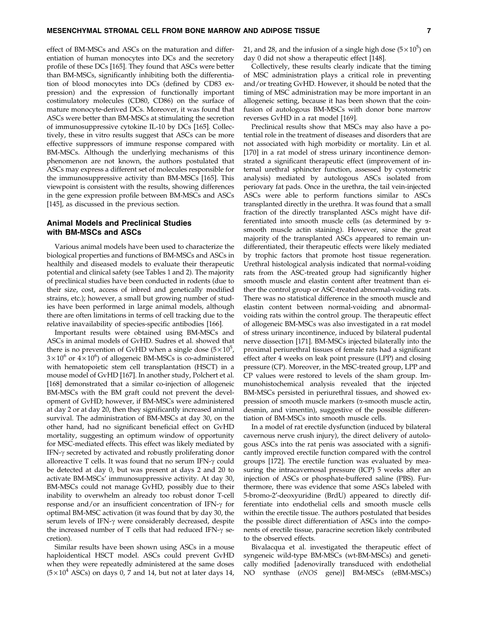effect of BM-MSCs and ASCs on the maturation and differentiation of human monocytes into DCs and the secretory profile of these DCs [165]. They found that ASCs were better than BM-MSCs, significantly inhibiting both the differentiation of blood monocytes into DCs (defined by CD83 expression) and the expression of functionally important costimulatory molecules (CD80, CD86) on the surface of mature monocyte-derived DCs. Moreover, it was found that ASCs were better than BM-MSCs at stimulating the secretion of immunosuppressive cytokine IL-10 by DCs [165]. Collectively, these in vitro results suggest that ASCs can be more effective suppressors of immune response compared with BM-MSCs. Although the underlying mechanisms of this phenomenon are not known, the authors postulated that ASCs may express a different set of molecules responsible for the immunosuppressive activity than BM-MSCs [165]. This viewpoint is consistent with the results, showing differences in the gene expression profile between BM-MSCs and ASCs [145], as discussed in the previous section.

# Animal Models and Preclinical Studies with BM-MSCs and ASCs

Various animal models have been used to characterize the biological properties and functions of BM-MSCs and ASCs in healthily and diseased models to evaluate their therapeutic potential and clinical safety (see Tables 1 and 2). The majority of preclinical studies have been conducted in rodents (due to their size, cost, access of inbred and genetically modified strains, etc.); however, a small but growing number of studies have been performed in large animal models, although there are often limitations in terms of cell tracking due to the relative inavailability of species-specific antibodies [166].

Important results were obtained using BM-MSCs and ASCs in animal models of GvHD. Sudres et al. showed that there is no prevention of GvHD when a single dose  $(5 \times 10^5,$  $3 \times 10^6$  or  $4 \times 10^6$ ) of allogeneic BM-MSCs is co-administered with hematopoietic stem cell transplantation (HSCT) in a mouse model of GvHD [167]. In another study, Polchert et al. [168] demonstrated that a similar co-injection of allogeneic BM-MSCs with the BM graft could not prevent the development of GvHD; however, if BM-MSCs were administered at day 2 or at day 20, then they significantly increased animal survival. The administration of BM-MSCs at day 30, on the other hand, had no significant beneficial effect on GvHD mortality, suggesting an optimum window of opportunity for MSC-mediated effects. This effect was likely mediated by IFN- $\gamma$  secreted by activated and robustly proliferating donor alloreactive T cells. It was found that no serum IFN- $\gamma$  could be detected at day 0, but was present at days 2 and 20 to activate BM-MSCs' immunosuppressive activity. At day 30, BM-MSCs could not manage GvHD, possibly due to their inability to overwhelm an already too robust donor T-cell response and/or an insufficient concentration of IFN- $\gamma$  for optimal BM-MSC activation (it was found that by day 30, the serum levels of IFN- $\gamma$  were considerably decreased, despite the increased number of T cells that had reduced IFN- $\gamma$  secretion).

Similar results have been shown using ASCs in a mouse haploidentical HSCT model. ASCs could prevent GvHD when they were repeatedly administered at the same doses  $(5 \times 10^4$  ASCs) on days 0, 7 and 14, but not at later days 14,

21, and 28, and the infusion of a single high dose ( $5\times10^5$ ) on day 0 did not show a therapeutic effect [148].

Collectively, these results clearly indicate that the timing of MSC administration plays a critical role in preventing and/or treating GvHD. However, it should be noted that the timing of MSC administration may be more important in an allogeneic setting, because it has been shown that the coinfusion of autologous BM-MSCs with donor bone marrow reverses GvHD in a rat model [169].

Preclinical results show that MSCs may also have a potential role in the treatment of diseases and disorders that are not associated with high morbidity or mortality. Lin et al. [170] in a rat model of stress urinary incontinence demonstrated a significant therapeutic effect (improvement of internal urethral sphincter function, assessed by cystometric analysis) mediated by autologous ASCs isolated from periovary fat pads. Once in the urethra, the tail vein-injected ASCs were able to perform functions similar to ASCs transplanted directly in the urethra. It was found that a small fraction of the directly transplanted ASCs might have differentiated into smooth muscle cells (as determined by asmooth muscle actin staining). However, since the great majority of the transplanted ASCs appeared to remain undifferentiated, their therapeutic effects were likely mediated by trophic factors that promote host tissue regeneration. Urethral histological analysis indicated that normal-voiding rats from the ASC-treated group had significantly higher smooth muscle and elastin content after treatment than either the control group or ASC-treated abnormal-voiding rats. There was no statistical difference in the smooth muscle and elastin content between normal-voiding and abnormalvoiding rats within the control group. The therapeutic effect of allogeneic BM-MSCs was also investigated in a rat model of stress urinary incontinence, induced by bilateral pudental nerve dissection [171]. BM-MSCs injected bilaterally into the proximal periurethral tissues of female rats had a significant effect after 4 weeks on leak point pressure (LPP) and closing pressure (CP). Moreover, in the MSC-treated group, LPP and CP values were restored to levels of the sham group. Immunohistochemical analysis revealed that the injected BM-MSCs persisted in periurethral tissues, and showed expression of smooth muscle markers (a-smooth muscle actin, desmin, and vimentin), suggestive of the possible differentiation of BM-MSCs into smooth muscle cells.

In a model of rat erectile dysfunction (induced by bilateral cavernous nerve crush injury), the direct delivery of autologous ASCs into the rat penis was associated with a significantly improved erectile function compared with the control groups [172]. The erectile function was evaluated by measuring the intracavernosal pressure (ICP) 5 weeks after an injection of ASCs or phosphate-buffered saline (PBS). Furthermore, there was evidence that some ASCs labeled with 5-bromo-2¢-deoxyuridine (BrdU) appeared to directly differentiate into endothelial cells and smooth muscle cells within the erectile tissue. The authors postulated that besides the possible direct differentiation of ASCs into the components of erectile tissue, paracrine secretion likely contributed to the observed effects.

Bivalacqua et al. investigated the therapeutic effect of syngeneic wild-type BM-MSCs (wt-BM-MSCs) and genetically modified [adenovirally transduced with endothelial NO synthase (eNOS gene)] BM-MSCs (eBM-MSCs)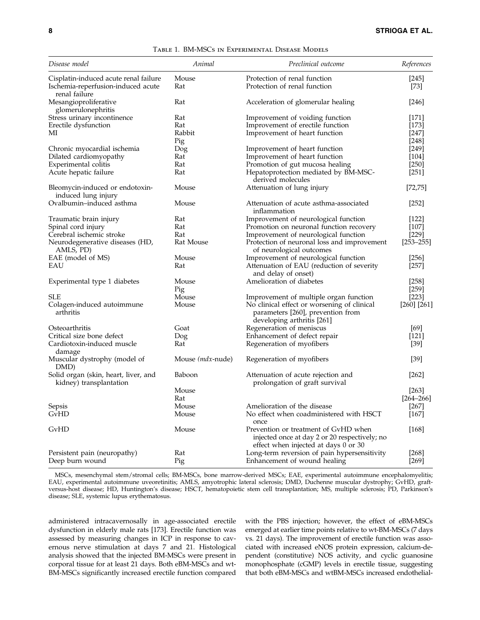| Disease model                                                   | Animal                    | Preclinical outcome                                                                                                           | References         |
|-----------------------------------------------------------------|---------------------------|-------------------------------------------------------------------------------------------------------------------------------|--------------------|
| Cisplatin-induced acute renal failure                           | Mouse                     | Protection of renal function                                                                                                  | $[245]$            |
| Ischemia-reperfusion-induced acute<br>renal failure             | Rat                       | Protection of renal function                                                                                                  | $[73]$             |
| Mesangioproliferative<br>glomerulonephritis                     | Rat                       | Acceleration of glomerular healing                                                                                            | [246]              |
| Stress urinary incontinence                                     | Rat                       | Improvement of voiding function                                                                                               | $[171]$            |
| Erectile dysfunction                                            | Rat                       | Improvement of erectile function                                                                                              | $[173]$            |
| МІ                                                              | Rabbit<br>Pig             | Improvement of heart function                                                                                                 | $[247]$<br>[248]   |
| Chronic myocardial ischemia                                     | Dog                       | Improvement of heart function                                                                                                 | [249]              |
| Dilated cardiomyopathy                                          | Rat                       | Improvement of heart function                                                                                                 | $[104]$            |
| Experimental colitis                                            | Rat                       | Promotion of gut mucosa healing                                                                                               | $[250]$            |
| Acute hepatic failure                                           | Rat                       | Hepatoprotection mediated by BM-MSC-<br>derived molecules                                                                     | $[251]$            |
| Bleomycin-induced or endotoxin-<br>induced lung injury          | Mouse                     | Attenuation of lung injury                                                                                                    | [72, 75]           |
| Ovalbumin-induced asthma                                        | Mouse                     | Attenuation of acute asthma-associated<br>inflammation                                                                        | $[252]$            |
| Traumatic brain injury                                          | Rat                       | Improvement of neurological function                                                                                          | $[122]$            |
| Spinal cord injury                                              | Rat                       | Promotion on neuronal function recovery                                                                                       | $[107]$            |
| Cerebral ischemic stroke                                        | Rat                       | Improvement of neurological function                                                                                          | $[229]$            |
| Neurodegenerative diseases (HD,<br>AMLS, PD)                    | Rat Mouse                 | Protection of neuronal loss and improvement<br>of neurological outcomes                                                       | $[253 - 255]$      |
| EAE (model of MS)                                               | Mouse                     | Improvement of neurological function                                                                                          | [256]              |
| EAU                                                             | Rat                       | Attenuation of EAU (reduction of severity<br>and delay of onset)                                                              | [257]              |
| Experimental type 1 diabetes                                    | Mouse<br>Pig              | Amelioration of diabetes                                                                                                      | $[258]$<br>$[259]$ |
| <b>SLE</b>                                                      | Mouse                     | Improvement of multiple organ function                                                                                        | $[223]$            |
| Colagen-induced autoimmune<br>arthritis                         | Mouse                     | No clinical effect or worsening of clinical<br>parameters [260], prevention from<br>developing arthritis [261]                | [260] [261]        |
| Osteoarthritis                                                  | Goat                      | Regeneration of meniscus                                                                                                      | $[69]$             |
| Critical size bone defect                                       | Dog                       | Enhancement of defect repair                                                                                                  | $[121]$            |
| Cardiotoxin-induced muscle<br>damage                            | Rat                       | Regeneration of myofibers                                                                                                     | [39]               |
| Muscular dystrophy (model of<br>DMD)                            | Mouse ( <i>mdx</i> -nude) | Regeneration of myofibers                                                                                                     | [39]               |
| Solid organ (skin, heart, liver, and<br>kidney) transplantation | Baboon                    | Attenuation of acute rejection and<br>prolongation of graft survival                                                          | $[262]$            |
|                                                                 | Mouse                     |                                                                                                                               | [263]              |
|                                                                 | Rat                       |                                                                                                                               | $[264 - 266]$      |
| Sepsis                                                          | Mouse                     | Amelioration of the disease                                                                                                   | 267                |
| GvHD                                                            | Mouse                     | No effect when coadministered with HSCT<br>once                                                                               | $[167]$            |
| GvHD                                                            | Mouse                     | Prevention or treatment of GvHD when<br>injected once at day 2 or 20 respectively; no<br>effect when injected at days 0 or 30 | $[168]$            |
| Persistent pain (neuropathy)                                    | Rat                       | Long-term reversion of pain hypersensitivity                                                                                  | $[268]$            |

Table 1. BM-MSCs in Experimental Disease Models

MSCs, mesenchymal stem/stromal cells; BM-MSCs, bone marrow-derived MSCs; EAE, experimental autoimmune encephalomyelitis; EAU, experimental autoimmune uveoretinitis; AMLS, amyotrophic lateral sclerosis; DMD, Duchenne muscular dystrophy; GvHD, graftversus-host disease; HD, Huntington's disease; HSCT, hematopoietic stem cell transplantation; MS, multiple sclerosis; PD, Parkinson's disease; SLE, systemic lupus erythematosus.

Deep burn wound Pig Pig Enhancement of wound healing [269]

administered intracavernosally in age-associated erectile dysfunction in elderly male rats [173]. Erectile function was assessed by measuring changes in ICP in response to cavernous nerve stimulation at days 7 and 21. Histological analysis showed that the injected BM-MSCs were present in corporal tissue for at least 21 days. Both eBM-MSCs and wt-BM-MSCs significantly increased erectile function compared with the PBS injection; however, the effect of eBM-MSCs emerged at earlier time points relative to wt-BM-MSCs (7 days vs. 21 days). The improvement of erectile function was associated with increased eNOS protein expression, calcium-dependent (constitutive) NOS activity, and cyclic guanosine monophosphate (cGMP) levels in erectile tissue, suggesting that both eBM-MSCs and wtBM-MSCs increased endothelial-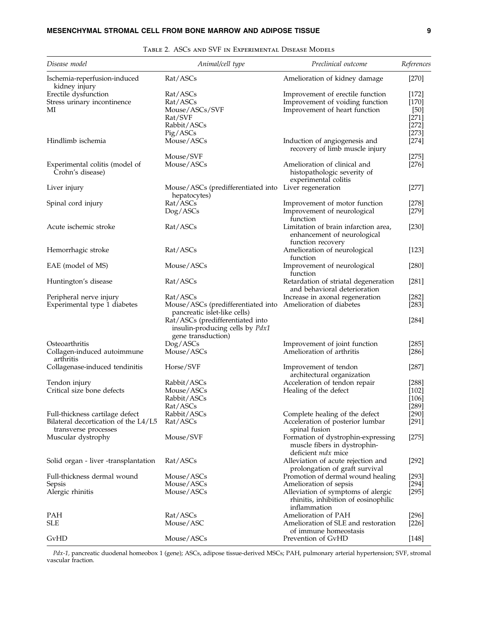| $[270]$<br>Ischemia-reperfusion-induced<br>Rat/ASCs<br>Amelioration of kidney damage<br>kidney injury<br>Erectile dysfunction<br>Rat/ASCs<br>Improvement of erectile function<br>$[172]$<br>Stress urinary incontinence<br>Rat/ASCs<br>Improvement of voiding function<br>$[170]$<br>$\rm MI$<br>$[50]$<br>Mouse/ASCs/SVF<br>Improvement of heart function<br>$[271]$<br>Rat/SVF<br>$[272]$<br>Rabbit/ASCs<br>$[273]$<br>Pig/ASCs<br>$[274]$<br>Mouse/ASCs<br>Induction of angiogenesis and<br>recovery of limb muscle injury<br>Mouse/SVF<br>$[275]$<br>$[276]$<br>Mouse/ASCs<br>Amelioration of clinical and<br>Experimental colitis (model of<br>Crohn's disease)<br>histopathologic severity of<br>experimental colitis<br>Mouse/ASCs (predifferentiated into Liver regeneration<br>$[277]$<br>Liver injury<br>hepatocytes)<br>Rat/ASCs<br>Spinal cord injury<br>Improvement of motor function<br>$[278]$<br>$[279]$<br>Dog/ASCs<br>Improvement of neurological<br>function<br>Rat/ASCs<br>Acute ischemic stroke<br>Limitation of brain infarction area,<br>$[230]$<br>enhancement of neurological<br>function recovery<br>$[123]$<br>Hemorrhagic stroke<br>Rat/ASCs<br>Amelioration of neurological<br>function<br>Mouse/ASCs<br>$[280]$<br>EAE (model of MS)<br>Improvement of neurological<br>function<br>Huntington's disease<br>Rat/ASCs<br>Retardation of striatal degeneration<br>$[281]$<br>and behavioral deterioration<br>Peripheral nerve injury<br>Rat/ASCs<br>Increase in axonal regeneration<br>$[282]$<br>$[283]$<br>Experimental type 1 diabetes<br>Mouse/ASCs (predifferentiated into<br>Amelioration of diabetes<br>pancreatic islet-like cells)<br>Rat/ASCs (predifferentiated into<br>$[284]$<br>insulin-producing cells by Pdx1<br>gene transduction)<br>Osteoarthritis<br>Dog/ASCs<br>Improvement of joint function<br>$[285]$<br>Mouse/ASCs<br>$[286]$<br>Collagen-induced autoimmune<br>Amelioration of arthritis<br>arthritis<br>Horse/SVF<br>Collagenase-induced tendinitis<br>$[287]$<br>Improvement of tendon<br>architectural organization<br>Rabbit/ASCs<br>Acceleration of tendon repair<br>$[288]$<br>Tendon injury<br>Critical size bone defects<br>Mouse/ASCs<br>Healing of the defect<br>$[102]$<br>$[106]$<br>Rabbit/ASCs<br>[289]<br>Rat/ASCs<br>Complete healing of the defect<br>$[290]$<br>Full-thickness cartilage defect<br>Rabbit/ASCs<br>$[291]$<br>Bilateral decortication of the L4/L5<br>Acceleration of posterior lumbar<br>Rat/ASCs<br>spinal fusion<br>transverse processes<br>Mouse/SVF<br>$[275]$<br>Muscular dystrophy<br>Formation of dystrophin-expressing<br>muscle fibers in dystrophin-<br>deficient <i>mdx</i> mice<br>$[292]$<br>Solid organ - liver -transplantation<br>Rat/ASCs<br>Alleviation of acute rejection and<br>prolongation of graft survival<br>Full-thickness dermal wound<br>Mouse/ASCs<br>$[293]$<br>Promotion of dermal wound healing<br>$[294]$<br>Sepsis<br>Mouse/ASCs<br>Amelioration of sepsis<br>$[295]$<br>Alergic rhinitis<br>Mouse/ASCs<br>Alleviation of symptoms of alergic<br>rhinitis, inhibition of eosinophilic<br>inflammation<br>PAH<br>Rat/ASCs<br>Amelioration of PAH<br>$[296]$<br><b>SLE</b><br>Amelioration of SLE and restoration<br>$[226]$<br>Mouse/ASC<br>of immune homeostasis<br>GvHD<br>Mouse/ASCs<br>Prevention of GvHD<br>[148] | Disease model     | Animal/cell type | Preclinical outcome | References |
|------------------------------------------------------------------------------------------------------------------------------------------------------------------------------------------------------------------------------------------------------------------------------------------------------------------------------------------------------------------------------------------------------------------------------------------------------------------------------------------------------------------------------------------------------------------------------------------------------------------------------------------------------------------------------------------------------------------------------------------------------------------------------------------------------------------------------------------------------------------------------------------------------------------------------------------------------------------------------------------------------------------------------------------------------------------------------------------------------------------------------------------------------------------------------------------------------------------------------------------------------------------------------------------------------------------------------------------------------------------------------------------------------------------------------------------------------------------------------------------------------------------------------------------------------------------------------------------------------------------------------------------------------------------------------------------------------------------------------------------------------------------------------------------------------------------------------------------------------------------------------------------------------------------------------------------------------------------------------------------------------------------------------------------------------------------------------------------------------------------------------------------------------------------------------------------------------------------------------------------------------------------------------------------------------------------------------------------------------------------------------------------------------------------------------------------------------------------------------------------------------------------------------------------------------------------------------------------------------------------------------------------------------------------------------------------------------------------------------------------------------------------------------------------------------------------------------------------------------------------------------------------------------------------------------------------------------------------------------------------------------------------------------------------------------------------------------------------------------------------------------------------------------------------------------------------------------------------------------------------------------------------------------------------------------------------------------------------------|-------------------|------------------|---------------------|------------|
|                                                                                                                                                                                                                                                                                                                                                                                                                                                                                                                                                                                                                                                                                                                                                                                                                                                                                                                                                                                                                                                                                                                                                                                                                                                                                                                                                                                                                                                                                                                                                                                                                                                                                                                                                                                                                                                                                                                                                                                                                                                                                                                                                                                                                                                                                                                                                                                                                                                                                                                                                                                                                                                                                                                                                                                                                                                                                                                                                                                                                                                                                                                                                                                                                                                                                                                                                |                   |                  |                     |            |
|                                                                                                                                                                                                                                                                                                                                                                                                                                                                                                                                                                                                                                                                                                                                                                                                                                                                                                                                                                                                                                                                                                                                                                                                                                                                                                                                                                                                                                                                                                                                                                                                                                                                                                                                                                                                                                                                                                                                                                                                                                                                                                                                                                                                                                                                                                                                                                                                                                                                                                                                                                                                                                                                                                                                                                                                                                                                                                                                                                                                                                                                                                                                                                                                                                                                                                                                                |                   |                  |                     |            |
|                                                                                                                                                                                                                                                                                                                                                                                                                                                                                                                                                                                                                                                                                                                                                                                                                                                                                                                                                                                                                                                                                                                                                                                                                                                                                                                                                                                                                                                                                                                                                                                                                                                                                                                                                                                                                                                                                                                                                                                                                                                                                                                                                                                                                                                                                                                                                                                                                                                                                                                                                                                                                                                                                                                                                                                                                                                                                                                                                                                                                                                                                                                                                                                                                                                                                                                                                |                   |                  |                     |            |
|                                                                                                                                                                                                                                                                                                                                                                                                                                                                                                                                                                                                                                                                                                                                                                                                                                                                                                                                                                                                                                                                                                                                                                                                                                                                                                                                                                                                                                                                                                                                                                                                                                                                                                                                                                                                                                                                                                                                                                                                                                                                                                                                                                                                                                                                                                                                                                                                                                                                                                                                                                                                                                                                                                                                                                                                                                                                                                                                                                                                                                                                                                                                                                                                                                                                                                                                                |                   |                  |                     |            |
|                                                                                                                                                                                                                                                                                                                                                                                                                                                                                                                                                                                                                                                                                                                                                                                                                                                                                                                                                                                                                                                                                                                                                                                                                                                                                                                                                                                                                                                                                                                                                                                                                                                                                                                                                                                                                                                                                                                                                                                                                                                                                                                                                                                                                                                                                                                                                                                                                                                                                                                                                                                                                                                                                                                                                                                                                                                                                                                                                                                                                                                                                                                                                                                                                                                                                                                                                |                   |                  |                     |            |
|                                                                                                                                                                                                                                                                                                                                                                                                                                                                                                                                                                                                                                                                                                                                                                                                                                                                                                                                                                                                                                                                                                                                                                                                                                                                                                                                                                                                                                                                                                                                                                                                                                                                                                                                                                                                                                                                                                                                                                                                                                                                                                                                                                                                                                                                                                                                                                                                                                                                                                                                                                                                                                                                                                                                                                                                                                                                                                                                                                                                                                                                                                                                                                                                                                                                                                                                                |                   |                  |                     |            |
|                                                                                                                                                                                                                                                                                                                                                                                                                                                                                                                                                                                                                                                                                                                                                                                                                                                                                                                                                                                                                                                                                                                                                                                                                                                                                                                                                                                                                                                                                                                                                                                                                                                                                                                                                                                                                                                                                                                                                                                                                                                                                                                                                                                                                                                                                                                                                                                                                                                                                                                                                                                                                                                                                                                                                                                                                                                                                                                                                                                                                                                                                                                                                                                                                                                                                                                                                |                   |                  |                     |            |
|                                                                                                                                                                                                                                                                                                                                                                                                                                                                                                                                                                                                                                                                                                                                                                                                                                                                                                                                                                                                                                                                                                                                                                                                                                                                                                                                                                                                                                                                                                                                                                                                                                                                                                                                                                                                                                                                                                                                                                                                                                                                                                                                                                                                                                                                                                                                                                                                                                                                                                                                                                                                                                                                                                                                                                                                                                                                                                                                                                                                                                                                                                                                                                                                                                                                                                                                                |                   |                  |                     |            |
|                                                                                                                                                                                                                                                                                                                                                                                                                                                                                                                                                                                                                                                                                                                                                                                                                                                                                                                                                                                                                                                                                                                                                                                                                                                                                                                                                                                                                                                                                                                                                                                                                                                                                                                                                                                                                                                                                                                                                                                                                                                                                                                                                                                                                                                                                                                                                                                                                                                                                                                                                                                                                                                                                                                                                                                                                                                                                                                                                                                                                                                                                                                                                                                                                                                                                                                                                | Hindlimb ischemia |                  |                     |            |
|                                                                                                                                                                                                                                                                                                                                                                                                                                                                                                                                                                                                                                                                                                                                                                                                                                                                                                                                                                                                                                                                                                                                                                                                                                                                                                                                                                                                                                                                                                                                                                                                                                                                                                                                                                                                                                                                                                                                                                                                                                                                                                                                                                                                                                                                                                                                                                                                                                                                                                                                                                                                                                                                                                                                                                                                                                                                                                                                                                                                                                                                                                                                                                                                                                                                                                                                                |                   |                  |                     |            |
|                                                                                                                                                                                                                                                                                                                                                                                                                                                                                                                                                                                                                                                                                                                                                                                                                                                                                                                                                                                                                                                                                                                                                                                                                                                                                                                                                                                                                                                                                                                                                                                                                                                                                                                                                                                                                                                                                                                                                                                                                                                                                                                                                                                                                                                                                                                                                                                                                                                                                                                                                                                                                                                                                                                                                                                                                                                                                                                                                                                                                                                                                                                                                                                                                                                                                                                                                |                   |                  |                     |            |
|                                                                                                                                                                                                                                                                                                                                                                                                                                                                                                                                                                                                                                                                                                                                                                                                                                                                                                                                                                                                                                                                                                                                                                                                                                                                                                                                                                                                                                                                                                                                                                                                                                                                                                                                                                                                                                                                                                                                                                                                                                                                                                                                                                                                                                                                                                                                                                                                                                                                                                                                                                                                                                                                                                                                                                                                                                                                                                                                                                                                                                                                                                                                                                                                                                                                                                                                                |                   |                  |                     |            |
|                                                                                                                                                                                                                                                                                                                                                                                                                                                                                                                                                                                                                                                                                                                                                                                                                                                                                                                                                                                                                                                                                                                                                                                                                                                                                                                                                                                                                                                                                                                                                                                                                                                                                                                                                                                                                                                                                                                                                                                                                                                                                                                                                                                                                                                                                                                                                                                                                                                                                                                                                                                                                                                                                                                                                                                                                                                                                                                                                                                                                                                                                                                                                                                                                                                                                                                                                |                   |                  |                     |            |
|                                                                                                                                                                                                                                                                                                                                                                                                                                                                                                                                                                                                                                                                                                                                                                                                                                                                                                                                                                                                                                                                                                                                                                                                                                                                                                                                                                                                                                                                                                                                                                                                                                                                                                                                                                                                                                                                                                                                                                                                                                                                                                                                                                                                                                                                                                                                                                                                                                                                                                                                                                                                                                                                                                                                                                                                                                                                                                                                                                                                                                                                                                                                                                                                                                                                                                                                                |                   |                  |                     |            |
|                                                                                                                                                                                                                                                                                                                                                                                                                                                                                                                                                                                                                                                                                                                                                                                                                                                                                                                                                                                                                                                                                                                                                                                                                                                                                                                                                                                                                                                                                                                                                                                                                                                                                                                                                                                                                                                                                                                                                                                                                                                                                                                                                                                                                                                                                                                                                                                                                                                                                                                                                                                                                                                                                                                                                                                                                                                                                                                                                                                                                                                                                                                                                                                                                                                                                                                                                |                   |                  |                     |            |
|                                                                                                                                                                                                                                                                                                                                                                                                                                                                                                                                                                                                                                                                                                                                                                                                                                                                                                                                                                                                                                                                                                                                                                                                                                                                                                                                                                                                                                                                                                                                                                                                                                                                                                                                                                                                                                                                                                                                                                                                                                                                                                                                                                                                                                                                                                                                                                                                                                                                                                                                                                                                                                                                                                                                                                                                                                                                                                                                                                                                                                                                                                                                                                                                                                                                                                                                                |                   |                  |                     |            |
|                                                                                                                                                                                                                                                                                                                                                                                                                                                                                                                                                                                                                                                                                                                                                                                                                                                                                                                                                                                                                                                                                                                                                                                                                                                                                                                                                                                                                                                                                                                                                                                                                                                                                                                                                                                                                                                                                                                                                                                                                                                                                                                                                                                                                                                                                                                                                                                                                                                                                                                                                                                                                                                                                                                                                                                                                                                                                                                                                                                                                                                                                                                                                                                                                                                                                                                                                |                   |                  |                     |            |
|                                                                                                                                                                                                                                                                                                                                                                                                                                                                                                                                                                                                                                                                                                                                                                                                                                                                                                                                                                                                                                                                                                                                                                                                                                                                                                                                                                                                                                                                                                                                                                                                                                                                                                                                                                                                                                                                                                                                                                                                                                                                                                                                                                                                                                                                                                                                                                                                                                                                                                                                                                                                                                                                                                                                                                                                                                                                                                                                                                                                                                                                                                                                                                                                                                                                                                                                                |                   |                  |                     |            |
|                                                                                                                                                                                                                                                                                                                                                                                                                                                                                                                                                                                                                                                                                                                                                                                                                                                                                                                                                                                                                                                                                                                                                                                                                                                                                                                                                                                                                                                                                                                                                                                                                                                                                                                                                                                                                                                                                                                                                                                                                                                                                                                                                                                                                                                                                                                                                                                                                                                                                                                                                                                                                                                                                                                                                                                                                                                                                                                                                                                                                                                                                                                                                                                                                                                                                                                                                |                   |                  |                     |            |
|                                                                                                                                                                                                                                                                                                                                                                                                                                                                                                                                                                                                                                                                                                                                                                                                                                                                                                                                                                                                                                                                                                                                                                                                                                                                                                                                                                                                                                                                                                                                                                                                                                                                                                                                                                                                                                                                                                                                                                                                                                                                                                                                                                                                                                                                                                                                                                                                                                                                                                                                                                                                                                                                                                                                                                                                                                                                                                                                                                                                                                                                                                                                                                                                                                                                                                                                                |                   |                  |                     |            |
|                                                                                                                                                                                                                                                                                                                                                                                                                                                                                                                                                                                                                                                                                                                                                                                                                                                                                                                                                                                                                                                                                                                                                                                                                                                                                                                                                                                                                                                                                                                                                                                                                                                                                                                                                                                                                                                                                                                                                                                                                                                                                                                                                                                                                                                                                                                                                                                                                                                                                                                                                                                                                                                                                                                                                                                                                                                                                                                                                                                                                                                                                                                                                                                                                                                                                                                                                |                   |                  |                     |            |
|                                                                                                                                                                                                                                                                                                                                                                                                                                                                                                                                                                                                                                                                                                                                                                                                                                                                                                                                                                                                                                                                                                                                                                                                                                                                                                                                                                                                                                                                                                                                                                                                                                                                                                                                                                                                                                                                                                                                                                                                                                                                                                                                                                                                                                                                                                                                                                                                                                                                                                                                                                                                                                                                                                                                                                                                                                                                                                                                                                                                                                                                                                                                                                                                                                                                                                                                                |                   |                  |                     |            |
|                                                                                                                                                                                                                                                                                                                                                                                                                                                                                                                                                                                                                                                                                                                                                                                                                                                                                                                                                                                                                                                                                                                                                                                                                                                                                                                                                                                                                                                                                                                                                                                                                                                                                                                                                                                                                                                                                                                                                                                                                                                                                                                                                                                                                                                                                                                                                                                                                                                                                                                                                                                                                                                                                                                                                                                                                                                                                                                                                                                                                                                                                                                                                                                                                                                                                                                                                |                   |                  |                     |            |
|                                                                                                                                                                                                                                                                                                                                                                                                                                                                                                                                                                                                                                                                                                                                                                                                                                                                                                                                                                                                                                                                                                                                                                                                                                                                                                                                                                                                                                                                                                                                                                                                                                                                                                                                                                                                                                                                                                                                                                                                                                                                                                                                                                                                                                                                                                                                                                                                                                                                                                                                                                                                                                                                                                                                                                                                                                                                                                                                                                                                                                                                                                                                                                                                                                                                                                                                                |                   |                  |                     |            |
|                                                                                                                                                                                                                                                                                                                                                                                                                                                                                                                                                                                                                                                                                                                                                                                                                                                                                                                                                                                                                                                                                                                                                                                                                                                                                                                                                                                                                                                                                                                                                                                                                                                                                                                                                                                                                                                                                                                                                                                                                                                                                                                                                                                                                                                                                                                                                                                                                                                                                                                                                                                                                                                                                                                                                                                                                                                                                                                                                                                                                                                                                                                                                                                                                                                                                                                                                |                   |                  |                     |            |
|                                                                                                                                                                                                                                                                                                                                                                                                                                                                                                                                                                                                                                                                                                                                                                                                                                                                                                                                                                                                                                                                                                                                                                                                                                                                                                                                                                                                                                                                                                                                                                                                                                                                                                                                                                                                                                                                                                                                                                                                                                                                                                                                                                                                                                                                                                                                                                                                                                                                                                                                                                                                                                                                                                                                                                                                                                                                                                                                                                                                                                                                                                                                                                                                                                                                                                                                                |                   |                  |                     |            |
|                                                                                                                                                                                                                                                                                                                                                                                                                                                                                                                                                                                                                                                                                                                                                                                                                                                                                                                                                                                                                                                                                                                                                                                                                                                                                                                                                                                                                                                                                                                                                                                                                                                                                                                                                                                                                                                                                                                                                                                                                                                                                                                                                                                                                                                                                                                                                                                                                                                                                                                                                                                                                                                                                                                                                                                                                                                                                                                                                                                                                                                                                                                                                                                                                                                                                                                                                |                   |                  |                     |            |
|                                                                                                                                                                                                                                                                                                                                                                                                                                                                                                                                                                                                                                                                                                                                                                                                                                                                                                                                                                                                                                                                                                                                                                                                                                                                                                                                                                                                                                                                                                                                                                                                                                                                                                                                                                                                                                                                                                                                                                                                                                                                                                                                                                                                                                                                                                                                                                                                                                                                                                                                                                                                                                                                                                                                                                                                                                                                                                                                                                                                                                                                                                                                                                                                                                                                                                                                                |                   |                  |                     |            |
|                                                                                                                                                                                                                                                                                                                                                                                                                                                                                                                                                                                                                                                                                                                                                                                                                                                                                                                                                                                                                                                                                                                                                                                                                                                                                                                                                                                                                                                                                                                                                                                                                                                                                                                                                                                                                                                                                                                                                                                                                                                                                                                                                                                                                                                                                                                                                                                                                                                                                                                                                                                                                                                                                                                                                                                                                                                                                                                                                                                                                                                                                                                                                                                                                                                                                                                                                |                   |                  |                     |            |
|                                                                                                                                                                                                                                                                                                                                                                                                                                                                                                                                                                                                                                                                                                                                                                                                                                                                                                                                                                                                                                                                                                                                                                                                                                                                                                                                                                                                                                                                                                                                                                                                                                                                                                                                                                                                                                                                                                                                                                                                                                                                                                                                                                                                                                                                                                                                                                                                                                                                                                                                                                                                                                                                                                                                                                                                                                                                                                                                                                                                                                                                                                                                                                                                                                                                                                                                                |                   |                  |                     |            |
|                                                                                                                                                                                                                                                                                                                                                                                                                                                                                                                                                                                                                                                                                                                                                                                                                                                                                                                                                                                                                                                                                                                                                                                                                                                                                                                                                                                                                                                                                                                                                                                                                                                                                                                                                                                                                                                                                                                                                                                                                                                                                                                                                                                                                                                                                                                                                                                                                                                                                                                                                                                                                                                                                                                                                                                                                                                                                                                                                                                                                                                                                                                                                                                                                                                                                                                                                |                   |                  |                     |            |
|                                                                                                                                                                                                                                                                                                                                                                                                                                                                                                                                                                                                                                                                                                                                                                                                                                                                                                                                                                                                                                                                                                                                                                                                                                                                                                                                                                                                                                                                                                                                                                                                                                                                                                                                                                                                                                                                                                                                                                                                                                                                                                                                                                                                                                                                                                                                                                                                                                                                                                                                                                                                                                                                                                                                                                                                                                                                                                                                                                                                                                                                                                                                                                                                                                                                                                                                                |                   |                  |                     |            |
|                                                                                                                                                                                                                                                                                                                                                                                                                                                                                                                                                                                                                                                                                                                                                                                                                                                                                                                                                                                                                                                                                                                                                                                                                                                                                                                                                                                                                                                                                                                                                                                                                                                                                                                                                                                                                                                                                                                                                                                                                                                                                                                                                                                                                                                                                                                                                                                                                                                                                                                                                                                                                                                                                                                                                                                                                                                                                                                                                                                                                                                                                                                                                                                                                                                                                                                                                |                   |                  |                     |            |
|                                                                                                                                                                                                                                                                                                                                                                                                                                                                                                                                                                                                                                                                                                                                                                                                                                                                                                                                                                                                                                                                                                                                                                                                                                                                                                                                                                                                                                                                                                                                                                                                                                                                                                                                                                                                                                                                                                                                                                                                                                                                                                                                                                                                                                                                                                                                                                                                                                                                                                                                                                                                                                                                                                                                                                                                                                                                                                                                                                                                                                                                                                                                                                                                                                                                                                                                                |                   |                  |                     |            |
|                                                                                                                                                                                                                                                                                                                                                                                                                                                                                                                                                                                                                                                                                                                                                                                                                                                                                                                                                                                                                                                                                                                                                                                                                                                                                                                                                                                                                                                                                                                                                                                                                                                                                                                                                                                                                                                                                                                                                                                                                                                                                                                                                                                                                                                                                                                                                                                                                                                                                                                                                                                                                                                                                                                                                                                                                                                                                                                                                                                                                                                                                                                                                                                                                                                                                                                                                |                   |                  |                     |            |
|                                                                                                                                                                                                                                                                                                                                                                                                                                                                                                                                                                                                                                                                                                                                                                                                                                                                                                                                                                                                                                                                                                                                                                                                                                                                                                                                                                                                                                                                                                                                                                                                                                                                                                                                                                                                                                                                                                                                                                                                                                                                                                                                                                                                                                                                                                                                                                                                                                                                                                                                                                                                                                                                                                                                                                                                                                                                                                                                                                                                                                                                                                                                                                                                                                                                                                                                                |                   |                  |                     |            |
|                                                                                                                                                                                                                                                                                                                                                                                                                                                                                                                                                                                                                                                                                                                                                                                                                                                                                                                                                                                                                                                                                                                                                                                                                                                                                                                                                                                                                                                                                                                                                                                                                                                                                                                                                                                                                                                                                                                                                                                                                                                                                                                                                                                                                                                                                                                                                                                                                                                                                                                                                                                                                                                                                                                                                                                                                                                                                                                                                                                                                                                                                                                                                                                                                                                                                                                                                |                   |                  |                     |            |
|                                                                                                                                                                                                                                                                                                                                                                                                                                                                                                                                                                                                                                                                                                                                                                                                                                                                                                                                                                                                                                                                                                                                                                                                                                                                                                                                                                                                                                                                                                                                                                                                                                                                                                                                                                                                                                                                                                                                                                                                                                                                                                                                                                                                                                                                                                                                                                                                                                                                                                                                                                                                                                                                                                                                                                                                                                                                                                                                                                                                                                                                                                                                                                                                                                                                                                                                                |                   |                  |                     |            |
|                                                                                                                                                                                                                                                                                                                                                                                                                                                                                                                                                                                                                                                                                                                                                                                                                                                                                                                                                                                                                                                                                                                                                                                                                                                                                                                                                                                                                                                                                                                                                                                                                                                                                                                                                                                                                                                                                                                                                                                                                                                                                                                                                                                                                                                                                                                                                                                                                                                                                                                                                                                                                                                                                                                                                                                                                                                                                                                                                                                                                                                                                                                                                                                                                                                                                                                                                |                   |                  |                     |            |
|                                                                                                                                                                                                                                                                                                                                                                                                                                                                                                                                                                                                                                                                                                                                                                                                                                                                                                                                                                                                                                                                                                                                                                                                                                                                                                                                                                                                                                                                                                                                                                                                                                                                                                                                                                                                                                                                                                                                                                                                                                                                                                                                                                                                                                                                                                                                                                                                                                                                                                                                                                                                                                                                                                                                                                                                                                                                                                                                                                                                                                                                                                                                                                                                                                                                                                                                                |                   |                  |                     |            |
|                                                                                                                                                                                                                                                                                                                                                                                                                                                                                                                                                                                                                                                                                                                                                                                                                                                                                                                                                                                                                                                                                                                                                                                                                                                                                                                                                                                                                                                                                                                                                                                                                                                                                                                                                                                                                                                                                                                                                                                                                                                                                                                                                                                                                                                                                                                                                                                                                                                                                                                                                                                                                                                                                                                                                                                                                                                                                                                                                                                                                                                                                                                                                                                                                                                                                                                                                |                   |                  |                     |            |
|                                                                                                                                                                                                                                                                                                                                                                                                                                                                                                                                                                                                                                                                                                                                                                                                                                                                                                                                                                                                                                                                                                                                                                                                                                                                                                                                                                                                                                                                                                                                                                                                                                                                                                                                                                                                                                                                                                                                                                                                                                                                                                                                                                                                                                                                                                                                                                                                                                                                                                                                                                                                                                                                                                                                                                                                                                                                                                                                                                                                                                                                                                                                                                                                                                                                                                                                                |                   |                  |                     |            |
|                                                                                                                                                                                                                                                                                                                                                                                                                                                                                                                                                                                                                                                                                                                                                                                                                                                                                                                                                                                                                                                                                                                                                                                                                                                                                                                                                                                                                                                                                                                                                                                                                                                                                                                                                                                                                                                                                                                                                                                                                                                                                                                                                                                                                                                                                                                                                                                                                                                                                                                                                                                                                                                                                                                                                                                                                                                                                                                                                                                                                                                                                                                                                                                                                                                                                                                                                |                   |                  |                     |            |

Table 2. ASCs and SVF in Experimental Disease Models

Pdx-1, pancreatic duodenal homeobox 1 (gene); ASCs, adipose tissue-derived MSCs; PAH, pulmonary arterial hypertension; SVF, stromal vascular fraction.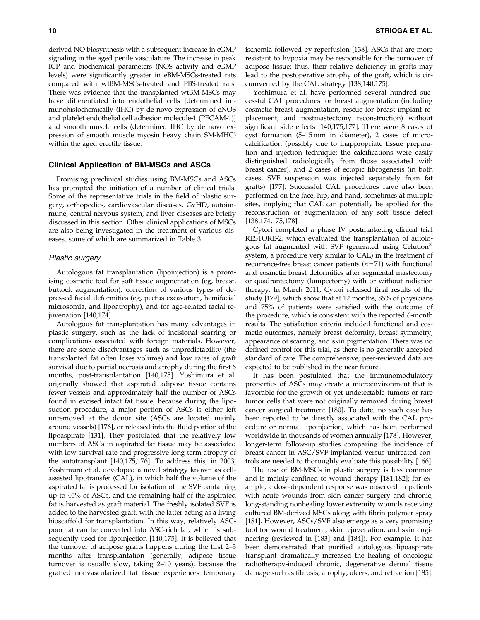derived NO biosynthesis with a subsequent increase in cGMP signaling in the aged penile vasculature. The increase in peak ICP and biochemical parameters (NOS activity and cGMP levels) were significantly greater in eBM-MSCs-treated rats compared with wtBM-MSCs-treated and PBS-treated rats. There was evidence that the transplanted wtBM-MSCs may have differentiated into endothelial cells [determined immunohistochemically (IHC) by de novo expression of eNOS and platelet endothelial cell adhesion molecule-1 (PECAM-1)] and smooth muscle cells (determined IHC by de novo expression of smooth muscle myosin heavy chain SM-MHC) within the aged erectile tissue.

## Clinical Application of BM-MSCs and ASCs

Promising preclinical studies using BM-MSCs and ASCs has prompted the initiation of a number of clinical trials. Some of the representative trials in the field of plastic surgery, orthopedics, cardiovascular diseases, GvHD, autoimmune, central nervous system, and liver diseases are briefly discussed in this section. Other clinical applications of MSCs are also being investigated in the treatment of various diseases, some of which are summarized in Table 3.

#### Plastic surgery

Autologous fat transplantation (lipoinjection) is a promising cosmetic tool for soft tissue augmentation (eg, breast, buttock augmentation), correction of various types of depressed facial deformities (eg, pectus excavatum, hemifacial microsomia, and lipoatrophy), and for age-related facial rejuvenation [140,174].

Autologous fat transplantation has many advantages in plastic surgery, such as the lack of incisional scarring or complications associated with foreign materials. However, there are some disadvantages such as unpredictability (the transplanted fat often loses volume) and low rates of graft survival due to partial necrosis and atrophy during the first 6 months, post-transplantation [140,175]. Yoshimura et al. originally showed that aspirated adipose tissue contains fewer vessels and approximately half the number of ASCs found in excised intact fat tissue, because during the liposuction procedure, a major portion of ASCs is either left unremoved at the donor site (ASCs are located mainly around vessels) [176], or released into the fluid portion of the lipoaspirate [131]. They postulated that the relatively low numbers of ASCs in aspirated fat tissue may be associated with low survival rate and progressive long-term atrophy of the autotransplant [140,175,176]. To address this, in 2003, Yoshimura et al. developed a novel strategy known as cellassisted lipotransfer (CAL), in which half the volume of the aspirated fat is processed for isolation of the SVF containing up to 40% of ASCs, and the remaining half of the aspirated fat is harvested as graft material. The freshly isolated SVF is added to the harvested graft, with the latter acting as a living bioscaffold for transplantation. In this way, relatively ASCpoor fat can be converted into ASC-rich fat, which is subsequently used for lipoinjection [140,175]. It is believed that the turnover of adipose grafts happens during the first 2–3 months after transplantation (generally, adipose tissue turnover is usually slow, taking 2–10 years), because the grafted nonvascularized fat tissue experiences temporary ischemia followed by reperfusion [138]. ASCs that are more resistant to hypoxia may be responsible for the turnover of adipose tissue; thus, their relative deficiency in grafts may lead to the postoperative atrophy of the graft, which is circumvented by the CAL strategy [138,140,175].

Yoshimura et al. have performed several hundred successful CAL procedures for breast augmentation (including cosmetic breast augmentation, rescue for breast implant replacement, and postmastectomy reconstruction) without significant side effects [140,175,177]. There were 8 cases of cyst formation (5–15 mm in diameter), 2 cases of microcalcification (possibly due to inappropriate tissue preparation and injection technique; the calcifications were easily distinguished radiologically from those associated with breast cancer), and 2 cases of ectopic fibrogenesis (in both cases, SVF suspension was injected separately from fat grafts) [177]. Successful CAL procedures have also been performed on the face, hip, and hand, sometimes at multiple sites, implying that CAL can potentially be applied for the reconstruction or augmentation of any soft tissue defect [138,174,175,178].

Cytori completed a phase IV postmarketing clinical trial RESTORE-2, which evaluated the transplantation of autologous fat augmented with SVF (generated using Celution<sup>®</sup> system, a procedure very similar to CAL) in the treatment of recurrence-free breast cancer patients  $(n=71)$  with functional and cosmetic breast deformities after segmental mastectomy or quadrantectomy (lumpectomy) with or without radiation therapy. In March 2011, Cytori released final results of the study [179], which show that at 12 months, 85% of physicians and 75% of patients were satisfied with the outcome of the procedure, which is consistent with the reported 6-month results. The satisfaction criteria included functional and cosmetic outcomes, namely breast deformity, breast symmetry, appearance of scarring, and skin pigmentation. There was no defined control for this trial, as there is no generally accepted standard of care. The comprehensive, peer-reviewed data are expected to be published in the near future.

It has been postulated that the immunomodulatory properties of ASCs may create a microenvironment that is favorable for the growth of yet undetectable tumors or rare tumor cells that were not originally removed during breast cancer surgical treatment [180]. To date, no such case has been reported to be directly associated with the CAL procedure or normal lipoinjection, which has been performed worldwide in thousands of women annually [178]. However, longer-term follow-up studies comparing the incidence of breast cancer in ASC/SVF-implanted versus untreated controls are needed to thoroughly evaluate this possibility [166].

The use of BM-MSCs in plastic surgery is less common and is mainly confined to wound therapy [181,182]; for example, a dose-dependent response was observed in patients with acute wounds from skin cancer surgery and chronic, long-standing nonhealing lower extremity wounds receiving cultured BM-derived MSCs along with fibrin polymer spray [181]. However, ASCs/SVF also emerge as a very promising tool for wound treatment, skin rejuvenation, and skin engineering (reviewed in [183] and [184]). For example, it has been demonstrated that purified autologous lipoaspirate transplant dramatically increased the healing of oncologic radiotherapy-induced chronic, degenerative dermal tissue damage such as fibrosis, atrophy, ulcers, and retraction [185].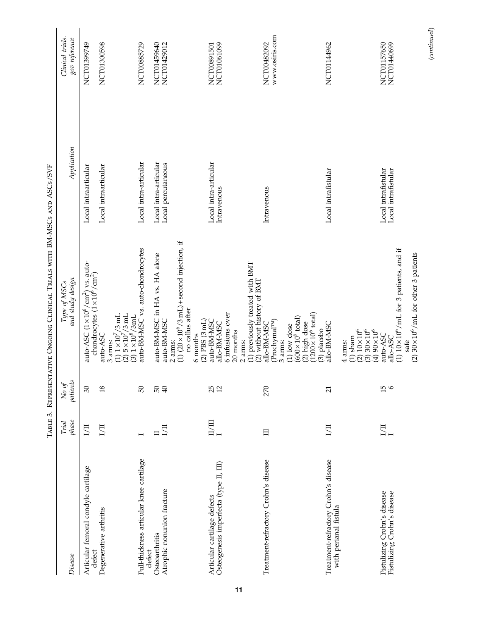|                                                                       |                   |                            | TABLE 3. REPRESENTATIVE ONGOING CLINICAL TRIALS WITH BM-MSCS AND ASCS/SVF                                                              |                                             |                                   |
|-----------------------------------------------------------------------|-------------------|----------------------------|----------------------------------------------------------------------------------------------------------------------------------------|---------------------------------------------|-----------------------------------|
| Disease                                                               | phase<br>Trial    | patients<br>No of          | and study design<br>Type of MSCs                                                                                                       | Application                                 | Clinical trials.<br>gov reference |
| Articular femoral condyle cartilage                                   | $1/\Pi$           | $\mathcal{E}$              | auto-ASC $(1 \times 10^6/\text{cm}^2)$ vs. auto-<br>chondrocytes $(1 \times 10^6/\text{cm}^2)$                                         | Local intraarticular                        | NCT01399749                       |
| Degenerative arthritis<br>defect                                      | $1/\Pi$           | $\frac{8}{2}$              | auto-ASC                                                                                                                               | Local intraarticular                        | NCT01300598                       |
| Full-thickness articular knee cartilage                               |                   | 50                         | auto-BM-MSC vs. auto-chondrocytes<br>(1) $1 \times 10^7 / 3$ mL<br>(2) $5 \times 10^7 / 3$ mL<br>(3) $1 \times 10^8 / 3$ mL<br>3 arms: | Local intra-articular                       | NCT00885729                       |
| Atrophic nonunion fracture<br>Osteoarthritis<br>defect                | $1/\Pi$<br>$\Box$ | <b>DA</b>                  | auto-BM-MSC in HA vs. HA alone<br>auto-BM-MSC                                                                                          | Local intra-articular<br>Local percutaneous | NCT01459640<br>NCT01429012        |
|                                                                       |                   |                            | $(1)$ (20 × 10 <sup>6</sup> /3 mL) + second injection, if<br>no callus after<br>6 months<br>2 arms:                                    |                                             |                                   |
| Osteogenesis imperfecta (type II, III)<br>Articular cartilage defects | $\frac{1}{1}$     | 25<br>12                   | auto-BM-MSC<br>$(2)$ PBS $(3 \text{ mL})$<br>allo-BM-MSC                                                                               | Local intra-articular<br>Intravenous        | NCT01061099<br>NCT00891501        |
|                                                                       |                   |                            | 6 infusions over<br>20 months<br>2 arms:                                                                                               |                                             |                                   |
| Treatment-refractory Crohn's disease                                  | 目                 | 270                        | (1) previously treated with BMT<br>(2) without history of BMT<br>(Prochymal <sup>TM</sup> )<br>allo-BM-MSC                             | Intravenous                                 | NCT00482092                       |
|                                                                       |                   |                            | (2) high dose<br>(1200 $\times10^6$ total)<br>$(600 \times 10^6 \text{ total})$<br>$(1)$ low dose<br>3 arms:                           |                                             | www.osiris.com                    |
| Treatment-refractory Crohn's disease<br>with perianal fistula         | $1/\Pi$           | $\overline{21}$            | allo-BM-MSC<br>(3) placebo                                                                                                             | Local intrafistular                         | NCT01144962                       |
|                                                                       |                   |                            | $(3) 30 \times 10^{6}$<br>$(4)$ 90 $\times 10^6$<br>$(2) 10 \times 10^{6}$<br>$(1)$ sham<br>4 arms:                                    |                                             |                                   |
| Fistulizing Crohn's disease<br>Fistulizing Crohn's disease            | $1/\Pi$           | $\circ$<br>$\overline{15}$ | $(1)$ 10×10 <sup>6</sup> /mL for 3 patients, and if<br>auto-ASC<br>allo-ASC                                                            | Local intrafistular<br>Local intrafistular  | NCT01157650<br>NCT01440699        |
|                                                                       |                   |                            | $(2)$ 30 × 10 $^{6}$ /mL for other 3 patients<br>safe                                                                                  |                                             |                                   |

(continued)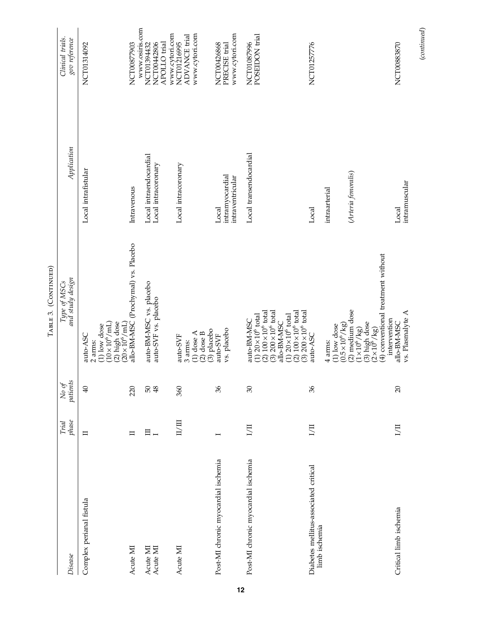|                                                                                         |                         |                   | TABLE 3. (CONTINUED)                                                                                                                                                                                                                                                            |                                               |                                                              |
|-----------------------------------------------------------------------------------------|-------------------------|-------------------|---------------------------------------------------------------------------------------------------------------------------------------------------------------------------------------------------------------------------------------------------------------------------------|-----------------------------------------------|--------------------------------------------------------------|
| Disease                                                                                 | phase<br>Trial          | patients<br>No of | and study design<br>Type of MSCs                                                                                                                                                                                                                                                | Application                                   | Clinical trials.<br>gov reference                            |
| Complex perianal fistula                                                                | Ħ                       | $\overline{40}$   | (2) high dose<br>(20 $\times$ 10 <sup>6</sup> /mL)<br>$(10 \times 10^6/\text{mL})$<br>$(1)$ low dose<br>auto-ASC<br>2 arms:                                                                                                                                                     | Local intrafistular                           | NCT01314092                                                  |
| Acute MI                                                                                | $\Box$                  | 220               | allo-BM-MSC (Prochymal) vs. Placebo                                                                                                                                                                                                                                             | Intravenous                                   | www.osiris.com<br>NCT00877903                                |
| $\begin{array}{c} \textrm{Actte} \textrm{MI} \\ \textrm{Actte} \textrm{MI} \end{array}$ | $\Xi$                   | 58                | auto-BM-MSC vs. placebo<br>auto-SVF vs. placebo                                                                                                                                                                                                                                 | Local intraendocardial<br>Local intracoronary | www.cytori.com<br>NCT00442806<br>APOLLO trial<br>NCT01394432 |
| Acute MI                                                                                | $\mathbb{I}/\mathbb{I}$ | 360               | (3) placebo<br>(1) dose $A$<br>$(2)$ dose $B$<br>auto-SVF<br>3 arms:                                                                                                                                                                                                            | Local intracoronary                           | www.cytori.com<br><b>ADVANCE</b> trial<br>NCT01216995        |
| Post-MI chronic myocardial ischemia                                                     |                         | $\Im 6$           | vs. placebo<br>auto-SVF                                                                                                                                                                                                                                                         | intramyocardial<br>intraventricular<br>Local  | www.cytori.com<br>NCT00426868<br>PRECISE trial               |
| Post-MI chronic myocardial ischemia                                                     | $1/\Pi$                 | $\mathcal{E}$     | $(3)$ 200 $\times$ 10 <sup>6</sup> total<br>$(2)$ 100 $\times$ 10 <sup>6</sup> total<br>$(2)$ 100 $\times$ 10 <sup>6</sup> total<br>$(3)$ 200 $\times$ 10 $^{6}$ total<br>$(1)$ 20 $\times 10^6$ total<br>$(1)$ 20 $\times$ 10 <sup>6</sup> total<br>auto-BM-MSC<br>allo-BM-MSC | Local transendocardial                        | POSEIDON trial<br>NCT01087996                                |
| Diabetes mellitus-associated critical<br>limb ischemia                                  | $1/\Pi$                 | $\Im 6$           | auto-ASC                                                                                                                                                                                                                                                                        | Local                                         | NCT01257776                                                  |
|                                                                                         |                         |                   | 4 arms:                                                                                                                                                                                                                                                                         | intraarterial                                 |                                                              |
|                                                                                         |                         |                   | (4) conventional treatment without<br>(2) medium dose<br>(3) high dose<br>$(2\times10^6/\text{kg})$<br>(1) low dose<br>$(0.5 \times 10^6/\text{kg})$<br>$(1 \times 10^6/\text{kg})$                                                                                             | (Arteria femoralis)                           |                                                              |
| Critical limb ischemia                                                                  | IЛ                      | $\Omega$          | vs. Plasmalyte A<br>intervention<br>allo-BM-MSC                                                                                                                                                                                                                                 | intramuscular<br>Local                        | NCT00883870                                                  |

(continued)

12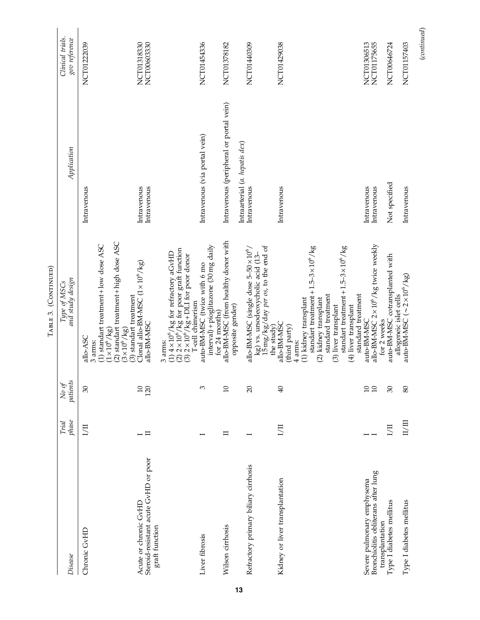| $\label{eq:seas} Discase$                                                            | phase<br>Trial   | patients<br>No of                      | and study design<br>Type of MSCs                                                                                                                                                                                                                      | Application                                                               | Clinical trials.<br>gov reference |
|--------------------------------------------------------------------------------------|------------------|----------------------------------------|-------------------------------------------------------------------------------------------------------------------------------------------------------------------------------------------------------------------------------------------------------|---------------------------------------------------------------------------|-----------------------------------|
| Chronic GvHD                                                                         | I/II             | $\mathcal{E}$                          | allo-ASC                                                                                                                                                                                                                                              | Intravenous                                                               | NCT01222039                       |
| Steroid-resistant acute GvHD or poor<br>Acute or chronic GvHD                        |                  | $10^{10}$                              | (2) standart treatment + high dose ASC<br>(1) standart treatment + low dose ASC<br>Clonal allo-BM-MSC $(1 \times 10^6/\text{kg})$<br>(3) standart treatment<br>allo-BM-MSC<br>$(3 \times 10^{6} / \text{kg})$<br>$(1\times10^6/\text{kg})$<br>3 arms: | Intravenous<br>Intravenous                                                | NCT01318330<br>NCT00603330        |
| graft function                                                                       |                  |                                        | (1) $4 \times 10^6$ /kg for refractory aGvHD<br>(2) $2 \times 10^6$ /kg for poor graft function<br>$\frac{1}{(3)}$ 2 × 10 <sup>6</sup> /kg + DLI for poor donor<br>T-cell chimerism<br>3 arms:                                                        |                                                                           |                                   |
| Liver fibrosis                                                                       |                  | S                                      | interval) + pioglitazone (30 mg daily<br>auto-BM-MSC (twice with 6 mo<br>for 24 months)                                                                                                                                                               | Intravenous (via portal vein)                                             | NCT01454336                       |
| Wilson cirrhosis                                                                     | $\Box$           | $\overline{10}$                        | allo-BM-MSC (from healthy donor with<br>opposite gender)                                                                                                                                                                                              | Intravenous (peripheral or portal vein)<br>Intraarterial (a. hepatis dex) | NCT01378182                       |
| Refractory primary biliary cirrhosis                                                 |                  | $\overline{c}$                         | 15 mg/kg/day per os, to the end of<br>allo-BM-MSC (single dose 5–50×10 <sup>6</sup> /<br>kg) vs. ursodeoxycholic acid (13-<br>the study)                                                                                                              | Intravenous                                                               | NCT01440309                       |
| Kidney or liver transplantation                                                      | $1/\Pi$          | $\overline{40}$                        | standart treatment + $1.5 - 3 \times 10^6$ /kg<br>(1) kidney transplant<br>allo-BM-MSC<br>(third party)<br>4 arms:                                                                                                                                    | Intravenous                                                               | NCT01429038                       |
|                                                                                      |                  |                                        | standart treatment + $1.5 - 3 \times 10^6$ /kg<br>standard treatment<br>standard treatment<br>(2) kidney transplant<br>(4) liver transplant<br>(3) liver transplant                                                                                   |                                                                           |                                   |
| Bronchiolitis obliterans after lung<br>Severe pulmonary emphysema<br>transplantation |                  | $\begin{array}{c} 10 \\ 1 \end{array}$ | allo-BM-MSC 2×10 <sup>6</sup> /kg twice weekly<br>auto-BM-MSC<br>for 2 weeks                                                                                                                                                                          | Intravenous<br>Intravenous                                                | NCT01306513<br>NCT01175655        |
| Type I diabetes mellitus                                                             | $1/\Pi$          | $\mathcal{E}$                          | auto-BM-MSC cotransplanted with<br>allogeneic islet cells                                                                                                                                                                                             | Not specified                                                             | NCT00646724                       |
| Type I diabetes mellitus                                                             | $I\!$ $/$ $I\!I$ | 80                                     | auto-BM-MSC $(\sim 2 \times 10^6/\text{kg})$                                                                                                                                                                                                          | Intravenous                                                               | NCT01157403                       |
|                                                                                      |                  |                                        |                                                                                                                                                                                                                                                       |                                                                           | (continued)                       |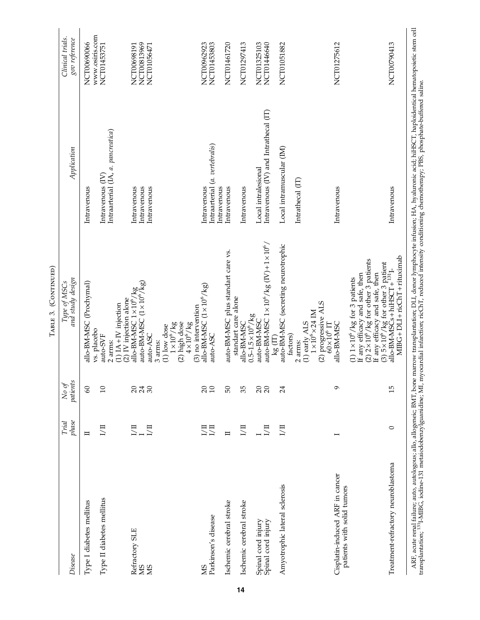|                                          |                |                                   | TABLE 3. (CONTINUED)                                                                                                                                                                                                                                     |                                                                                                                                                                                                     |                                           |
|------------------------------------------|----------------|-----------------------------------|----------------------------------------------------------------------------------------------------------------------------------------------------------------------------------------------------------------------------------------------------------|-----------------------------------------------------------------------------------------------------------------------------------------------------------------------------------------------------|-------------------------------------------|
| Disease                                  | phase<br>Trial | patients<br>No of                 | and study design<br>Type of MSCs                                                                                                                                                                                                                         | Application                                                                                                                                                                                         | Clinical trials.<br>gov reference         |
| Type I diabetes mellitus                 | $\blacksquare$ | $\mathcal{S}$                     | allo-BM-MSC (Prochymal)                                                                                                                                                                                                                                  | Intravenous                                                                                                                                                                                         | NCT00690066                               |
| Type II diabetes mellitus                | IJЦ            | $\overline{10}$                   | vs. placebo<br>auto-SVF<br>2 arms:                                                                                                                                                                                                                       | Intraarterial (IA, a. pancreatica)<br>Intravenous (IV)                                                                                                                                              | www.osiris.com<br>NCT01453751             |
| Refractory SLE<br>SM<br>SM               | $E^ E^-$       | 238                               | allo-BM-MSC 1×10 <sup>6</sup> /kg<br>auto-BM-MSC (1×10 <sup>6</sup> /kg)<br>(2) IV injection alone<br>$(1)$ IA + IV injection<br>auto-ASC                                                                                                                | Intravenous<br>Intravenous<br>Intravenous                                                                                                                                                           | NCT00813969<br>NCT01056471<br>NCT00698191 |
|                                          |                |                                   | (3) no intervention<br>(2) high dose<br>$4 \times 10^6$ /kg<br>$1\times10^6/\mathrm{kg}$<br>$(1)$ low dose<br>$3$ arms:                                                                                                                                  |                                                                                                                                                                                                     |                                           |
| Parkinson's disease<br>SM                | នីង            | $\overline{c}$<br>$\overline{10}$ | allo-BM-MSC $(1 \times 10^6$ /kg)<br>auto-ASC                                                                                                                                                                                                            | Intraarterial (a. vertebralis)<br>Intravenous                                                                                                                                                       | NCT01453803<br>NCT00962923                |
| Ischemic cerebral stroke                 | $\Box$         | 50                                | auto-BM-MSC plus standart care vs.                                                                                                                                                                                                                       | Intravenous<br>Intravenous                                                                                                                                                                          | NCT01461720                               |
| Ischemic cerebral stroke                 | IЛ             | 35                                | standart care alone<br>$0.5 - 1.5 \times 10^{6} / \text{kg}$<br>allo-BM-MSC                                                                                                                                                                              | Intravenous                                                                                                                                                                                         | NCT01297413                               |
| Spinal cord injury<br>Spinal cord injury | $1/\Pi$        | ລ $\Omega$                        | auto-BM-MSC $1 \times 10^6/\text{kg (IV)} + 1 \times 10^6/\text{K}$<br>auto-BM-MSC                                                                                                                                                                       | Intravenous (IV) and Intrathecal (IT)<br>Local intralesional                                                                                                                                        | NCT01446640<br>NCT01325103                |
| Amyotrophic lateral sclerosis            | $\overline{L}$ | 24                                | kg (IT)<br>auto-BM-MSC (secreting neurotrophic                                                                                                                                                                                                           | Local intramuscular (IM)                                                                                                                                                                            | NCT01051882                               |
|                                          |                |                                   | (2) progressive ALS<br>$1 \times 10^6 \times 24$ IM<br>(1) early ALS<br>$60\times10^6$ IT<br>factors)<br>2 arms:                                                                                                                                         | Intrathecal (IT)                                                                                                                                                                                    |                                           |
| Cisplatin-induced ARF in cancer          |                | Ó                                 | allo-BM-MSC                                                                                                                                                                                                                                              | Intravenous                                                                                                                                                                                         | NCT01275612                               |
| patients with solid tumors               |                |                                   | $(2)$ 2×10 <sup>6</sup> /kg for other 3 patients<br>(3) $5 \times 10^6$ /kg for other 3 patient<br>allo-BM-MSCs + hiHSCT + $^{131}I$ -<br>If any efficacy and safe, then<br>If any efficacy and safe, then<br>$(1)$ 1×10 <sup>6</sup> /kg for 3 patients |                                                                                                                                                                                                     |                                           |
| Treatment-refractory neuroblastoma       | 0              | $\overline{15}$                   | MIBG+DLI+ricChT+rituximab                                                                                                                                                                                                                                | Intravenous                                                                                                                                                                                         | NCT00790413                               |
|                                          |                |                                   |                                                                                                                                                                                                                                                          | ARF, acute renal failure; auto, autologous; allo, allogeneic; BMT, bone marrow transplantation; DLI, donor lymphocyte infusion; HA, hyaluronic acid; hiHSCT, haploidentical hematopoietic stem cell |                                           |

transplantation; <sup>131</sup>I-MIBG, iodine-131 metaiodobenzylguanidine; MI, myocardial intarction; ricChT, reduced intensity conditioning chemotherapy; PBS, phosphate-buffered saline. transplantation; 131I-MIBG, iodine-131 metaiodobenzylguanidine; MI, myocardial infarction; ricChT, reduced intensity conditioning chemotherapy; PBS, phosphate-buffered saline.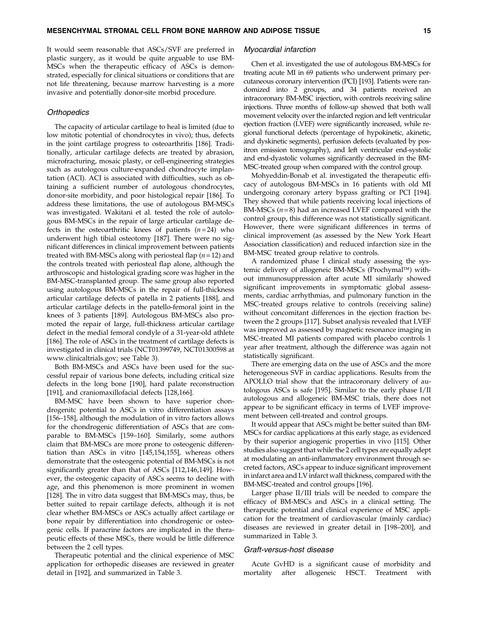It would seem reasonable that ASCs/SVF are preferred in plastic surgery, as it would be quite arguable to use BM-MSCs when the therapeutic efficacy of ASCs is demonstrated, especially for clinical situations or conditions that are not life threatening, because marrow harvesting is a more invasive and potentially donor-site morbid procedure.

## **Orthopedics**

The capacity of articular cartilage to heal is limited (due to low mitotic potential of chondrocytes in vivo); thus, defects in the joint cartilage progress to osteoarthritis [186]. Traditionally, articular cartilage defects are treated by abrasion, microfracturing, mosaic plasty, or cell-engineering strategies such as autologous culture-expanded chondrocyte implantation (ACI). ACI is associated with difficulties, such as obtaining a sufficient number of autologous chondrocytes, donor-site morbidity, and poor histological repair [186]. To address these limitations, the use of autologous BM-MSCs was investigated. Wakitani et al. tested the role of autologous BM-MSCs in the repair of large articular cartilage defects in the osteoarthritic knees of patients  $(n=24)$  who underwent high tibial osteotomy [187]. There were no significant differences in clinical improvement between patients treated with BM-MSCs along with periosteal flap ( $n = 12$ ) and the controls treated with periosteal flap alone, although the arthroscopic and histological grading score was higher in the BM-MSC-transplanted group. The same group also reported using autologous BM-MSCs in the repair of full-thickness articular cartilage defects of patella in 2 patients [188], and articular cartilage defects in the patello-femoral joint in the knees of 3 patients [189]. Autologous BM-MSCs also promoted the repair of large, full-thickness articular cartilage defect in the medial femoral condyle of a 31-year-old athlete [186]. The role of ASCs in the treatment of cartilage defects is investigated in clinical trials (NCT01399749, NCT01300598 at www.clinicaltrials.gov; see Table 3).

Both BM-MSCs and ASCs have been used for the successful repair of various bone defects, including critical size defects in the long bone [190], hard palate reconstruction [191], and craniomaxillofacial defects [128,166].

BM-MSC have been shown to have superior chondrogenitc potential to ASCs in vitro differentiation assays [156–158], although the modulation of in vitro factors allows for the chondrogenic differentiation of ASCs that are comparable to BM-MSCs [159–160]. Similarly, some authors claim that BM-MSCs are more prone to osteogenic differentiation than ASCs in vitro [145,154,155], whereas others demonstrate that the osteogenic potential of BM-MSCs is not significantly greater than that of ASCs [112,146,149]. However, the osteogenic capacity of ASCs seems to decline with age, and this phenomenon is more prominent in women [128]. The in vitro data suggest that BM-MSCs may, thus, be better suited to repair cartilage defects, although it is not clear whether BM-MSCs or ASCs actually affect cartilage or bone repair by differentiation into chondrogenic or osteogenic cells. If paracrine factors are implicated in the therapeutic effects of these MSCs, there would be little difference between the 2 cell types.

Therapeutic potential and the clinical experience of MSC application for orthopedic diseases are reviewed in greater detail in [192], and summarized in Table 3.

#### Myocardial infarction

Chen et al. investigated the use of autologous BM-MSCs for treating acute MI in 69 patients who underwent primary percutaneous coronary intervention (PCI) [193]. Patients were randomized into 2 groups, and 34 patients received an intracoronary BM-MSC injection, with controls receiving saline injections. Three months of follow-up showed that both wall movement velocity over the infarcted region and left ventricular ejection fraction (LVEF) were significantly increased, while regional functional defects (percentage of hypokinetic, akinetic, and dyskinetic segments), perfusion defects (evaluated by positron emission tomography), and left ventricular end-systolic and end-dyastolic volumes significantly decreased in the BM-MSC-treated group when compared with the control group.

Mohyeddin-Bonab et al. investigated the therapeutic efficacy of autologous BM-MSCs in 16 patients with old MI undergoing coronary artery bypass grafting or PCI [194]. They showed that while patients receiving local injections of BM-MSCs  $(n=8)$  had an increased LVEF compared with the control group, this difference was not statistically significant. However, there were significant differences in terms of clinical improvement (as assessed by the New York Heart Association classification) and reduced infarction size in the BM-MSC treated group relative to controls.

A randomized phase I clinical study assessing the systemic delivery of allogeneic BM-MSCs (Prochymal<sup>TM</sup>) without immunosuppression after acute MI similarly showed significant improvements in symptomatic global assessments, cardiac arrhythmias, and pulmonary function in the MSC-treated groups relative to controls (receiving saline) without concomitant differences in the ejection fraction between the 2 groups [117]. Subset analysis revealed that LVEF was improved as assessed by magnetic resonance imaging in MSC-treated MI patients compared with placebo controls 1 year after treatment, although the difference was again not statistically significant.

There are emerging data on the use of ASCs and the more heterogeneous SVF in cardiac applications. Results from the APOLLO trial show that the intracoronary delivery of autologous ASCs is safe [195]. Similar to the early phase I/II autologous and allogeneic BM-MSC trials, there does not appear to be significant efficacy in terms of LVEF improvement between cell-treated and control groups.

It would appear that ASCs might be better suited than BM-MSCs for cardiac applications at this early stage, as evidenced by their superior angiogenic properties in vivo [115]. Other studies also suggest that while the 2 cell types are equally adept at modulating an anti-inflammatory environment through secreted factors, ASCs appear to induce significant improvement in infarct area and LV infarct wall thickness, compared with the BM-MSC-treated and control groups [196].

Larger phase II/III trials will be needed to compare the efficacy of BM-MSCs and ASCs in a clinical setting. The therapeutic potential and clinical experience of MSC application for the treatment of cardiovascular (mainly cardiac) diseases are reviewed in greater detail in [198–200], and summarized in Table 3.

#### Graft-versus-host disease

Acute GvHD is a significant cause of morbidity and mortality after allogeneic HSCT. Treatment with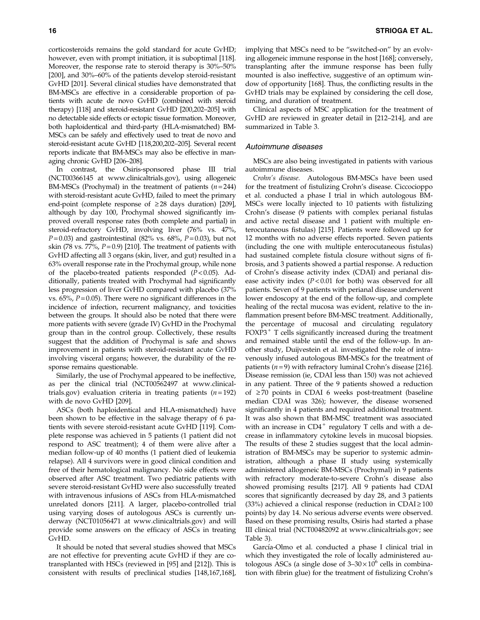corticosteroids remains the gold standard for acute GvHD; however, even with prompt initiation, it is suboptimal [118]. Moreover, the response rate to steroid therapy is 30%–50% [200], and 30%–60% of the patients develop steroid-resistant GvHD [201]. Several clinical studies have demonstrated that BM-MSCs are effective in a considerable proportion of patients with acute de novo GvHD (combined with steroid therapy) [118] and steroid-resistant GvHD [200,202–205] with no detectable side effects or ectopic tissue formation. Moreover, both haploidentical and third-party (HLA-mismatched) BM-MSCs can be safely and effectively used to treat de novo and steroid-resistant acute GvHD [118,200,202–205]. Several recent reports indicate that BM-MSCs may also be effective in managing chronic GvHD [206–208].

In contrast, the Osiris-sponsored phase III trial (NCT00366145 at www.clinicaltrials.gov), using allogeneic BM-MSCs (Prochymal) in the treatment of patients  $(n=244)$ with steroid-resistant acute GvHD, failed to meet the primary end-point (complete response of  $\geq 28$  days duration) [209], although by day 100, Prochymal showed significantly improved overall response rates (both complete and partial) in steroid-refractory GvHD, involving liver (76% vs. 47%,  $P=0.03$ ) and gastrointestinal (82% vs. 68%,  $P=0.03$ ), but not skin (78 vs. 77%,  $P = 0.9$ ) [210]. The treatment of patients with GvHD affecting all 3 organs (skin, liver, and gut) resulted in a 63% overall response rate in the Prochymal group, while none of the placebo-treated patients responded  $(P<0.05)$ . Additionally, patients treated with Prochymal had significantly less progression of liver GvHD compared with placebo (37% vs.  $65\%$ ,  $P = 0.05$ ). There were no significant differences in the incidence of infection, recurrent malignancy, and toxicities between the groups. It should also be noted that there were more patients with severe (grade IV) GvHD in the Prochymal group than in the control group. Collectively, these results suggest that the addition of Prochymal is safe and shows improvement in patients with steroid-resistant acute GvHD involving visceral organs; however, the durability of the response remains questionable.

Similarly, the use of Prochymal appeared to be ineffective, as per the clinical trial (NCT00562497 at www.clinicaltrials.gov) evaluation criteria in treating patients  $(n=192)$ with de novo GvHD [209].

ASCs (both haploidentical and HLA-mismatched) have been shown to be effective in the salvage therapy of 6 patients with severe steroid-resistant acute GvHD [119]. Complete response was achieved in 5 patients (1 patient did not respond to ASC treatment); 4 of them were alive after a median follow-up of 40 months (1 patient died of leukemia relapse). All 4 survivors were in good clinical condition and free of their hematological malignancy. No side effects were observed after ASC treatment. Two pediatric patients with severe steroid-resistant GvHD were also successfully treated with intravenous infusions of ASCs from HLA-mismatched unrelated donors [211]. A larger, placebo-controlled trial using varying doses of autologous ASCs is currently underway (NCT01056471 at www.clinicaltrials.gov) and will provide some answers on the efficacy of ASCs in treating GvHD.

It should be noted that several studies showed that MSCs are not effective for preventing acute GvHD if they are cotransplanted with HSCs (reviewed in [95] and [212]). This is consistent with results of preclinical studies [148,167,168], implying that MSCs need to be "switched-on" by an evolving allogeneic immune response in the host [168]; conversely, transplanting after the immune response has been fully mounted is also ineffective, suggestive of an optimum window of opportunity [168]. Thus, the conflicting results in the GvHD trials may be explained by considering the cell dose, timing, and duration of treatment.

Clinical aspects of MSC application for the treatment of GvHD are reviewed in greater detail in [212–214], and are summarized in Table 3.

### Autoimmune diseases

MSCs are also being investigated in patients with various autoimmune diseases.

Crohn's disease. Autologous BM-MSCs have been used for the treatment of fistulizing Crohn's disease. Ciccocioppo et al. conducted a phase I trial in which autologous BM-MSCs were locally injected to 10 patients with fistulizing Crohn's disease (9 patients with complex perianal fistulas and active rectal disease and 1 patient with multiple enterocutaneous fistulas) [215]. Patients were followed up for 12 months with no adverse effects reported. Seven patients (including the one with multiple enterocutaneous fistulas) had sustained complete fistula closure without signs of fibrosis, and 3 patients showed a partial response. A reduction of Crohn's disease activity index (CDAI) and perianal disease activity index  $(P<0.01$  for both) was observed for all patients. Seven of 9 patients with perianal disease underwent lower endoscopy at the end of the follow-up, and complete healing of the rectal mucosa was evident, relative to the inflammation present before BM-MSC treatment. Additionally, the percentage of mucosal and circulating regulatory  $FOXP3<sup>+</sup>$  T cells significantly increased during the treatment and remained stable until the end of the follow-up. In another study, Duijvestein et al. investigated the role of intravenously infused autologous BM-MSCs for the treatment of patients ( $n = 9$ ) with refractory luminal Crohn's disease [216]. Disease remission (ie, CDAI less than 150) was not achieved in any patient. Three of the 9 patients showed a reduction of  $\geq$  70 points in CDAI 6 weeks post-treatment (baseline median CDAI was 326); however, the disease worsened significantly in 4 patients and required additional treatment. It was also shown that BM-MSC treatment was associated with an increase in  $CD4^+$  regulatory T cells and with a decrease in inflammatory cytokine levels in mucosal biopsies. The results of these 2 studies suggest that the local administration of BM-MSCs may be superior to systemic administration, although a phase II study using systemically administered allogeneic BM-MSCs (Prochymal) in 9 patients with refractory moderate-to-severe Crohn's disease also showed promising results [217]. All 9 patients had CDAI scores that significantly decreased by day 28, and 3 patients (33%) achieved a clinical response (reduction in  $CDAI \ge 100$ points) by day 14. No serious adverse events were observed. Based on these promising results, Osiris had started a phase III clinical trial (NCT00482092 at www.clinicaltrials.gov; see Table 3).

García-Olmo et al. conducted a phase I clinical trial in which they investigated the role of locally administered autologous ASCs (a single dose of  $3-30 \times 10^6$  cells in combination with fibrin glue) for the treatment of fistulizing Crohn's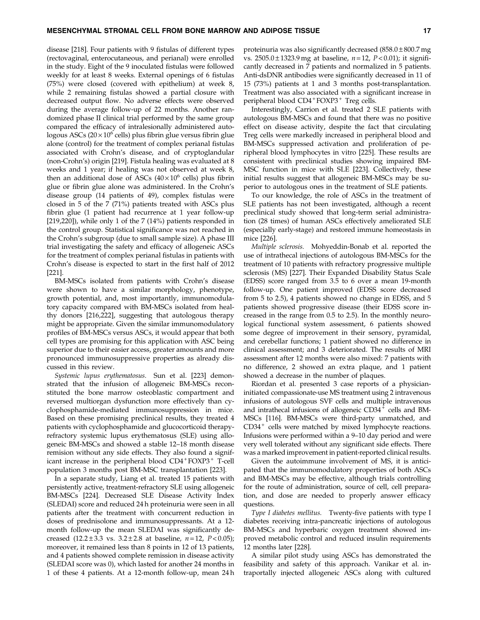disease [218]. Four patients with 9 fistulas of different types (rectovaginal, enterocutaneous, and perianal) were enrolled in the study. Eight of the 9 inoculated fistulas were followed weekly for at least 8 weeks. External openings of 6 fistulas (75%) were closed (covered with epithelium) at week 8, while 2 remaining fistulas showed a partial closure with decreased output flow. No adverse effects were observed during the average follow-up of 22 months. Another randomized phase II clinical trial performed by the same group compared the efficacy of intralesionally administered autologous ASCs ( $20 \times 10^6$  cells) plus fibrin glue versus fibrin glue alone (control) for the treatment of complex perianal fistulas associated with Crohn's disease, and of cryptoglandular (non-Crohn's) origin [219]. Fistula healing was evaluated at 8 weeks and 1 year; if healing was not observed at week 8, then an additional dose of ASCs  $(40 \times 10^6 \text{ cells})$  plus fibrin glue or fibrin glue alone was administered. In the Crohn's disease group (14 patients of 49), complex fistulas were closed in 5 of the 7 (71%) patients treated with ASCs plus fibrin glue (1 patient had recurrence at 1 year follow-up [219,220]), while only 1 of the 7 (14%) patients responded in the control group. Statistical significance was not reached in the Crohn's subgroup (due to small sample size). A phase III trial investigating the safety and efficacy of allogeneic ASCs for the treatment of complex perianal fistulas in patients with Crohn's disease is expected to start in the first half of 2012 [221].

BM-MSCs isolated from patients with Crohn's disease were shown to have a similar morphology, phenotype, growth potential, and, most importantly, immunomodulatory capacity compared with BM-MSCs isolated from healthy donors [216,222], suggesting that autologous therapy might be appropriate. Given the similar immunomodulatory profiles of BM-MSCs versus ASCs, it would appear that both cell types are promising for this application with ASC being superior due to their easier access, greater amounts and more pronounced immunosuppressive properties as already discussed in this review.

Systemic lupus erythematosus. Sun et al. [223] demonstrated that the infusion of allogeneic BM-MSCs reconstituted the bone marrow osteoblastic compartment and reversed multiorgan dysfunction more effectively than cyclophosphamide-mediated immunosuppression in mice. Based on these promising preclinical results, they treated 4 patients with cyclophosphamide and glucocorticoid therapyrefractory systemic lupus erythematosus (SLE) using allogeneic BM-MSCs and showed a stable 12–18 month disease remision without any side effects. They also found a significant increase in the peripheral blood CD4+FOXP3+ T-cell population 3 months post BM-MSC transplantation [223].

In a separate study, Liang et al. treated 15 patients with persistently active, treatment-refractory SLE using allogeneic BM-MSCs [224]. Decreased SLE Disease Activity Index (SLEDAI) score and reduced 24 h proteinuria were seen in all patients after the treatment with concurrent reduction in doses of prednisolone and immunosuppressants. At a 12 month follow-up the mean SLEDAI was significantly decreased  $(12.2 \pm 3.3 \text{ vs. } 3.2 \pm 2.8 \text{ at baseline, } n = 12, P < 0.05);$ moreover, it remained less than 8 points in 12 of 13 patients, and 4 patients showed complete remission in disease activity (SLEDAI score was 0), which lasted for another 24 months in 1 of these 4 patients. At a 12-month follow-up, mean 24 h proteinuria was also significantly decreased  $(858.0 \pm 800.7 \text{ mg})$ vs.  $2505.0 \pm 1323.9$  mg at baseline,  $n = 12$ ,  $P < 0.01$ ); it significantly decreased in 7 patients and normalized in 5 patients. Anti-dsDNR antibodies were significantly decreased in 11 of 15 (73%) patients at 1 and 3 months post-transplantation. Treatment was also associated with a significant increase in peripheral blood  $CD4+FOXP3+$  Treg cells.

Interestingly, Carrion et al. treated 2 SLE patients with autologous BM-MSCs and found that there was no positive effect on disease activity, despite the fact that circulating Treg cells were markedly increased in peripheral blood and BM-MSCs suppressed activation and proliferation of peripheral blood lymphocytes in vitro [225]. These results are consistent with preclinical studies showing impaired BM-MSC function in mice with SLE [223]. Collectively, these initial results suggest that allogeneic BM-MSCs may be superior to autologous ones in the treatment of SLE patients.

To our knowledge, the role of ASCs in the treatment of SLE patients has not been investigated, although a recent preclinical study showed that long-term serial administration (28 times) of human ASCs effectively ameliorated SLE (especially early-stage) and restored immune homeostasis in mice [226].

Multiple sclerosis. Mohyeddin-Bonab et al. reported the use of intrathecal injections of autologous BM-MSCs for the treatment of 10 patients with refractory progressive multiple sclerosis (MS) [227]. Their Expanded Disability Status Scale (EDSS) score ranged from 3.5 to 6 over a mean 19-month follow-up. One patient improved (EDSS score decreased from 5 to 2.5), 4 patients showed no change in EDSS, and 5 patients showed progressive disease (their EDSS score increased in the range from 0.5 to 2.5). In the monthly neurological functional system assessment, 6 patients showed some degree of improvement in their sensory, pyramidal, and cerebellar functions; 1 patient showed no difference in clinical assessment; and 3 deteriorated. The results of MRI assessment after 12 months were also mixed: 7 patients with no difference, 2 showed an extra plaque, and 1 patient showed a decrease in the number of plaques.

Riordan et al. presented 3 case reports of a physicianinitiated compassionate-use MS treatment using 2 intravenous infusions of autologous SVF cells and multiple intravenous and intrathecal infusions of allogeneic  $CD34<sup>+</sup>$  cells and BM-MSCs [116]. BM-MSCs were third-party unmatched, and  $CD34<sup>+</sup>$  cells were matched by mixed lymphocyte reactions. Infusions were performed within a 9–10 day period and were very well tolerated without any significant side effects. There was a marked improvement in patient-reported clinical results.

Given the autoimmune involvement of MS, it is anticipated that the immunomodulatory properties of both ASCs and BM-MSCs may be effective, although trials controlling for the route of administration, source of cell, cell preparation, and dose are needed to properly answer efficacy questions.

Type I diabetes mellitus. Twenty-five patients with type I diabetes receiving intra-pancreatic injections of autologous BM-MSCs and hyperbaric oxygen treatment showed improved metabolic control and reduced insulin requirements 12 months later [228].

A similar pilot study using ASCs has demonstrated the feasibility and safety of this approach. Vanikar et al. intraportally injected allogeneic ASCs along with cultured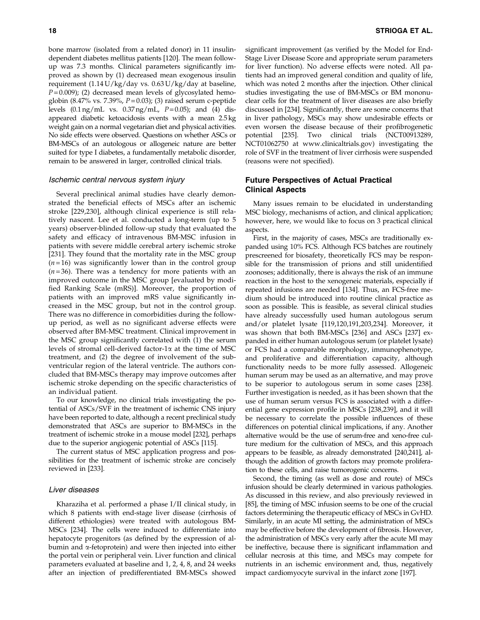bone marrow (isolated from a related donor) in 11 insulindependent diabetes mellitus patients [120]. The mean followup was 7.3 months. Clinical parameters significantly improved as shown by (1) decreased mean exogenous insulin requirement (1.14 U/kg/day vs. 0.63 U/kg/day at baseline,  $P=0.009$ ); (2) decreased mean levels of glycosylated hemoglobin (8.47% vs. 7.39%,  $P = 0.03$ ); (3) raised serum c-peptide levels  $(0.1 \text{ ng/mL}$  vs.  $0.37 \text{ ng/mL}$ ,  $P=0.05$ ); and  $(4)$  disappeared diabetic ketoacidosis events with a mean 2.5 kg weight gain on a normal vegetarian diet and physical activities. No side effects were observed. Questions on whether ASCs or BM-MSCs of an autologous or allogeneic nature are better suited for type I diabetes, a fundamentally metabolic disorder, remain to be answered in larger, controlled clinical trials.

## Ischemic central nervous system injury

Several preclinical animal studies have clearly demonstrated the beneficial effects of MSCs after an ischemic stroke [229,230], although clinical experience is still relatively nascent. Lee et al. conducted a long-term (up to 5 years) observer-blinded follow-up study that evaluated the safety and efficacy of intravenous BM-MSC infusion in patients with severe middle cerebral artery ischemic stroke [231]. They found that the mortality rate in the MSC group  $(n=16)$  was significantly lower than in the control group  $(n=36)$ . There was a tendency for more patients with an improved outcome in the MSC group [evaluated by modified Ranking Scale (mRS)]. Moreover, the proportion of patients with an improved mRS value significantly increased in the MSC group, but not in the control group. There was no difference in comorbidities during the followup period, as well as no significant adverse effects were observed after BM-MSC treatment. Clinical improvement in the MSC group significantly correlated with (1) the serum levels of stromal cell-derived factor-1 $\alpha$  at the time of MSC treatment, and (2) the degree of involvement of the subventricular region of the lateral ventricle. The authors concluded that BM-MSCs therapy may improve outcomes after ischemic stroke depending on the specific characteristics of an individual patient.

To our knowledge, no clinical trials investigating the potential of ASCs/SVF in the treatment of ischemic CNS injury have been reported to date, although a recent preclinical study demonstrated that ASCs are superior to BM-MSCs in the treatment of ischemic stroke in a mouse model [232], perhaps due to the superior angiogenic potential of ASCs [115].

The current status of MSC application progress and possibilities for the treatment of ischemic stroke are concisely reviewed in [233].

## Liver diseases

Kharaziha et al. performed a phase I/II clinical study, in which 8 patients with end-stage liver disease (cirrhosis of different ethiologies) were treated with autologous BM-MSCs [234]. The cells were induced to differentiate into hepatocyte progenitors (as defined by the expression of albumin and  $\alpha$ -fetoprotein) and were then injected into either the portal vein or peripheral vein. Liver function and clinical parameters evaluated at baseline and 1, 2, 4, 8, and 24 weeks after an injection of predifferentiated BM-MSCs showed

significant improvement (as verified by the Model for End-Stage Liver Disease Score and appropriate serum parameters for liver function). No adverse effects were noted. All patients had an improved general condition and quality of life, which was noted 2 months after the injection. Other clinical studies investigating the use of BM-MSCs or BM mononuclear cells for the treatment of liver diseases are also briefly discussed in [234]. Significantly, there are some concerns that in liver pathology, MSCs may show undesirable effects or even worsen the disease because of their profibrogenetic potential [235]. Two clinical trials (NCT00913289, NCT01062750 at www.clinicaltrials.gov) investigating the role of SVF in the treatment of liver cirrhosis were suspended (reasons were not specified).

# Future Perspectives of Actual Practical Clinical Aspects

Many issues remain to be elucidated in understanding MSC biology, mechanisms of action, and clinical application; however, here, we would like to focus on 3 practical clinical aspects.

First, in the majority of cases, MSCs are traditionally expanded using 10% FCS. Although FCS batches are routinely prescreened for biosafety, theoretically FCS may be responsible for the transmission of prions and still unidentified zoonoses; additionally, there is always the risk of an immune reaction in the host to the xenogeneic materials, especially if repeated infusions are needed [134]. Thus, an FCS-free medium should be introduced into routine clinical practice as soon as possible. This is feasible, as several clinical studies have already successfully used human autologous serum and/or platelet lysate [119,120,191,203,234]. Moreover, it was shown that both BM-MSCs [236] and ASCs [237] expanded in either human autologous serum (or platelet lysate) or FCS had a comparable morphology, immunophenotype, and proliferative and differentiation capacity, although functionality needs to be more fully assessed. Allogeneic human serum may be used as an alternative, and may prove to be superior to autologous serum in some cases [238]. Further investigation is needed, as it has been shown that the use of human serum versus FCS is associated with a differential gene expression profile in MSCs [238,239], and it will be necessary to correlate the possible influences of these differences on potential clinical implications, if any. Another alternative would be the use of serum-free and xeno-free culture medium for the cultivation of MSCs, and this approach appears to be feasible, as already demonstrated [240,241], although the addition of growth factors may promote proliferation to these cells, and raise tumorogenic concerns.

Second, the timing (as well as dose and route) of MSCs infusion should be clearly determined in various pathologies. As discussed in this review, and also previously reviewed in [85], the timing of MSC infusion seems to be one of the crucial factors determining the therapeutic efficacy of MSCs in GvHD. Similarly, in an acute MI setting, the administration of MSCs may be effective before the development of fibrosis. However, the administration of MSCs very early after the acute MI may be ineffective, because there is significant inflammation and cellular necrosis at this time, and MSCs may compete for nutrients in an ischemic environment and, thus, negatively impact cardiomyocyte survival in the infarct zone [197].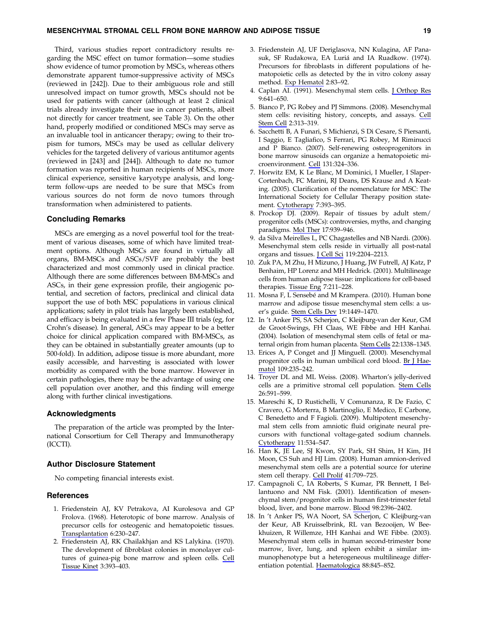Third, various studies report contradictory results regarding the MSC effect on tumor formation—some studies show evidence of tumor promotion by MSCs, whereas others demonstrate apparent tumor-suppressive activity of MSCs (reviewed in [242]). Due to their ambiguous role and still unresolved impact on tumor growth, MSCs should not be used for patients with cancer (although at least 2 clinical trials already investigate their use in cancer patients, albeit not directly for cancer treatment, see Table 3). On the other hand, properly modified or conditioned MSCs may serve as an invaluable tool in anticancer therapy; owing to their tropism for tumors, MSCs may be used as cellular delivery vehicles for the targeted delivery of various antitumor agents (reviewed in [243] and [244]). Although to date no tumor formation was reported in human recipients of MSCs, more clinical experience, sensitive karyotype analysis, and longterm follow-ups are needed to be sure that MSCs from various sources do not form de novo tumors through transformation when administered to patients.

## Concluding Remarks

MSCs are emerging as a novel powerful tool for the treatment of various diseases, some of which have limited treatment options. Although MSCs are found in virtually all organs, BM-MSCs and ASCs/SVF are probably the best characterized and most commonly used in clinical practice. Although there are some differences between BM-MSCs and ASCs, in their gene expression profile, their angiogenic potential, and secretion of factors, preclinical and clinical data support the use of both MSC populations in various clinical applications; safety in pilot trials has largely been established, and efficacy is being evaluated in a few Phase III trials (eg, for Crohn's disease). In general, ASCs may appear to be a better choice for clinical application compared with BM-MSCs, as they can be obtained in substantially greater amounts (up to 500-fold). In addition, adipose tissue is more abundant, more easily accessible, and harvesting is associated with lower morbidity as compared with the bone marrow. However in certain pathologies, there may be the advantage of using one cell population over another, and this finding will emerge along with further clinical investigations.

## Acknowledgments

The preparation of the article was prompted by the International Consortium for Cell Therapy and Immunotherapy (ICCTI).

#### Author Disclosure Statement

No competing financial interests exist.

#### **References**

- 1. Friedenstein AJ, KV Petrakova, AI Kurolesova and GP Frolova. (1968). Heterotopic of bone marrow. Analysis of precursor cells for osteogenic and hematopoietic tissues. Transplantation 6:230–247.
- 2. Friedenstein AJ, RK Chailakhjan and KS Lalykina. (1970). The development of fibroblast colonies in monolayer cultures of guinea-pig bone marrow and spleen cells. Cell Tissue Kinet 3:393–403.
- 3. Friedenstein AJ, UF Deriglasova, NN Kulagina, AF Panasuk, SF Rudakowa, EA Luria´ and IA Ruadkow. (1974). Precursors for fibroblasts in different populations of hematopoietic cells as detected by the in vitro colony assay method. Exp Hematol 2:83–92.
- 4. Caplan AI. (1991). Mesenchymal stem cells. J Orthop Res 9:641–650.
- 5. Bianco P, PG Robey and PJ Simmons. (2008). Mesenchymal stem cells: revisiting history, concepts, and assays. Cell Stem Cell 2:313–319.
- 6. Sacchetti B, A Funari, S Michienzi, S Di Cesare, S Piersanti, I Saggio, E Tagliafico, S Ferrari, PG Robey, M Riminucci and P Bianco. (2007). Self-renewing osteoprogenitors in bone marrow sinusoids can organize a hematopoietic microenvironment. Cell 131:324–336.
- 7. Horwitz EM, K Le Blanc, M Dominici, I Mueller, I Slaper-Cortenbach, FC Marini, RJ Deans, DS Krause and A Keating. (2005). Clarification of the nomenclature for MSC: The International Society for Cellular Therapy position statement. Cytotherapy 7:393–395.
- 8. Prockop DJ. (2009). Repair of tissues by adult stem/ progenitor cells (MSCs): controversies, myths, and changing paradigms. Mol Ther 17:939–946.
- 9. da Silva Meirelles L, PC Chagastelles and NB Nardi. (2006). Mesenchymal stem cells reside in virtually all post-natal organs and tissues. J Cell Sci 119:2204–2213.
- 10. Zuk PA, M Zhu, H Mizuno, J Huang, JW Futrell, AJ Katz, P Benhaim, HP Lorenz and MH Hedrick. (2001). Multilineage cells from human adipose tissue: implications for cell-based therapies. Tissue Eng 7:211–228.
- 11. Mosna F, L Sensebé and M Krampera. (2010). Human bone marrow and adipose tissue mesenchymal stem cells: a user's guide. Stem Cells Dev 19:1449–1470.
- 12. In 't Anker PS, SA Scherjon, C Kleijburg-van der Keur, GM de Groot-Swings, FH Claas, WE Fibbe and HH Kanhai. (2004). Isolation of mesenchymal stem cells of fetal or maternal origin from human placenta. Stem Cells 22:1338–1345.
- 13. Erices A, P Conget and JJ Minguell. (2000). Mesenchymal progenitor cells in human umbilical cord blood. Br J Haematol 109:235–242.
- 14. Troyer DL and ML Weiss. (2008). Wharton's jelly-derived cells are a primitive stromal cell population. Stem Cells 26:591–599.
- 15. Mareschi K, D Rustichelli, V Comunanza, R De Fazio, C Cravero, G Morterra, B Martinoglio, E Medico, E Carbone, C Benedetto and F Fagioli. (2009). Multipotent mesenchymal stem cells from amniotic fluid originate neural precursors with functional voltage-gated sodium channels. Cytotherapy 11:534–547.
- 16. Han K, JE Lee, SJ Kwon, SY Park, SH Shim, H Kim, JH Moon, CS Suh and HJ Lim. (2008). Human amnion-derived mesenchymal stem cells are a potential source for uterine stem cell therapy. Cell Prolif 41:709-725.
- 17. Campagnoli C, IA Roberts, S Kumar, PR Bennett, I Bellantuono and NM Fisk. (2001). Identification of mesenchymal stem/progenitor cells in human first-trimester fetal blood, liver, and bone marrow. Blood 98:2396–2402.
- 18. In 't Anker PS, WA Noort, SA Scherjon, C Kleijburg-van der Keur, AB Kruisselbrink, RL van Bezooijen, W Beekhuizen, R Willemze, HH Kanhai and WE Fibbe. (2003). Mesenchymal stem cells in human second-trimester bone marrow, liver, lung, and spleen exhibit a similar immunophenotype but a heterogeneous multilineage differentiation potential. Haematologica 88:845–852.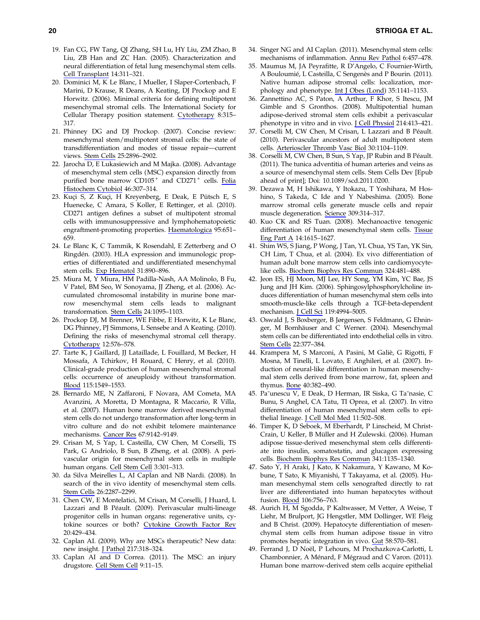- 19. Fan CG, FW Tang, QJ Zhang, SH Lu, HY Liu, ZM Zhao, B Liu, ZB Han and ZC Han. (2005). Characterization and neural differentiation of fetal lung mesenchymal stem cells. Cell Transplant 14:311–321.
- 20. Dominici M, K Le Blanc, I Mueller, I Slaper-Cortenbach, F Marini, D Krause, R Deans, A Keating, DJ Prockop and E Horwitz. (2006). Minimal criteria for defining multipotent mesenchymal stromal cells. The International Society for Cellular Therapy position statement. Cytotherapy 8:315– 317.
- 21. Phinney DG and DJ Prockop. (2007). Concise review: mesenchymal stem/multipotent stromal cells: the state of transdifferentiation and modes of tissue repair—current views. Stem Cells 25:2896–2902.
- 22. Jarocha D, E Lukasiewich and M Majka. (2008). Advantage of mesenchymal stem cells (MSC) expansion directly from purified bone marrow  $CD105<sup>+</sup>$  and  $CD271<sup>+</sup>$  cells. Folia Histochem Cytobiol 46:307–314.
- 23. Kuçi S, Z Kuçi, H Kreyenberg, E Deak, E Pütsch E, S Huenecke, C Amara, S Koller, E Rettinger, et al. (2010). CD271 antigen defines a subset of multipotent stromal cells with immunosuppressive and lymphohematopoietic engraftment-promoting properties. Haematologica 95:651– 659.
- 24. Le Blanc K, C Tammik, K Rosendahl, E Zetterberg and O Ringdén. (2003). HLA expression and immunologic properties of differentiated and undifferentiated mesenchymal stem cells. Exp Hematol 31:890–896.
- 25. Miura M, Y Miura, HM Padilla-Nash, AA Molinolo, B Fu, V Patel, BM Seo, W Sonoyama, JJ Zheng, et al. (2006). Accumulated chromosomal instability in murine bone marrow mesenchymal stem cells leads to malignant transformation. Stem Cells 24:1095–1103.
- 26. Prockop DJ, M Brenner, WE Fibbe, E Horwitz, K Le Blanc, DG Phinney, PJ Simmons, L Sensebe and A Keating. (2010). Defining the risks of mesenchymal stromal cell therapy. Cytotherapy 12:576–578.
- 27. Tarte K, J Gaillard, JJ Lataillade, L Fouillard, M Becker, H Mossafa, A Tchirkov, H Rouard, C Henry, et al. (2010). Clinical-grade production of human mesenchymal stromal cells: occurrence of aneuploidy without transformation. Blood 115:1549–1553.
- 28. Bernardo ME, N Zaffaroni, F Novara, AM Cometa, MA Avanzini, A Moretta, D Montagna, R Maccario, R Villa, et al. (2007). Human bone marrow derived mesenchymal stem cells do not undergo transformation after long-term in vitro culture and do not exhibit telomere maintenance mechanisms. Cancer Res 67:9142–9149.
- 29. Crisan M, S Yap, L Casteilla, CW Chen, M Corselli, TS Park, G Andriolo, B Sun, B Zheng, et al. (2008). A perivascular origin for mesenchymal stem cells in multiple human organs. Cell Stem Cell 3:301–313.
- 30. da Silva Meirelles L, AI Caplan and NB Nardi. (2008). In search of the in vivo identity of mesenchymal stem cells. Stem Cells 26:2287–2299.
- 31. Chen CW, E Montelatici, M Crisan, M Corselli, J Huard, L Lazzari and B Péault. (2009). Perivascular multi-lineage progenitor cells in human organs: regenerative units, cytokine sources or both? Cytokine Growth Factor Rev 20:429–434.
- 32. Caplan AI. (2009). Why are MSCs therapeutic? New data: new insight. J Pathol 217:318–324.
- 33. Caplan AI and D Correa. (2011). The MSC: an injury drugstore. Cell Stem Cell 9:11–15.
- 34. Singer NG and AI Caplan. (2011). Mesenchymal stem cells: mechanisms of inflammation. Annu Rev Pathol 6:457–478.
- 35. Maumus M, JA Peyrafitte, R D'Angelo, C Fournier-Wirth, A Bouloumié, L Casteilla, C Sengenès and P Bourin. (2011). Native human adipose stromal cells: localization, morphology and phenotype. Int J Obes (Lond) 35:1141–1153.
- 36. Zannettino AC, S Paton, A Arthur, F Khor, S Itescu, JM Gimble and S Gronthos. (2008). Multipotential human adipose-derived stromal stem cells exhibit a perivascular phenotype in vitro and in vivo. J Cell Physiol 214:413–421.
- 37. Corselli M, CW Chen, M Crisan, L Lazzari and B Péault. (2010). Perivascular ancestors of adult multipotent stem cells. Arterioscler Thromb Vasc Biol 30:1104–1109.
- 38. Corselli M, CW Chen, B Sun, S Yap, JP Rubin and B Péault. (2011). The tunica adventitia of human arteries and veins as a source of mesenchymal stem cells. Stem Cells Dev [Epub ahead of print]; Doi: 10.1089/scd.2011.0200.
- 39. Dezawa M, H Ishikawa, Y Itokazu, T Yoshihara, M Hoshino, S Takeda, C Ide and Y Nabeshima. (2005). Bone marrow stromal cells generate muscle cells and repair muscle degeneration. Science 309:314–317.
- 40. Kuo CK and RS Tuan. (2008). Mechanoactive tenogenic differentiation of human mesenchymal stem cells. Tissue Eng Part A 14:1615–1627.
- 41. Shim WS, S Jiang, P Wong, J Tan, YL Chua, YS Tan, YK Sin, CH Lim, T Chua, et al. (2004). Ex vivo differentiation of human adult bone marrow stem cells into cardiomyocytelike cells. Biochem Biophys Res Commun 324:481–488.
- 42. Jeon ES, HJ Moon, MJ Lee, HY Song, YM Kim, YC Bae, JS Jung and JH Kim. (2006). Sphingosylphosphorylcholine induces differentiation of human mesenchymal stem cells into smooth-muscle-like cells through a TGF-beta-dependent mechanism. J Cell Sci 119:4994–5005.
- 43. Oswald J, S Boxberger, B Jørgensen, S Feldmann, G Ehninger, M Bornhäuser and C Werner. (2004). Mesenchymal stem cells can be differentiated into endothelial cells in vitro. Stem Cells 22:377–384.
- 44. Krampera M, S Marconi, A Pasini, M Galiè, G Rigotti, F Mosna, M Tinelli, L Lovato, E Anghileri, et al. (2007). Induction of neural-like differentiation in human mesenchymal stem cells derived from bone marrow, fat, spleen and thymus. Bone 40:382–490.
- 45. Pa˘unescu V, E Deak, D Herman, IR Siska, G Ta˘nasie, C Bunu, S Anghel, CA Tatu, TI Oprea, et al. (2007). In vitro differentiation of human mesenchymal stem cells to epithelial lineage. J Cell Mol Med 11:502–508.
- 46. Timper K, D Seboek, M Eberhardt, P Linscheid, M Christ-Crain, U Keller, B Müller and H Zulewski. (2006). Human adipose tissue-derived mesenchymal stem cells differentiate into insulin, somatostatin, and glucagon expressing cells. Biochem Biophys Res Commun 341:1135–1340.
- 47. Sato Y, H Araki, J Kato, K Nakamura, Y Kawano, M Kobune, T Sato, K Miyanishi, T Takayama, et al. (2005). Human mesenchymal stem cells xenografted directly to rat liver are differentiated into human hepatocytes without fusion. Blood 106:756–763.
- 48. Aurich H, M Sgodda, P Kaltwasser, M Vetter, A Weise, T Liehr, M Brulport, JG Hengstler, MM Dollinger, WE Fleig and B Christ. (2009). Hepatocyte differentiation of mesenchymal stem cells from human adipose tissue in vitro promotes hepatic integration in vivo. Gut 58:570–581.
- 49. Ferrand J, D Noël, P Lehours, M Prochazkova-Carlotti, L Chambonnier, A Ménard, F Mégraud and C Varon. (2011). Human bone marrow-derived stem cells acquire epithelial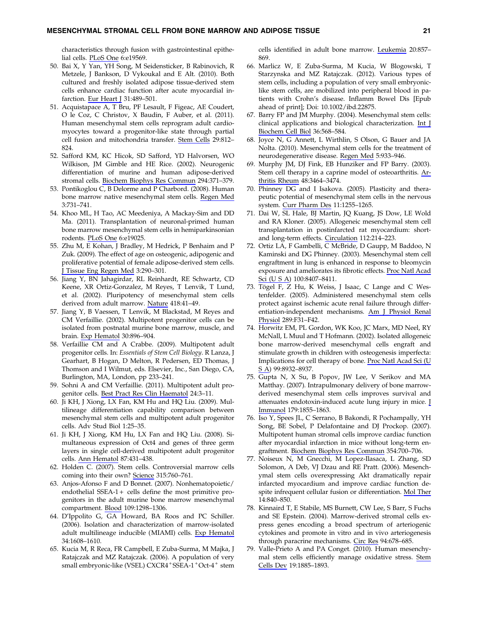characteristics through fusion with gastrointestinal epithelial cells. PLoS One 6:e19569.

- 50. Bai X, Y Yan, YH Song, M Seidensticker, B Rabinovich, R Metzele, J Bankson, D Vykoukal and E Alt. (2010). Both cultured and freshly isolated adipose tissue-derived stem cells enhance cardiac function after acute myocardial infarction. Eur Heart J 31:489–501.
- 51. Acquistapace A, T Bru, PF Lesault, F Figeac, AE Coudert, O le Coz, C Christov, X Baudin, F Auber, et al. (2011). Human mesenchymal stem cells reprogram adult cardiomyocytes toward a progenitor-like state through partial cell fusion and mitochondria transfer. Stem Cells 29:812– 824.
- 52. Safford KM, KC Hicok, SD Safford, YD Halvorsen, WO Wilkison, JM Gimble and HE Rice. (2002). Neurogenic differentiation of murine and human adipose-derived stromal cells. Biochem Biophys Res Commun 294:371–379.
- 53. Pontikoglou C, B Delorme and P Charbord. (2008). Human bone marrow native mesenchymal stem cells. Regen Med 3:731–741.
- 54. Khoo ML, H Tao, AC Meedeniya, A Mackay-Sim and DD Ma. (2011). Transplantation of neuronal-primed human bone marrow mesenchymal stem cells in hemiparkinsonian rodents. PLoS One 6:e19025.
- 55. Zhu M, E Kohan, J Bradley, M Hedrick, P Benhaim and P Zuk. (2009). The effect of age on osteogenic, adipogenic and proliferative potential of female adipose-derived stem cells. J Tissue Eng Regen Med 3:290–301.
- 56. Jiang Y, BN Jahagirdar, RL Reinhardt, RE Schwartz, CD Keene, XR Ortiz-Gonzalez, M Reyes, T Lenvik, T Lund, et al. (2002). Pluripotency of mesenchymal stem cells derived from adult marrow. Nature 418:41–49.
- 57. Jiang Y, B Vaessen, T Lenvik, M Blackstad, M Reyes and CM Verfaillie. (2002). Multipotent progenitor cells can be isolated from postnatal murine bone marrow, muscle, and brain. Exp Hematol 30:896–904.
- 58. Verfaillie CM and A Crabbe. (2009). Multipotent adult progenitor cells. In: Essentials of Stem Cell Biology. R Lanza, J Gearhart, B Hogan, D Melton, R Pedersen, ED Thomas, J Thomson and I Wilmut, eds. Elsevier, Inc., San Diego, CA, Burlington, MA, London, pp 233–241.
- 59. Sohni A and CM Verfaillie. (2011). Multipotent adult progenitor cells. Best Pract Res Clin Haematol 24:3–11.
- 60. Ji KH, J Xiong, LX Fan, KM Hu and HQ Liu. (2009). Multilineage differentiation capability comparison between mesenchymal stem cells and multipotent adult progenitor cells. Adv Stud Biol 1:25–35.
- 61. Ji KH, J Xiong, KM Hu, LX Fan and HQ Liu. (2008). Simultaneous expression of Oct4 and genes of three germ layers in single cell-derived multipotent adult progenitor cells. Ann Hematol 87:431–438.
- 62. Holden C. (2007). Stem cells. Controversial marrow cells coming into their own? Science 315:760–761.
- 63. Anjos-Afonso F and D Bonnet. (2007). Nonhematopoietic/ endothelial SSEA-1+ cells define the most primitive progenitors in the adult murine bone marrow mesenchymal compartment. Blood 109:1298–1306.
- 64. D'Ippolito G, GA Howard, BA Roos and PC Schiller. (2006). Isolation and characterization of marrow-isolated adult multilineage inducible (MIAMI) cells. Exp Hematol 34:1608–1610.
- 65. Kucia M, R Reca, FR Campbell, E Zuba-Surma, M Majka, J Ratajczak and MZ Ratajczak. (2006). A population of very small embryonic-like (VSEL) CXCR4<sup>+</sup>SSEA-1<sup>+</sup>Oct-4<sup>+</sup> stem

cells identified in adult bone marrow. Leukemia 20:857– 869.

- 66. Marlicz W, E Zuba-Surma, M Kucia, W Blogowski, T Starzynska and MZ Ratajczak. (2012). Various types of stem cells, including a population of very small embryoniclike stem cells, are mobilized into peripheral blood in patients with Crohn's disease. Inflamm Bowel Dis [Epub ahead of print]; Doi: 10.1002/ibd.22875.
- 67. Barry FP and JM Murphy. (2004). Mesenchymal stem cells: clinical applications and biological characterization. Int J Biochem Cell Biol 36:568–584.
- 68. Joyce N, G Annett, L Wirthlin, S Olson, G Bauer and JA Nolta. (2010). Mesenchymal stem cells for the treatment of neurodegenerative disease. Regen Med 5:933–946.
- 69. Murphy JM, DJ Fink, EB Hunziker and FP Barry. (2003). Stem cell therapy in a caprine model of osteoarthritis. Arthritis Rheum 48:3464–3474.
- 70. Phinney DG and I Isakova. (2005). Plasticity and therapeutic potential of mesenchymal stem cells in the nervous system. Curr Pharm Des 11:1255–1265.
- 71. Dai W, SL Hale, BJ Martin, JQ Kuang, JS Dow, LE Wold and RA Kloner. (2005). Allogeneic mesenchymal stem cell transplantation in postinfarcted rat myocardium: shortand long-term effects. Circulation 112:214–223.
- 72. Ortiz LA, F Gambelli, C McBride, D Gaupp, M Baddoo, N Kaminski and DG Phinney. (2003). Mesenchymal stem cell engraftment in lung is enhanced in response to bleomycin exposure and ameliorates its fibrotic effects. Proc Natl Acad Sci (U S A) 100:8407–8411.
- 73. Tögel F, Z Hu, K Weiss, J Isaac, C Lange and C Westenfelder. (2005). Administered mesenchymal stem cells protect against ischemic acute renal failure through differentiation-independent mechanisms. Am J Physiol Renal Physiol 289:F31–F42.
- 74. Horwitz EM, PL Gordon, WK Koo, JC Marx, MD Neel, RY McNall, L Muul and T Hofmann. (2002). Isolated allogeneic bone marrow-derived mesenchymal cells engraft and stimulate growth in children with osteogenesis imperfecta: Implications for cell therapy of bone. Proc Natl Acad Sci (U S A) 99:8932–8937.
- 75. Gupta N, X Su, B Popov, JW Lee, V Serikov and MA Matthay. (2007). Intrapulmonary delivery of bone marrowderived mesenchymal stem cells improves survival and attenuates endotoxin-induced acute lung injury in mice. J Immunol 179:1855–1863.
- 76. Iso Y, Spees JL, C Serrano, B Bakondi, R Pochampally, YH Song, BE Sobel, P Delafontaine and DJ Prockop. (2007). Multipotent human stromal cells improve cardiac function after myocardial infarction in mice without long-term engraftment. Biochem Biophys Res Commun 354:700–706.
- 77. Noiseux N, M Gnecchi, M Lopez-Ilasaca, L Zhang, SD Solomon, A Deb, VJ Dzau and RE Pratt. (2006). Mesenchymal stem cells overexpressing Akt dramatically repair infarcted myocardium and improve cardiac function despite infrequent cellular fusion or differentiation. Mol Ther 14:840–850.
- 78. Kinnaird T, E Stabile, MS Burnett, CW Lee, S Barr, S Fuchs and SE Epstein. (2004). Marrow-derived stromal cells express genes encoding a broad spectrum of arteriogenic cytokines and promote in vitro and in vivo arteriogenesis through paracrine mechanisms. Circ Res 94:678–685.
- 79. Valle-Prieto A and PA Conget. (2010). Human mesenchymal stem cells efficiently manage oxidative stress. Stem Cells Dev 19:1885–1893.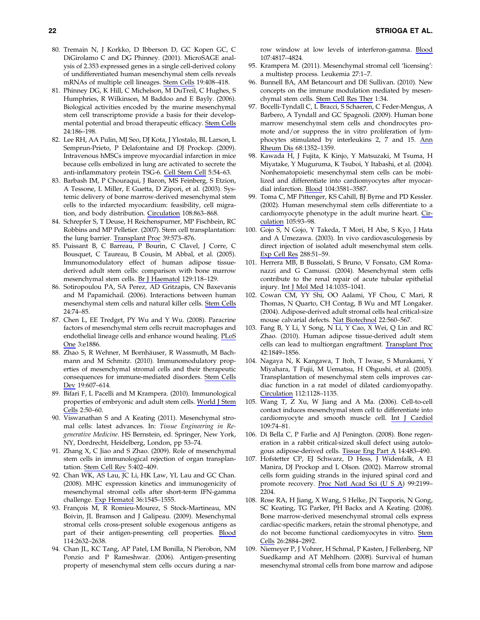- 80. Tremain N, J Korkko, D Ibberson D, GC Kopen GC, C DiGirolamo C and DG Phinney. (2001). MicroSAGE analysis of 2.353 expressed genes in a single cell-derived colony of undifferentiated human mesenchymal stem cells reveals mRNAs of multiple cell lineages. Stem Cells 19:408–418.
- 81. Phinney DG, K Hill, C Michelson, M DuTreil, C Hughes, S Humphries, R Wilkinson, M Baddoo and E Bayly. (2006). Biological activities encoded by the murine mesenchymal stem cell transcriptome provide a basis for their developmental potential and broad therapeutic efficacy. Stem Cells 24:186–198.
- 82. Lee RH, AA Pulin, MJ Seo, DJ Kota, J Ylostalo, BL Larson, L Semprun-Prieto, P Delafontaine and DJ Prockop. (2009). Intravenous hMSCs improve myocardial infarction in mice because cells embolized in lung are activated to secrete the anti-inflammatory protein TSG-6. Cell Stem Cell 5:54–63.
- 83. Barbash IM, P Chouraqui, J Baron, MS Feinberg, S Etzion, A Tessone, L Miller, E Guetta, D Zipori, et al. (2003). Systemic delivery of bone marrow-derived mesenchymal stem cells to the infarcted myocardium: feasibility, cell migration, and body distribution. Circulation 108:863–868.
- 84. Schrepfer S, T Deuse, H Reichenspurner, MP Fischbein, RC Robbins and MP Pelletier. (2007). Stem cell transplantation: the lung barrier. Transplant Proc 39:573–876.
- 85. Puissant B, C Barreau, P Bourin, C Clavel, J Corre, C Bousquet, C Taureau, B Cousin, M Abbal, et al. (2005). Immunomodulatory effect of human adipose tissuederived adult stem cells: comparison with bone marrow mesenchymal stem cells. Br J Haematol 129:118–129.
- 86. Sotiropoulou PA, SA Perez, AD Gritzapis, CN Baxevanis and M Papamichail. (2006). Interactions between human mesenchymal stem cells and natural killer cells. Stem Cells 24:74–85.
- 87. Chen L, EE Tredget, PY Wu and Y Wu. (2008). Paracrine factors of mesenchymal stem cells recruit macrophages and endothelial lineage cells and enhance wound healing. PLoS One 3:e1886.
- 88. Zhao S, R Wehner, M Bornhäuser, R Wassmuth, M Bachmann and M Schmitz. (2010). Immunomodulatory properties of mesenchymal stromal cells and their therapeutic consequences for immune-mediated disorders. Stem Cells Dev 19:607–614.
- 89. Bifari F, L Pacelli and M Krampera. (2010). Immunological properties of embryonic and adult stem cells. World J Stem Cells 2:50–60.
- 90. Viswanathan S and A Keating (2011). Mesenchymal stromal cells: latest advances. In: Tissue Engineering in Regenerative Medicine. HS Bernstein, ed. Springer, New York, NY, Dordrecht, Heidelberg, London, pp 53–74.
- 91. Zhang X, C Jiao and S Zhao. (2009). Role of mesenchymal stem cells in immunological rejection of organ transplantation. Stem Cell Rev 5:402–409.
- 92. Chan WK, AS Lau, JC Li, HK Law, YL Lau and GC Chan. (2008). MHC expression kinetics and immunogenicity of mesenchymal stromal cells after short-term IFN-gamma challenge. Exp Hematol 36:1545–1555.
- 93. François M, R Romieu-Mourez, S Stock-Martineau, MN Boivin, JL Bramson and J Galipeau. (2009). Mesenchymal stromal cells cross-present soluble exogenous antigens as part of their antigen-presenting cell properties. Blood 114:2632–2638.
- 94. Chan JL, KC Tang, AP Patel, LM Bonilla, N Pierobon, NM Ponzio and P Rameshwar. (2006). Antigen-presenting property of mesenchymal stem cells occurs during a nar-

row window at low levels of interferon-gamma. Blood 107:4817–4824.

- 95. Krampera M. (2011). Mesenchymal stromal cell 'licensing': a multistep process. Leukemia 27:1–7.
- 96. Bunnell BA, AM Betancourt and DE Sullivan. (2010). New concepts on the immune modulation mediated by mesenchymal stem cells. Stem Cell Res Ther 1:34.
- 97. Bocelli-Tyndall C, L Bracci, S Schaeren, C Feder-Mengus, A Barbero, A Tyndall and GC Spagnoli. (2009). Human bone marrow mesenchymal stem cells and chondrocytes promote and/or suppress the in vitro proliferation of lymphocytes stimulated by interleukins 2, 7 and 15. Ann Rheum Dis 68:1352–1359.
- 98. Kawada H, J Fujita, K Kinjo, Y Matsuzaki, M Tsuma, H Miyatake, Y Muguruma, K Tsuboi, Y Itabashi, et al. (2004). Nonhematopoietic mesenchymal stem cells can be mobilized and differentiate into cardiomyocytes after myocardial infarction. Blood 104:3581–3587.
- 99. Toma C, MF Pittenger, KS Cahill, BJ Byrne and PD Kessler. (2002). Human mesenchymal stem cells differentiate to a cardiomyocyte phenotype in the adult murine heart. Circulation 105:93–98.
- 100. Gojo S, N Gojo, Y Takeda, T Mori, H Abe, S Kyo, J Hata and A Umezawa. (2003). In vivo cardiovasculogenesis by direct injection of isolated adult mesenchymal stem cells. Exp Cell Res 288:51–59.
- 101. Herrera MB, B Bussolati, S Bruno, V Fonsato, GM Romanazzi and G Camussi. (2004). Mesenchymal stem cells contribute to the renal repair of acute tubular epithelial injury. Int J Mol Med 14:1035–1041.
- 102. Cowan CM, YY Shi, OO Aalami, YF Chou, C Mari, R Thomas, N Quarto, CH Contag, B Wu and MT Longaker. (2004). Adipose-derived adult stromal cells heal critical-size mouse calvarial defects. Nat Biotechnol 22:560–567.
- 103. Fang B, Y Li, Y Song, N Li, Y Cao, X Wei, Q Lin and RC Zhao. (2010). Human adipose tissue-derived adult stem cells can lead to multiorgan engraftment. Transplant Proc 42:1849–1856.
- 104. Nagaya N, K Kangawa, T Itoh, T Iwase, S Murakami, Y Miyahara, T Fujii, M Uematsu, H Ohgushi, et al. (2005). Transplantation of mesenchymal stem cells improves cardiac function in a rat model of dilated cardiomyopathy. Circulation 112:1128–1135.
- 105. Wang T, Z Xu, W Jiang and A Ma. (2006). Cell-to-cell contact induces mesenchymal stem cell to differentiate into cardiomyocyte and smooth muscle cell. Int J Cardiol 109:74–81.
- 106. Di Bella C, P Farlie and AJ Penington. (2008). Bone regeneration in a rabbit critical-sized skull defect using autologous adipose-derived cells. Tissue Eng Part A 14:483–490.
- 107. Hofstetter CP, EJ Schwarz, D Hess, J Widenfalk, A El Manira, DJ Prockop and L Olson. (2002). Marrow stromal cells form guiding strands in the injured spinal cord and promote recovery. Proc Natl Acad Sci (U S A) 99:2199– 2204.
- 108. Rose RA, H Jiang, X Wang, S Helke, JN Tsoporis, N Gong, SC Keating, TG Parker, PH Backx and A Keating. (2008). Bone marrow-derived mesenchymal stromal cells express cardiac-specific markers, retain the stromal phenotype, and do not become functional cardiomyocytes in vitro. Stem Cells 26:2884–2892.
- 109. Niemeyer P, J Vohrer, H Schmal, P Kasten, J Fellenberg, NP Suedkamp and AT Mehlhorn. (2008). Survival of human mesenchymal stromal cells from bone marrow and adipose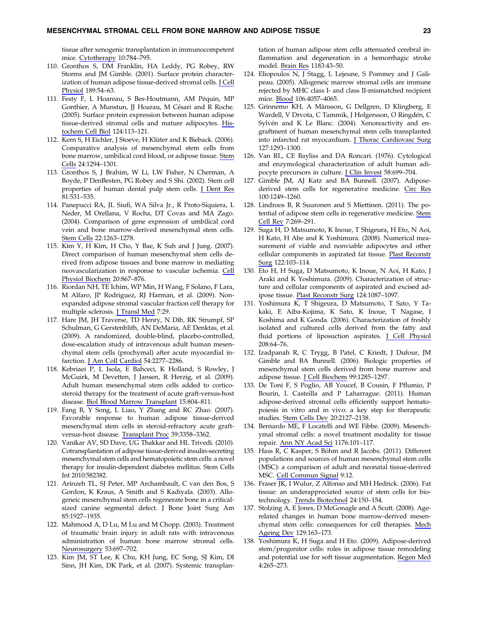tissue after xenogenic transplantation in immunocompetent mice. Cytotherapy 10:784–795.

- 110. Gronthos S, DM Franklin, HA Leddy, PG Robey, RW Storms and JM Gimble. (2001). Surface protein characterization of human adipose tissue-derived stromal cells. J Cell Physiol 189:54–63.
- 111. Festy F, L Hoareau, S Bes-Houtmann, AM Péquin, MP Gonthier, A Munstun, JJ Hoarau, M Césari and R Roche. (2005). Surface protein expression between human adipose tissue-derived stromal cells and mature adipocytes. Histochem Cell Biol 124:113–121.
- 112. Kern S, H Eichler, J Stoeve, H Klüter and K Bieback. (2006). Comparative analysis of mesenchymal stem cells from bone marrow, umbilical cord blood, or adipose tissue. Stem Cells 24:1294–1301.
- 113. Gronthos S, J Brahim, W Li, LW Fisher, N Cherman, A Boyde, P DenBesten, PG Robey and S Shi. (2002). Stem cell properties of human dental pulp stem cells. J Dent Res 81:531–535.
- 114. Panepucci RA, JL Siufi, WA Silva Jr., R Proto-Siquiera, L Neder, M Orellana, V Rocha, DT Covas and MA Zago. (2004). Comparison of gene expression of umbilical cord vein and bone marrow-derived mesenchymal stem cells. Stem Cells 22:1263–1278.
- 115. Kim Y, H Kim, H Cho, Y Bae, K Suh and J Jung. (2007). Direct comparison of human mesenchymal stem cells derived from adipose tissues and bone marrow in mediating neovascularization in response to vascular ischemia. Cell Physiol Biochem 20:867–876.
- 116. Riordan NH, TE Ichim, WP Min, H Wang, F Solano, F Lara, M Alfaro, JP Rodriguez, RJ Harman, et al. (2009). Nonexpanded adipose stromal vascular fraction cell therapy for multiple sclerosis. J Transl Med 7:29.
- 117. Hare JM, JH Traverse, TD Henry, N Dib, RK Strumpf, SP Schulman, G Gerstenblith, AN DeMaria, AE Denktas, et al. (2009). A randomized, double-blind, placebo-controlled, dose-escalation study of intravenous adult human mesenchymal stem cells (prochymal) after acute myocardial infarction. J Am Coll Cardiol 54:2277–2286.
- 118. Kebriaei P, L Isola, E Bahceci, K Holland, S Rowley, J McGuirk, M Devetten, J Jansen, R Herzig, et al. (2009). Adult human mesenchymal stem cells added to corticosteroid therapy for the treatment of acute graft-versus-host disease. Biol Blood Marrow Transplant 15:804–811.
- 119. Fang B, Y Song, L Liao, Y Zhang and RC Zhao. (2007). Favorable response to human adipose tissue-derived mesenchymal stem cells in steroid-refractory acute graftversus-host disease. Transplant Proc 39:3358–3362.
- 120. Vanikar AV, SD Dave, UG Thakkar and HL Trivedi. (2010). Cotransplantation of adipose tissue-derived insulin-secreting mesenchymal stem cells and hematopoietic stem cells: a novel therapy for insulin-dependent diabetes mellitus. Stem Cells Int 2010:582382.
- 121. Arinzeh TL, SJ Peter, MP Archambault, C van den Bos, S Gordon, K Kraus, A Smith and S Kadiyala. (2003). Allogeneic mesenchymal stem cells regenerate bone in a criticalsized canine segmental defect. J Bone Joint Surg Am 85:1927–1935.
- 122. Mahmood A, D Lu, M Lu and M Chopp. (2003). Treatment of traumatic brain injury in adult rats with intravenous administration of human bone marrow stromal cells. Neurosurgery 53:697–702.
- 123. Kim JM, ST Lee, K Chu, KH Jung, EC Song, SJ Kim, DI Sinn, JH Kim, DK Park, et al. (2007). Systemic transplan-

tation of human adipose stem cells attenuated cerebral inflammation and degeneration in a hemorrhagic stroke model. Brain Res 1183:43–50.

- 124. Eliopoulos N, J Stagg, L Lejeune, S Pommey and J Galipeau. (2005). Allogeneic marrow stromal cells are immune rejected by MHC class I- and class II-mismatched recipient mice. Blood 106:4057–4065.
- 125. Grinnemo KH, A Månsson, G Dellgren, D Klingberg, E Wardell, V Drvota, C Tammik, J Holgersson, O Ringdén, C Sylvén and K Le Blanc. (2004). Xenoreactivity and engraftment of human mesenchymal stem cells transplanted into infarcted rat myocardium. J Thorac Cardiovasc Surg 127:1293–1300.
- 126. Van RL, CE Bayliss and DA Roncari. (1976). Cytological and enzymological characterization of adult human adipocyte precursors in culture. J Clin Invest 58:699–704.
- 127. Gimble JM, AJ Katz and BA Bunnell. (2007). Adiposederived stem cells for regenerative medicine. Circ Res 100:1249–1260.
- 128. Lindroos B, R Suuronen and S Miettinen. (2011). The potential of adipose stem cells in regenerative medicine. Stem Cell Rev 7:269–291.
- 129. Suga H, D Matsumoto, K Inoue, T Shigeura, H Eto, N Aoi, H Kato, H Abe and K Yoshimura. (2008). Numerical measurement of viable and nonviable adipocytes and other cellular components in aspirated fat tissue. Plast Reconstr Surg 122:103–114.
- 130. Eto H, H Suga, D Matsumoto, K Inoue, N Aoi, H Kato, J Araki and K Yoshimura. (2009). Characterization of structure and cellular components of aspirated and excised adipose tissue. Plast Reconstr Surg 124:1087–1097.
- 131. Yoshimura K, T Shigeura, D Matsumoto, T Sato, Y Takaki, E Aiba-Kojima, K Sato, K Inoue, T Nagase, I Koshima and K Gonda. (2006). Characterization of freshly isolated and cultured cells derived from the fatty and fluid portions of liposuction aspirates. J Cell Physiol 208:64–76.
- 132. Izadpanah R, C Trygg, B Patel, C Kriedt, J Dufour, JM Gimble and BA Bunnell. (2006). Biologic properties of mesenchymal stem cells derived from bone marrow and adipose tissue. J Cell Biochem 99:1285–1297.
- 133. De Toni F, S Poglio, AB Youcef, B Cousin, F Pflumio, P Bourin, L Casteilla and P Laharrague. (2011). Human adipose-derived stromal cells efficiently support hematopoiesis in vitro and in vivo: a key step for therapeutic studies. Stem Cells Dev 20:2127–2138.
- 134. Bernardo ME, F Locatelli and WE Fibbe. (2009). Mesenchymal stromal cells: a novel treatment modality for tissue repair. Ann NY Acad Sci 1176:101–117.
- 135. Hass R, C Kasper, S Böhm and R Jacobs. (2011). Different populations and sources of human mesenchymal stem cells (MSC): a comparison of adult and neonatal tissue-derived MSC. Cell Commun Signal 9:12.
- 136. Fraser JK, I Wulur, Z Alfonso and MH Hedrick. (2006). Fat tissue: an underappreciated source of stem cells for biotechnology. Trends Biotechnol 24:150–154.
- 137. Stolzing A, E Jones, D McGonagle and A Scutt. (2008). Agerelated changes in human bone marrow-derived mesenchymal stem cells: consequences for cell therapies. Mech Ageing Dev 129:163–173.
- 138. Yoshimura K, H Suga and H Eto. (2009). Adipose-derived stem/progenitor cells: roles in adipose tissue remodeling and potential use for soft tissue augmentation. Regen Med 4:265–273.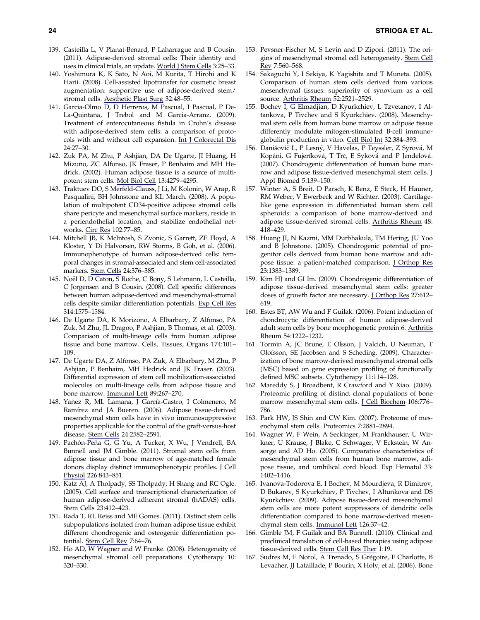- 139. Casteilla L, V Planat-Benard, P Laharrague and B Cousin. (2011). Adipose-derived stromal cells: Their identity and uses in clinical trials, an update. World J Stem Cells 3:25–33.
- 140. Yoshimura K, K Sato, N Aoi, M Kurita, T Hirohi and K Harii. (2008). Cell-assisted lipotransfer for cosmetic breast augmentation: supportive use of adipose-derived stem/ stromal cells. Aesthetic Plast Surg 32:48–55.
- 141. Garcia-Olmo D, D Herreros, M Pascual, I Pascual, P De-La-Quintana, J Trebol and M Garcia-Arranz. (2009). Treatment of enterocutaneous fistula in Crohn's disease with adipose-derived stem cells: a comparison of protocols with and without cell expansion. Int J Colorectal Dis 24:27–30.
- 142. Zuk PA, M Zhu, P Ashjian, DA De Ugarte, JI Huang, H Mizuno, ZC Alfonso, JK Fraser, P Benhaim and MH Hedrick. (2002). Human adipose tissue is a source of multipotent stem cells. Mol Biol Cell 13:4279–4295.
- 143. Traktuev DO, S Merfeld-Clauss, J Li, M Kolonin, W Arap, R Pasqualini, BH Johnstone and KL March. (2008). A population of multipotent CD34-positive adipose stromal cells share pericyte and mesenchymal surface markers, reside in a periendothelial location, and stabilize endothelial networks. Circ Res 102:77–85.
- 144. Mitchell JB, K McIntosh, S Zvonic, S Garrett, ZE Floyd, A Kloster, Y Di Halvorsen, RW Storms, B Goh, et al. (2006). Immunophenotype of human adipose-derived cells: temporal changes in stromal-associated and stem cell-associated markers. Stem Cells 24:376–385.
- 145. Noël D, D Caton, S Roche, C Bony, S Lehmann, L Casteilla, C Jorgensen and B Cousin. (2008). Cell specific differences between human adipose-derived and mesenchymal-stromal cells despite similar differentiation potentials. Exp Cell Res 314:1575–1584.
- 146. De Ugarte DA, K Morizono, A Elbarbary, Z Alfonso, PA Zuk, M Zhu, JL Dragoo, P Ashjian, B Thomas, et al. (2003). Comparison of multi-lineage cells from human adipose tissue and bone marrow. Cells, Tissues, Organs 174:101– 109.
- 147. De Ugarte DA, Z Alfonso, PA Zuk, A Elbarbary, M Zhu, P Ashjian, P Benhaim, MH Hedrick and JK Fraser. (2003). Differential expression of stem cell mobilization-associated molecules on multi-lineage cells from adipose tissue and bone marrow. Immunol Lett 89:267–270.
- 148. Yañez R, ML Lamana, J García-Castro, I Colmenero, M Ramírez and JA Bueren. (2006). Adipose tissue-derived mesenchymal stem cells have in vivo immunosuppressive properties applicable for the control of the graft-versus-host disease. Stem Cells 24:2582–2591.
- 149. Pachón-Peña G, G Yu, A Tucker, X Wu, J Vendrell, BA Bunnell and JM Gimble. (2011). Stromal stem cells from adipose tissue and bone marrow of age-matched female donors display distinct immunophenotypic profiles. J Cell Physiol 226:843–851.
- 150. Katz AJ, A Tholpady, SS Tholpady, H Shang and RC Ogle. (2005). Cell surface and transcriptional characterization of human adipose-derived adherent stromal (hADAS) cells. Stem Cells 23:412–423.
- 151. Rada T, RL Reiss and ME Gomes. (2011). Distinct stem cells subpopulations isolated from human adipose tissue exhibit different chondrogenic and osteogenic differentiation potential. Stem Cell Rev 7:64–76.
- 152. Ho AD, W Wagner and W Franke. (2008). Heterogeneity of mesenchymal stromal cell preparations. Cytotherapy 10: 320–330.
- 153. Pevsner-Fischer M, S Levin and D Zipori. (2011). The origins of mesenchymal stromal cell heterogeneity. Stem Cell Rev 7:560–568.
- 154. Sakaguchi Y, I Sekiya, K Yagishita and T Muneta. (2005). Comparison of human stem cells derived from various mesenchymal tissues: superiority of synovium as a cell source. Arthritis Rheum 52:2521–2529.
- 155. Bochev I, G Elmadjian, D Kyurkchiev, L Tzvetanov, I Altankova, P Tivchev and S Kyurkchiev. (2008). Mesenchymal stem cells from human bone marrow or adipose tissue differently modulate mitogen-stimulated B-cell immunoglobulin production in vitro. Cell Biol Int 32:384–393.
- 156. Danišovič L, P Lesný, V Havelas, P Teyssler, Z Syrová, M Kopáni, G Fujeríková, T Trč, E Syková and P Jendelová. (2007). Chondrogenic differentiation of human bone marrow and adipose tissue-derived mesenchymal stem cells. J Appl Biomed 5:139–150.
- 157. Winter A, S Breit, D Parsch, K Benz, E Steck, H Hauner, RM Weber, V Ewerbeck and W Richter. (2003). Cartilagelike gene expression in differentiated human stem cell spheroids: a comparison of bone marrow-derived and adipose tissue-derived stromal cells. Arthritis Rheum 48: 418–429.
- 158. Huang JI, N Kazmi, MM Durbhakula, TM Hering, JU Yoo and B Johnstone. (2005). Chondrogenic potential of progenitor cells derived from human bone marrow and adipose tissue: a patient-matched comparison. J Orthop Res 23:1383–1389.
- 159. Kim HJ and GI Im. (2009). Chondrogenic differentiation of adipose tissue-derived mesenchymal stem cells: greater doses of growth factor are necessary. J Orthop Res 27:612– 619.
- 160. Estes BT, AW Wu and F Guilak. (2006). Potent induction of chondrocytic differentiation of human adipose-derived adult stem cells by bone morphogenetic protein 6. Arthritis Rheum 54:1222–1232.
- 161. Tormin A, JC Brune, E Olsson, J Valcich, U Neuman, T Olofsson, SE Jacobsen and S Scheding. (2009). Characterization of bone marrow-derived mesenchymal stromal cells (MSC) based on gene expression profiling of functionally defined MSC subsets. Cytotherapy 11:114–128.
- 162. Mareddy S, J Broadbent, R Crawford and Y Xiao. (2009). Proteomic profiling of distinct clonal populations of bone marrow mesenchymal stem cells. J Cell Biochem 106:776– 786.
- 163. Park HW, JS Shin and CW Kim. (2007). Proteome of mesenchymal stem cells. Proteomics 7:2881–2894.
- 164. Wagner W, F Wein, A Seckinger, M Frankhauser, U Wirkner, U Krause, J Blake, C Schwager, V Eckstein, W Ansorge and AD Ho. (2005). Comparative characteristics of mesenchymal stem cells from human bone marrow, adipose tissue, and umbilical cord blood. Exp Hematol 33: 1402–1416.
- 165. Ivanova-Todorova E, I Bochev, M Mourdjeva, R Dimitrov, D Bukarev, S Kyurkchiev, P Tivchev, I Altunkova and DS Kyurkchiev. (2009). Adipose tissue-derived mesenchymal stem cells are more potent suppressors of dendritic cells differentiation compared to bone marrow-derived mesenchymal stem cells. Immunol Lett 126:37–42.
- 166. Gimble JM, F Guilak and BA Bunnell. (2010). Clinical and preclinical translation of cell-based therapies using adipose tissue-derived cells. Stem Cell Res Ther 1:19.
- 167. Sudres M, F Norol, A Trenado, S Grégoire, F Charlotte, B Levacher, JJ Lataillade, P Bourin, X Holy, et al. (2006). Bone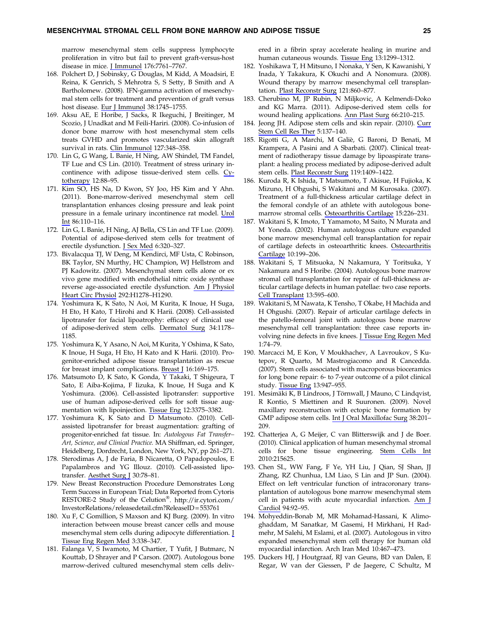marrow mesenchymal stem cells suppress lymphocyte proliferation in vitro but fail to prevent graft-versus-host disease in mice. J Immunol 176:7761–7767.

- 168. Polchert D, J Sobinsky, G Douglas, M Kidd, A Moadsiri, E Reina, K Genrich, S Mehrotra S, S Setty, B Smith and A Bartholomew. (2008). IFN-gamma activation of mesenchymal stem cells for treatment and prevention of graft versus host disease. Eur J Immunol 38:1745–1755.
- 169. Aksu AE, E Horibe, J Sacks, R Ikeguchi, J Breitinger, M Scozio, J Unadkat and M Feili-Hariri. (2008). Co-infusion of donor bone marrow with host mesenchymal stem cells treats GVHD and promotes vascularized skin allograft survival in rats. Clin Immunol 127:348–358.
- 170. Lin G, G Wang, L Banie, H Ning, AW Shindel, TM Fandel, TF Lue and CS Lin. (2010). Treatment of stress urinary incontinence with adipose tissue-derived stem cells. Cytotherapy 12:88–95.
- 171. Kim SO, HS Na, D Kwon, SY Joo, HS Kim and Y Ahn. (2011). Bone-marrow-derived mesenchymal stem cell transplantation enhances closing pressure and leak point pressure in a female urinary incontinence rat model. Urol Int 86:110–116.
- 172. Lin G, L Banie, H Ning, AJ Bella, CS Lin and TF Lue. (2009). Potential of adipose-derived stem cells for treatment of erectile dysfunction. J Sex Med 6:320–327.
- 173. Bivalacqua TJ, W Deng, M Kendirci, MF Usta, C Robinson, BK Taylor, SN Murthy, HC Champion, WJ Hellstrom and PJ Kadowitz. (2007). Mesenchymal stem cells alone or ex vivo gene modified with endothelial nitric oxide synthase reverse age-associated erectile dysfunction. Am J Physiol Heart Circ Physiol 292:H1278–H1290.
- 174. Yoshimura K, K Sato, N Aoi, M Kurita, K Inoue, H Suga, H Eto, H Kato, T Hirohi and K Harii. (2008). Cell-assisted lipotransfer for facial lipoatrophy: efficacy of clinical use of adipose-derived stem cells. Dermatol Surg 34:1178– 1185.
- 175. Yoshimura K, Y Asano, N Aoi, M Kurita, Y Oshima, K Sato, K Inoue, H Suga, H Eto, H Kato and K Harii. (2010). Progenitor-enriched adipose tissue transplantation as rescue for breast implant complications. Breast J 16:169–175.
- 176. Matsumoto D, K Sato, K Gonda, Y Takaki, T Shigeura, T Sato, E Aiba-Kojima, F Iizuka, K Inoue, H Suga and K Yoshimura. (2006). Cell-assisted lipotransfer: supportive use of human adipose-derived cells for soft tissue augmentation with lipoinjection. Tissue Eng 12:3375–3382.
- 177. Yoshimura K, K Sato and D Matsumoto. (2010). Cellassisted lipotransfer for breast augmentation: grafting of progenitor-enriched fat tissue. In: Autologous Fat Transfer– Art, Science, and Clinical Practice. MA Shiffman, ed. Springer, Heidelberg, Dordrecht, London, New York, NY, pp 261–271.
- 178. Sterodimas A, J de Faria, B Nicaretta, O Papadopoulos, E Papalambros and YG Illouz. (2010). Cell-assisted lipotransfer. Aesthet Surg J 30:78–81.
- 179. New Breast Reconstruction Procedure Demonstrates Long Term Success in European Trial; Data Reported from Cytoris RESTORE-2 Study of the Celution®. http://ir.cytori.com/ InvestorRelations/releasedetail.cfm?ReleaseID= 553761
- 180. Xu F, C Gomillion, S Maxson and KJ Burg. (2009). In vitro interaction between mouse breast cancer cells and mouse mesenchymal stem cells during adipocyte differentiation. J Tissue Eng Regen Med 3:338–347.
- 181. Falanga V, S Iwamoto, M Chartier, T Yufit, J Butmarc, N Kouttab, D Shrayer and P Carson. (2007). Autologous bone marrow-derived cultured mesenchymal stem cells deliv-

ered in a fibrin spray accelerate healing in murine and human cutaneous wounds. Tissue Eng 13:1299–1312.

- 182. Yoshikawa T, H Mitsuno, I Nonaka, Y Sen, K Kawanishi, Y Inada, Y Takakura, K Okuchi and A Nonomura. (2008). Wound therapy by marrow mesenchymal cell transplantation. Plast Reconstr Surg 121:860–877.
- 183. Cherubino M, JP Rubin, N Miljkovic, A Kelmendi-Doko and KG Marra. (2011). Adipose-derived stem cells for wound healing applications. Ann Plast Surg 66:210–215.
- 184. Jeong JH. Adipose stem cells and skin repair. (2010). Curr Stem Cell Res Ther 5:137–140.
- 185. Rigotti G, A Marchi, M Galiè, G Baroni, D Benati, M Krampera, A Pasini and A Sbarbati. (2007). Clinical treatment of radiotherapy tissue damage by lipoaspirate transplant: a healing process mediated by adipose-derived adult stem cells. Plast Reconstr Surg 119:1409–1422.
- 186. Kuroda R, K Ishida, T Matsumoto, T Akisue, H Fujioka, K Mizuno, H Ohgushi, S Wakitani and M Kurosaka. (2007). Treatment of a full-thickness articular cartilage defect in the femoral condyle of an athlete with autologous bonemarrow stromal cells. Osteoarthritis Cartilage 15:226–231.
- 187. Wakitani S, K Imoto, T Yamamoto, M Saito, N Murata and M Yoneda. (2002). Human autologous culture expanded bone marrow mesenchymal cell transplantation for repair of cartilage defects in osteoarthritic knees. Osteoarthritis Cartilage 10:199–206.
- 188. Wakitani S, T Mitsuoka, N Nakamura, Y Toritsuka, Y Nakamura and S Horibe. (2004). Autologous bone marrow stromal cell transplantation for repair of full-thickness articular cartilage defects in human patellae: two case reports. Cell Transplant 13:595–600.
- 189. Wakitani S, M Nawata, K Tensho, T Okabe, H Machida and H Ohgushi. (2007). Repair of articular cartilage defects in the patello-femoral joint with autologous bone marrow mesenchymal cell transplantation: three case reports involving nine defects in five knees. J Tissue Eng Regen Med 1:74–79.
- 190. Marcacci M, E Kon, V Moukhachev, A Lavroukov, S Kutepov, R Quarto, M Mastrogiacomo and R Cancedda. (2007). Stem cells associated with macroporous bioceramics for long bone repair: 6- to 7-year outcome of a pilot clinical study. Tissue Eng 13:947–955.
- 191. Mesimäki K, B Lindroos, J Törnwall, J Mauno, C Lindqvist, R Kontio, S Miettinen and R Suuronen. (2009). Novel maxillary reconstruction with ectopic bone formation by GMP adipose stem cells. Int J Oral Maxillofac Surg 38:201– 209.
- 192. Chatterjea A, G Meijer, C van Blitterswijk and J de Boer. (2010). Clinical application of human mesenchymal stromal cells for bone tissue engineering. Stem Cells Int 2010:215625.
- 193. Chen SL, WW Fang, F Ye, YH Liu, J Qian, SJ Shan, JJ Zhang, RZ Chunhua, LM Liao, S Lin and JP Sun. (2004). Effect on left ventricular function of intracoronary transplantation of autologous bone marrow mesenchymal stem cell in patients with acute myocardial infarction. Am J Cardiol 94:92–95.
- 194. Mohyeddin-Bonab M, MR Mohamad-Hassani, K Alimoghaddam, M Sanatkar, M Gasemi, H Mirkhani, H Radmehr, M Salehi, M Eslami, et al. (2007). Autologous in vitro expanded mesenchymal stem cell therapy for human old myocardial infarction. Arch Iran Med 10:467–473.
- 195. Duckers HJ, J Houtgraaf, RJ van Geuns, BD van Dalen, E Regar, W van der Giessen, P de Jaegere, C Schultz, M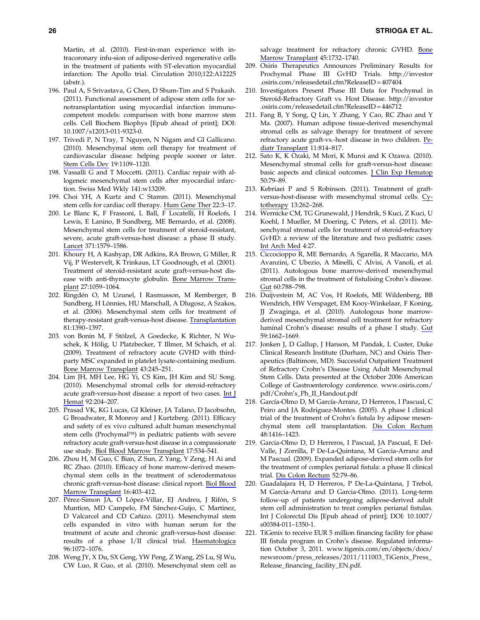Martin, et al. (2010). First-in-man experience with intracoronary infu-sion of adipose-derived regenerative cells in the treatment of patients with ST-elevation myocardial infarction: The Apollo trial. Circulation 2010;122:A12225 (abstr.).

- 196. Paul A, S Srivastava, G Chen, D Shum-Tim and S Prakash. (2011). Functional assessment of adipose stem cells for xenotransplantation using myocardial infarction immunocompetent models: comparison with bone marrow stem cells. Cell Biochem Biophys [Epub ahead of print]; DOI: 10.1007/s12013-011-9323-0.
- 197. Trivedi P, N Tray, T Nguyen, N Nigam and GI Gallicano. (2010). Mesenchymal stem cell therapy for treatment of cardiovascular disease: helping people sooner or later. Stem Cells Dev 19:1109–1120.
- 198. Vassalli G and T Moccetti. (2011). Cardiac repair with allogeneic mesenchymal stem cells after myocardial infarction. Swiss Med Wkly 141:w13209.
- 199. Choi YH, A Kurtz and C Stamm. (2011). Mesenchymal stem cells for cardiac cell therapy. Hum Gene Ther 22:3–17.
- 200. Le Blanc K, F Frassoni, L Ball, F Locatelli, H Roelofs, I Lewis, E Lanino, B Sundberg, ME Bernardo, et al. (2008). Mesenchymal stem cells for treatment of steroid-resistant, severe, acute graft-versus-host disease: a phase II study. Lancet 371:1579–1586.
- 201. Khoury H, A Kashyap, DR Adkins, RA Brown, G Miller, R Vij, P Westervelt, K Trinkaus, LT Goodnough, et al. (2001). Treatment of steroid-resistant acute graft-versus-host disease with anti-thymocyte globulin. Bone Marrow Transplant 27:1059–1064.
- 202. Ringdén O, M Uzunel, I Rasmusson, M Remberger, B Sundberg, H Lönnies, HU Marschall, A Dlugosz, A Szakos, et al. (2006). Mesenchymal stem cells for treatment of therapy-resistant graft-versus-host disease. Transplantation 81:1390–1397.
- 203. von Bonin M, F Stölzel, A Goedecke, K Richter, N Wuschek, K Hölig, U Platzbecker, T Illmer, M Schaich, et al. (2009). Treatment of refractory acute GVHD with thirdparty MSC expanded in platelet lysate-containing medium. Bone Marrow Transplant 43:245–251.
- 204. Lim JH, MH Lee, HG Yi, CS Kim, JH Kim and SU Song. (2010). Mesenchymal stromal cells for steroid-refractory acute graft-versus-host disease: a report of two cases. Int J Hemat 92:204–207.
- 205. Prasad VK, KG Lucas, GI Kleiner, JA Talano, D Jacobsohn, G Broadwater, R Monroy and J Kurtzberg. (2011). Efficacy and safety of ex vivo cultured adult human mesenchymal stem cells (Prochymal<sup>TM</sup>) in pediatric patients with severe refractory acute graft-versus-host disease in a compassionate use study. Biol Blood Marrow Transplant 17:534–541.
- 206. Zhou H, M Guo, C Bian, Z Sun, Z Yang, Y Zeng, H Ai and RC Zhao. (2010). Efficacy of bone marrow-derived mesenchymal stem cells in the treatment of sclerodermatous chronic graft-versus-host disease: clinical report. Biol Blood Marrow Transplant 16:403–412.
- 207. Pérez-Simon JA, O López-Villar, EJ Andreu, J Rifón, S Muntion, MD Campelo, FM Sánchez-Guijo, C Martinez, D Valcarcel and CD Cañizo. (2011). Mesenchymal stem cells expanded in vitro with human serum for the treatment of acute and chronic graft-versus-host disease: results of a phase I/II clinical trial. Haematologica 96:1072–1076.
- 208. Weng JY, X Du, SX Geng, YW Peng, Z Wang, ZS Lu, SJ Wu, CW Luo, R Guo, et al. (2010). Mesenchymal stem cell as

salvage treatment for refractory chronic GVHD. Bone Marrow Transplant 45:1732–1740.

- 209. Osiris Therapeutics Announces Preliminary Results for Prochymal Phase III GvHD Trials. http://investor .osiris.com/releasedetail.cfm?ReleaseID = 407404
- 210. Investigators Present Phase III Data for Prochymal in Steroid-Refractory Graft vs. Host Disease. http://investor .osiris.com/releasedetail.cfm?ReleaseID = 446712
- 211. Fang B, Y Song, Q Lin, Y Zhang, Y Cao, RC Zhao and Y Ma. (2007). Human adipose tissue-derived mesenchymal stromal cells as salvage therapy for treatment of severe refractory acute graft-vs.-host disease in two children. Pediatr Transplant 11:814–817.
- 212. Sato K, K Ozaki, M Mori, K Muroi and K Ozawa. (2010). Mesenchymal stromal cells for graft-versus-host disease: basic aspects and clinical outcomes. J Clin Exp Hematop 50:79–89.
- 213. Kebriaei P and S Robinson. (2011). Treatment of graftversus-host-disease with mesenchymal stromal cells. Cytotherapy 13:262–268.
- 214. Wernicke CM, TG Grunewald, J Hendrik, S Kuci, Z Kuci, U Koehl, I Mueller, M Doering, C Peters, et al. (2011). Mesenchymal stromal cells for treatment of steroid-refractory GvHD: a review of the literature and two pediatric cases. Int Arch Med 4:27.
- 215. Ciccocioppo R, ME Bernardo, A Sgarella, R Maccario, MA Avanzini, C Ubezio, A Minelli, C Alvisi, A Vanoli, et al. (2011). Autologous bone marrow-derived mesenchymal stromal cells in the treatment of fistulising Crohn's disease. Gut 60:788–798.
- 216. Duijvestein M, AC Vos, H Roelofs, ME Wildenberg, BB Wendrich, HW Verspaget, EM Kooy-Winkelaar, F Koning, JJ Zwaginga, et al. (2010). Autologous bone marrowderived mesenchymal stromal cell treatment for refractory luminal Crohn's disease: results of a phase I study. Gut 59:1662–1669.
- 217. Jonken J, D Gallup, J Hanson, M Pandak, L Custer, Duke Clinical Research Institute (Durham, NC) and Osiris Therapeutics (Baltimore, MD). Successful Outpatient Treatment of Refractory Crohn's Disease Using Adult Mesenchymal Stem Cells. Data presented at the October 2006 American College of Gastroenterology conference. www.osiris.com/ pdf/Crohn's\_Ph\_II\_Handout.pdf
- 218. García-Olmo D, M García-Arranz, D Herreros, I Pascual, C Peiro and JA Rodríguez-Montes. (2005). A phase I clinical trial of the treatment of Crohn's fistula by adipose mesenchymal stem cell transplantation. Dis Colon Rectum 48:1416–1423.
- 219. Garcia-Olmo D, D Herreros, I Pascual, JA Pascual, E Del-Valle, J Zorrilla, P De-La-Quintana, M Garcia-Arranz and M Pascual. (2009). Expanded adipose-derived stem cells for the treatment of complex perianal fistula: a phase II clinical trial. Dis Colon Rectum 52:79–86.
- 220. Guadalajara H, D Herreros, P De-La-Quintana, J Trebol, M Garcia-Arranz and D Garcia-Olmo. (2011). Long-term follow-up of patients undergoing adipose-derived adult stem cell administration to treat complex perianal fistulas. Int J Colorectal Dis [Epub ahead of print]; DOI: 10.1007/ s00384-011–1350-1.
- 221. TiGenix to receive EUR 5 million financing facility for phase III fistula program in Crohn's disease. Regulated information October 3, 2011. www.tigenix.com/en/objects/docs/ newsroom/press\_releases/2011/111003\_TiGenix\_Press\_ Release\_financing\_facility\_EN.pdf.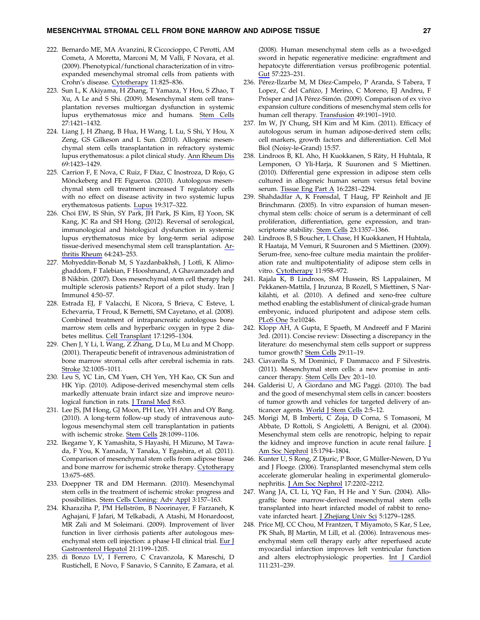- 222. Bernardo ME, MA Avanzini, R Ciccocioppo, C Perotti, AM Cometa, A Moretta, Marconi M, M Valli, F Novara, et al. (2009). Phenotypical/functional characterization of in vitroexpanded mesenchymal stromal cells from patients with Crohn's disease. Cytotherapy 11:825–836.
- 223. Sun L, K Akiyama, H Zhang, T Yamaza, Y Hou, S Zhao, T Xu, A Le and S Shi. (2009). Mesenchymal stem cell transplantation reverses multiorgan dysfunction in systemic lupus erythematosus mice and humans. Stem Cells 27:1421–1432.
- 224. Liang J, H Zhang, B Hua, H Wang, L Lu, S Shi, Y Hou, X Zeng, GS Gilkeson and L Sun. (2010). Allogenic mesenchymal stem cells transplantation in refractory systemic lupus erythematosus: a pilot clinical study. Ann Rheum Dis 69:1423–1429.
- 225. Carrion F, E Nova, C Ruiz, F Diaz, C Inostroza, D Rojo, G Mönckeberg and FE Figueroa. (2010). Autologous mesenchymal stem cell treatment increased T regulatory cells with no effect on disease activity in two systemic lupus erythematosus patients. Lupus 19:317–322.
- 226. Choi EW, IS Shin, SY Park, JH Park, JS Kim, EJ Yoon, SK Kang, JC Ra and SH Hong. (2012). Reversal of serological, immunological and histological dysfunction in systemic lupus erythematosus mice by long-term serial adipose tissue-derived mesenchymal stem cell transplantation. Arthritis Rheum 64:243–253.
- 227. Mohyeddin-Bonab M, S Yazdanbakhsh, J Lotfi, K Alimoghaddom, F Talebian, F Hooshmand, A Ghavamzadeh and B Nikbin. (2007). Does mesenchymal stem cell therapy help multiple sclerosis patients? Report of a pilot study. Iran J Immunol 4:50–57.
- 228. Estrada EJ, F Valacchi, E Nicora, S Brieva, C Esteve, L Echevarria, T Froud, K Bernetti, SM Cayetano, et al. (2008). Combined treatment of intrapancreatic autologous bone marrow stem cells and hyperbaric oxygen in type 2 diabetes mellitus. Cell Transplant 17:1295–1304.
- 229. Chen J, Y Li, L Wang, Z Zhang, D Lu, M Lu and M Chopp. (2001). Therapeutic benefit of intravenous administration of bone marrow stromal cells after cerebral ischemia in rats. Stroke 32:1005–1011.
- 230. Leu S, YC Lin, CM Yuen, CH Yen, YH Kao, CK Sun and HK Yip. (2010). Adipose-derived mesenchymal stem cells markedly attenuate brain infarct size and improve neurological function in rats. J Transl Med 8:63.
- 231. Lee JS, JM Hong, GJ Moon, PH Lee, YH Ahn and OY Bang. (2010). A long-term follow-up study of intravenous autologous mesenchymal stem cell transplantation in patients with ischemic stroke. Stem Cells 28:1099–1106.
- 232. Ikegame Y, K Yamashita, S Hayashi, H Mizuno, M Tawada, F You, K Yamada, Y Tanaka, Y Egashira, et al. (2011). Comparison of mesenchymal stem cells from adipose tissue and bone marrow for ischemic stroke therapy. Cytotherapy 13:675–685.
- 233. Doeppner TR and DM Hermann. (2010). Mesenchymal stem cells in the treatment of ischemic stroke: progress and possibilities. Stem Cells Cloning: Adv Appl 3:157–163.
- 234. Kharaziha P, PM Hellström, B Noorinayer, F Farzaneh, K Aghajani, F Jafari, M Telkabadi, A Atashi, M Honardoost, MR Zali and M Soleimani. (2009). Improvement of liver function in liver cirrhosis patients after autologous mesenchymal stem cell injection: a phase I-II clinical trial. Eur J Gastroenterol Hepatol 21:1199–1205.
- 235. di Bonzo LV, I Ferrero, C Cravanzola, K Mareschi, D Rustichell, E Novo, F Sanavio, S Cannito, E Zamara, et al.

(2008). Human mesenchymal stem cells as a two-edged sword in hepatic regenerative medicine: engraftment and hepatocyte differentiation versus profibrogenic potential. Gut 57:223–231.

- 236. Pérez-Ilzarbe M, M Díez-Campelo, P Aranda, S Tabera, T Lopez, C del Cañizo, J Merino, C Moreno, EJ Andreu, F Prósper and JA Pérez-Simón. (2009). Comparison of ex vivo expansion culture conditions of mesenchymal stem cells for human cell therapy. Transfusion 49:1901–1910.
- 237. Im W, JY Chung, SH Kim and M Kim. (2011). Efficacy of autologous serum in human adipose-derived stem cells; cell markers, growth factors and differentiation. Cell Mol Biol (Noisy-le-Grand) 15:57.
- 238. Lindroos B, KL Aho, H Kuokkanen, S Räty, H Huhtala, R Lemponen, O Yli-Harja, R Suuronen and S Miettinen. (2010). Differential gene expression in adipose stem cells cultured in allogeneic human serum versus fetal bovine serum. Tissue Eng Part A 16:2281–2294.
- 239. Shahdadfar A, K Frønsdal, T Haug, FP Reinholt and JE Brinchmann. (2005). In vitro expansion of human mesenchymal stem cells: choice of serum is a determinant of cell proliferation, differentiation, gene expression, and transcriptome stability. Stem Cells 23:1357–1366.
- 240. Lindroos B, S Boucher, L Chase, H Kuokkanen, H Huhtala, R Haataja, M Vemuri, R Suuronen and S Miettinen. (2009). Serum-free, xeno-free culture media maintain the proliferation rate and multipotentiality of adipose stem cells in vitro. Cytotherapy 11:958–972.
- 241. Rajala K, B Lindroos, SM Hussein, RS Lappalainen, M Pekkanen-Mattila, J Inzunza, B Rozell, S Miettinen, S Narkilahti, et al. (2010). A defined and xeno-free culture method enabling the establishment of clinical-grade human embryonic, induced pluripotent and adipose stem cells. PLoS One 5:e10246.
- 242. Klopp AH, A Gupta, E Spaeth, M Andreeff and F Marini 3rd. (2011). Concise review: Dissecting a discrepancy in the literature: do mesenchymal stem cells support or suppress tumor growth? Stem Cells 29:11–19.
- 243. Ciavarella S, M Dominici, F Dammacco and F Silvestris. (2011). Mesenchymal stem cells: a new promise in anticancer therapy. Stem Cells Dev 20:1–10.
- 244. Galderisi U, A Giordano and MG Paggi. (2010). The bad and the good of mesenchymal stem cells in cancer: boosters of tumor growth and vehicles for targeted delivery of anticancer agents. World J Stem Cells 2:5–12.
- 245. Morigi M, B Imberti, C Zoja, D Corna, S Tomasoni, M Abbate, D Rottoli, S Angioletti, A Benigni, et al. (2004). Mesenchymal stem cells are renotropic, helping to repair the kidney and improve function in acute renal failure. I Am Soc Nephrol 15:1794–1804.
- 246. Kunter U, S Rong, Z Djuric, P Boor, G Müller-Newen, D Yu and J Floege. (2006). Transplanted mesenchymal stem cells accelerate glomerular healing in experimental glomerulonephritis. J Am Soc Nephrol 17:2202–2212.
- 247. Wang JA, CL Li, YQ Fan, H He and Y Sun. (2004). Allograftic bone marrow-derived mesenchymal stem cells transplanted into heart infarcted model of rabbit to renovate infarcted heart. J Zhejiang Univ Sci 5:1279–1285.
- 248. Price MJ, CC Chou, M Frantzen, T Miyamoto, S Kar, S Lee, PK Shah, BJ Martin, M Lill, et al. (2006). Intravenous mesenchymal stem cell therapy early after reperfused acute myocardial infarction improves left ventricular function and alters electrophysiologic properties. Int J Cardiol 111:231–239.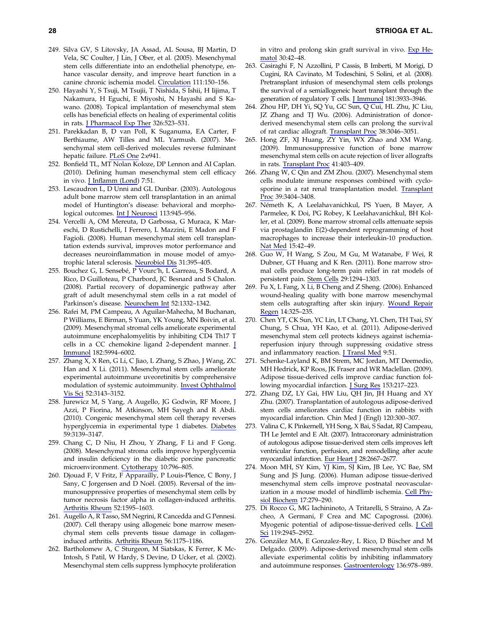- 249. Silva GV, S Litovsky, JA Assad, AL Sousa, BJ Martin, D Vela, SC Coulter, J Lin, J Ober, et al. (2005). Mesenchymal stem cells differentiate into an endothelial phenotype, enhance vascular density, and improve heart function in a canine chronic ischemia model. Circulation 111:150–156.
- 250. Hayashi Y, S Tsuji, M Tsujii, T Nishida, S Ishii, H Iijima, T Nakamura, H Eguchi, E Miyoshi, N Hayashi and S Kawano. (2008). Topical implantation of mesenchymal stem cells has beneficial effects on healing of experimental colitis in rats. J Pharmacol Exp Ther 326:523–531.
- 251. Parekkadan B, D van Poll, K Suganuma, EA Carter, F Berthiaume, AW Tilles and ML Yarmush. (2007). Mesenchymal stem cell-derived molecules reverse fulminant hepatic failure. PLoS One 2:e941.
- 252. Bonfield TL, MT Nolan Koloze, DP Lennon and AI Caplan. (2010). Defining human mesenchymal stem cell efficacy in vivo. J Inflamm (Lond) 7:51.
- 253. Lescaudron L, D Unni and GL Dunbar. (2003). Autologous adult bone marrow stem cell transplantation in an animal model of Huntington's disease: behavioral and morphological outcomes. Int J Neurosci 113:945–956.
- 254. Vercelli A, OM Mereuta, D Garbossa, G Muraca, K Mareschi, D Rustichelli, I Ferrero, L Mazzini, E Madon and F Fagioli. (2008). Human mesenchymal stem cell transplantation extends survival, improves motor performance and decreases neuroinflammation in mouse model of amyotrophic lateral sclerosis. Neurobiol Dis 31:395–405.
- 255. Bouchez G, L Sensebé, P Vourc'h, L Garreau, S Bodard, A Rico, D Guilloteau, P Charbord, JC Besnard and S Chalon. (2008). Partial recovery of dopaminergic pathway after graft of adult mesenchymal stem cells in a rat model of Parkinson's disease. Neurochem Int 52:1332–1342.
- 256. Rafei M, PM Campeau, A Aguilar-Mahecha, M Buchanan, P Williams, E Birman, S Yuan, YK Young, MN Boivin, et al. (2009). Mesenchymal stromal cells ameliorate experimental autoimmune encephalomyelitis by inhibiting CD4 Th17 T cells in a CC chemokine ligand 2-dependent manner. J Immunol 182:5994–6002.
- 257. Zhang X, X Ren, G Li, C Jiao, L Zhang, S Zhao, J Wang, ZC Han and X Li. (2011). Mesenchymal stem cells ameliorate experimental autoimmune uveoretinitis by comprehensive modulation of systemic autoimmunity. Invest Ophthalmol Vis Sci 52:3143–3152.
- 258. Jurewicz M, S Yang, A Augello, JG Godwin, RF Moore, J Azzi, P Fiorina, M Atkinson, MH Sayegh and R Abdi. (2010). Congenic mesenchymal stem cell therapy reverses hyperglycemia in experimental type 1 diabetes. Diabetes 59:3139–3147.
- 259. Chang C, D Niu, H Zhou, Y Zhang, F Li and F Gong. (2008). Mesenchymal stroma cells improve hyperglycemia and insulin deficiency in the diabetic porcine pancreatic microenvironment. Cytotherapy 10:796–805.
- 260. Djouad F, V Fritz, F Apparailly, P Louis-Plence, C Bony, J Sany, C Jorgensen and D Noël. (2005). Reversal of the immunosuppressive properties of mesenchymal stem cells by tumor necrosis factor alpha in collagen-induced arthritis. Arthritis Rheum 52:1595–1603.
- 261. Augello A, R Tasso, SM Negrini, R Cancedda and G Pennesi. (2007). Cell therapy using allogeneic bone marrow mesenchymal stem cells prevents tissue damage in collageninduced arthritis. Arthritis Rheum 56:1175–1186.
- 262. Bartholomew A, C Sturgeon, M Siatskas, K Ferrer, K Mc-Intosh, S Patil, W Hardy, S Devine, D Ucker, et al. (2002). Mesenchymal stem cells suppress lymphocyte proliferation

in vitro and prolong skin graft survival in vivo. Exp Hematol 30:42–48.

- 263. Casiraghi F, N Azzollini, P Cassis, B Imberti, M Morigi, D Cugini, RA Cavinato, M Todeschini, S Solini, et al. (2008). Pretransplant infusion of mesenchymal stem cells prolongs the survival of a semiallogeneic heart transplant through the generation of regulatory T cells. J Immunol 181:3933–3946.
- 264. Zhou HP, DH Yi, SQ Yu, GC Sun, Q Cui, HL Zhu, JC Liu, JZ Zhang and TJ Wu. (2006). Administration of donorderived mesenchymal stem cells can prolong the survival of rat cardiac allograft. Transplant Proc 38:3046–3051.
- 265. Hong ZF, XJ Huang, ZY Yin, WX Zhao and XM Wang. (2009). Immunosuppressive function of bone marrow mesenchymal stem cells on acute rejection of liver allografts in rats. Transplant Proc 41:403–409.
- 266. Zhang W, C Qin and ZM Zhou. (2007). Mesenchymal stem cells modulate immune responses combined with cyclosporine in a rat renal transplantation model. Transplant Proc 39:3404–3408.
- 267. Németh K, A Leelahavanichkul, PS Yuen, B Mayer, A Parmelee, K Doi, PG Robey, K Leelahavanichkul, BH Koller, et al. (2009). Bone marrow stromal cells attenuate sepsis via prostaglandin E(2)-dependent reprogramming of host macrophages to increase their interleukin-10 production. Nat Med 15:42–49.
- 268. Guo W, H Wang, S Zou, M Gu, M Watanabe, F Wei, R Dubner, GT Huang and K Ren. (2011). Bone marrow stromal cells produce long-term pain relief in rat models of persistent pain. Stem Cells 29:1294–1303.
- 269. Fu X, L Fang, X Li, B Cheng and Z Sheng. (2006). Enhanced wound-healing quality with bone marrow mesenchymal stem cells autografting after skin injury. Wound Repair Regen 14:325–235.
- 270. Chen YT, CK Sun, YC Lin, LT Chang, YL Chen, TH Tsai, SY Chung, S Chua, YH Kao, et al. (2011). Adipose-derived mesenchymal stem cell protects kidneys against ischemiareperfusion injury through suppressing oxidative stress and inflammatory reaction. J Transl Med 9:51.
- 271. Schenke-Layland K, BM Strem, MC Jordan, MT Deemedio, MH Hedrick, KP Roos, JK Fraser and WR Maclellan. (2009). Adipose tissue-derived cells improve cardiac function following myocardial infarction. J Surg Res 153:217–223.
- 272. Zhang DZ, LY Gai, HW Liu, QH Jin, JH Huang and XY Zhu. (2007). Transplantation of autologous adipose-derived stem cells ameliorates cardiac function in rabbits with myocardial infarction. Chin Med J (Engl) 120:300–307.
- 273. Valina C, K Pinkernell, YH Song, X Bai, S Sadat, RJ Campeau, TH Le Jemtel and E Alt. (2007). Intracoronary administration of autologous adipose tissue-derived stem cells improves left ventricular function, perfusion, and remodelling after acute myocardial infarction. Eur Heart J 28:2667–2677.
- 274. Moon MH, SY Kim, YJ Kim, SJ Kim, JB Lee, YC Bae, SM Sung and JS Jung. (2006). Human adipose tissue-derived mesenchymal stem cells improve postnatal neovascularization in a mouse model of hindlimb ischemia. Cell Physiol Biochem 17:279–290.
- 275. Di Rocco G, MG Iachininoto, A Tritarelli, S Straino, A Zacheo, A Germani, F Crea and MC Capogrossi. (2006). Myogenic potential of adipose-tissue-derived cells. J Cell Sci 119:2945–2952.
- 276. González MA, E Gonzalez-Rey, L Rico, D Büscher and M Delgado. (2009). Adipose-derived mesenchymal stem cells alleviate experimental colitis by inhibiting inflammatory and autoimmune responses. Gastroenterology 136:978–989.